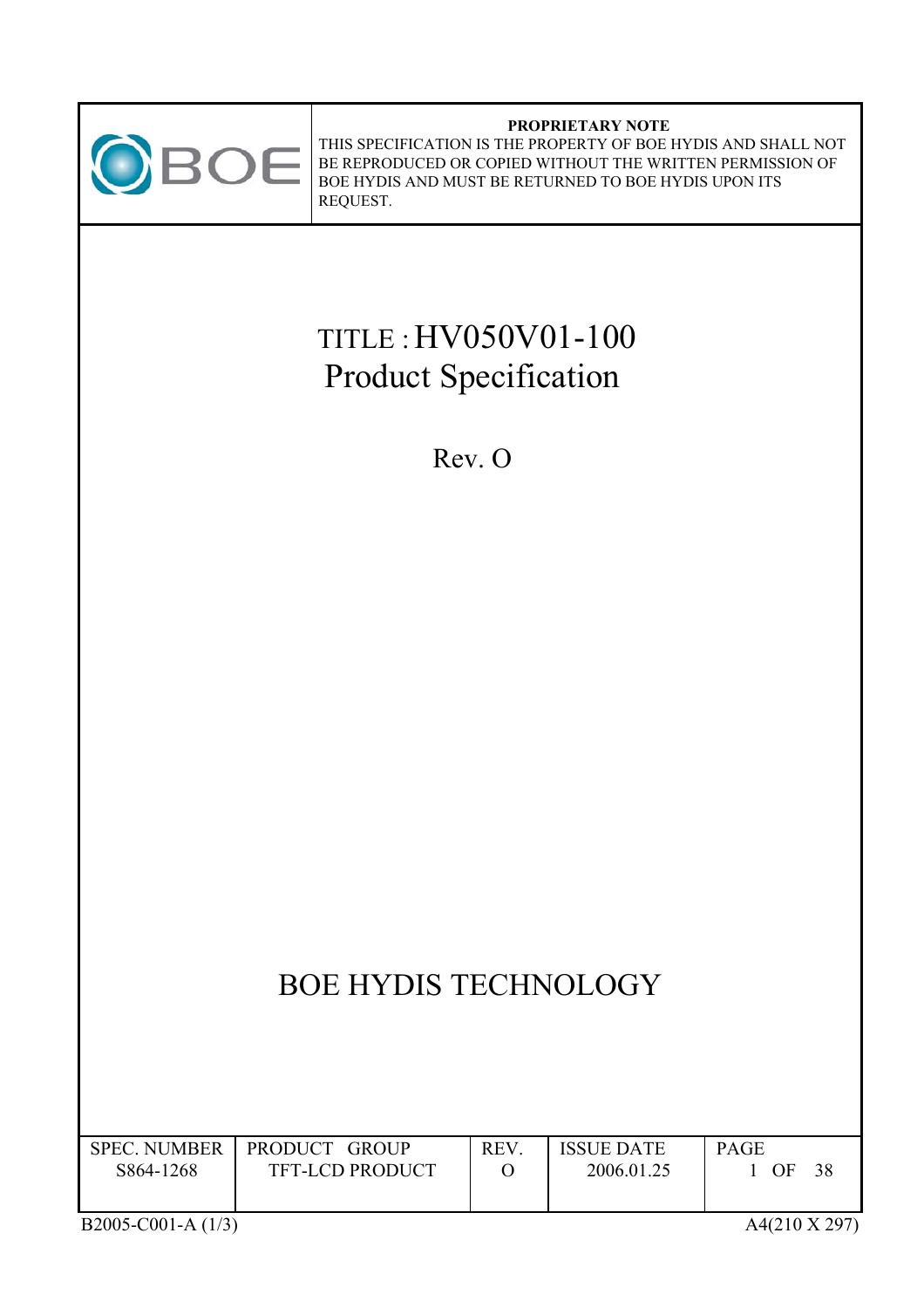

#### **PROPRIETARY NOTE** THIS SPECIFICATION IS THE PROPERTY OF BOE HYDIS AND SHALL NOT BE REPRODUCED OR COPIED WITHOUT THE WRITTEN PERMISSION OF BOE HYDIS AND MUST BE RETURNED TO BOE HYDIS UPON ITS REQUEST.

# TITLE :HV050V01-100 Product Specification

Rev. O

# BOE HYDIS TECHNOLOGY

| <b>SPEC. NUMBER</b> | PRODUCT GROUP          | <b>REV</b> | <b>ISSUE DATE</b> | <b>PAGE</b> |
|---------------------|------------------------|------------|-------------------|-------------|
| S864-1268           | <b>TFT-LCD PRODUCT</b> |            | 2006.01.25        | OF<br>38    |
|                     |                        |            |                   |             |
|                     |                        |            |                   |             |

B2005-C001-A (1/3) A4(210 X 297)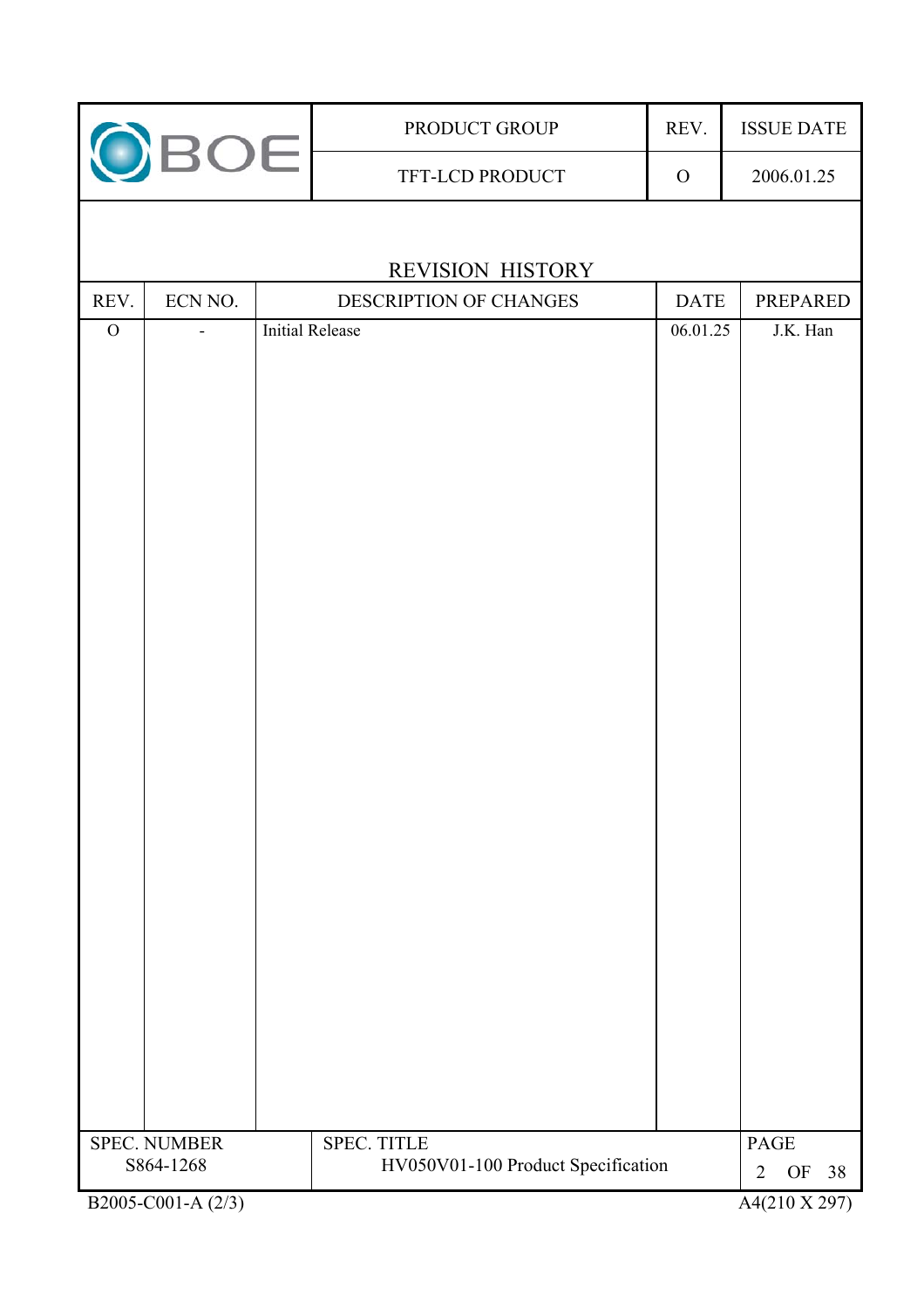|             | OBOE                | PRODUCT GROUP                      | REV.         | <b>ISSUE DATE</b>          |
|-------------|---------------------|------------------------------------|--------------|----------------------------|
|             |                     | TFT-LCD PRODUCT                    | $\mathbf{O}$ |                            |
|             |                     |                                    |              |                            |
|             |                     | <b>REVISION HISTORY</b>            |              |                            |
| REV.        | ECN NO.             | DESCRIPTION OF CHANGES             | <b>DATE</b>  | PREPARED                   |
| $\mathbf O$ |                     | <b>Initial Release</b>             | 06.01.25     | J.K. Han                   |
|             |                     |                                    |              |                            |
|             |                     |                                    |              |                            |
|             |                     |                                    |              |                            |
|             |                     |                                    |              |                            |
|             |                     |                                    |              |                            |
|             |                     |                                    |              |                            |
|             |                     |                                    |              |                            |
|             |                     |                                    |              |                            |
|             |                     |                                    |              |                            |
|             |                     |                                    |              |                            |
|             |                     |                                    |              |                            |
|             |                     |                                    |              |                            |
|             |                     |                                    |              |                            |
|             |                     |                                    |              |                            |
|             |                     |                                    |              |                            |
|             |                     |                                    |              |                            |
|             |                     |                                    |              |                            |
|             |                     |                                    |              |                            |
|             |                     |                                    |              |                            |
|             |                     |                                    |              |                            |
|             |                     |                                    |              |                            |
|             |                     |                                    |              |                            |
|             |                     |                                    |              |                            |
|             |                     |                                    |              |                            |
|             |                     |                                    |              |                            |
|             | <b>SPEC. NUMBER</b> | SPEC. TITLE                        |              | <b>PAGE</b>                |
|             | S864-1268           | HV050V01-100 Product Specification |              | OF<br>38<br>$\overline{2}$ |
|             | B2005-C001-A (2/3)  |                                    |              | A4(210 X 297)              |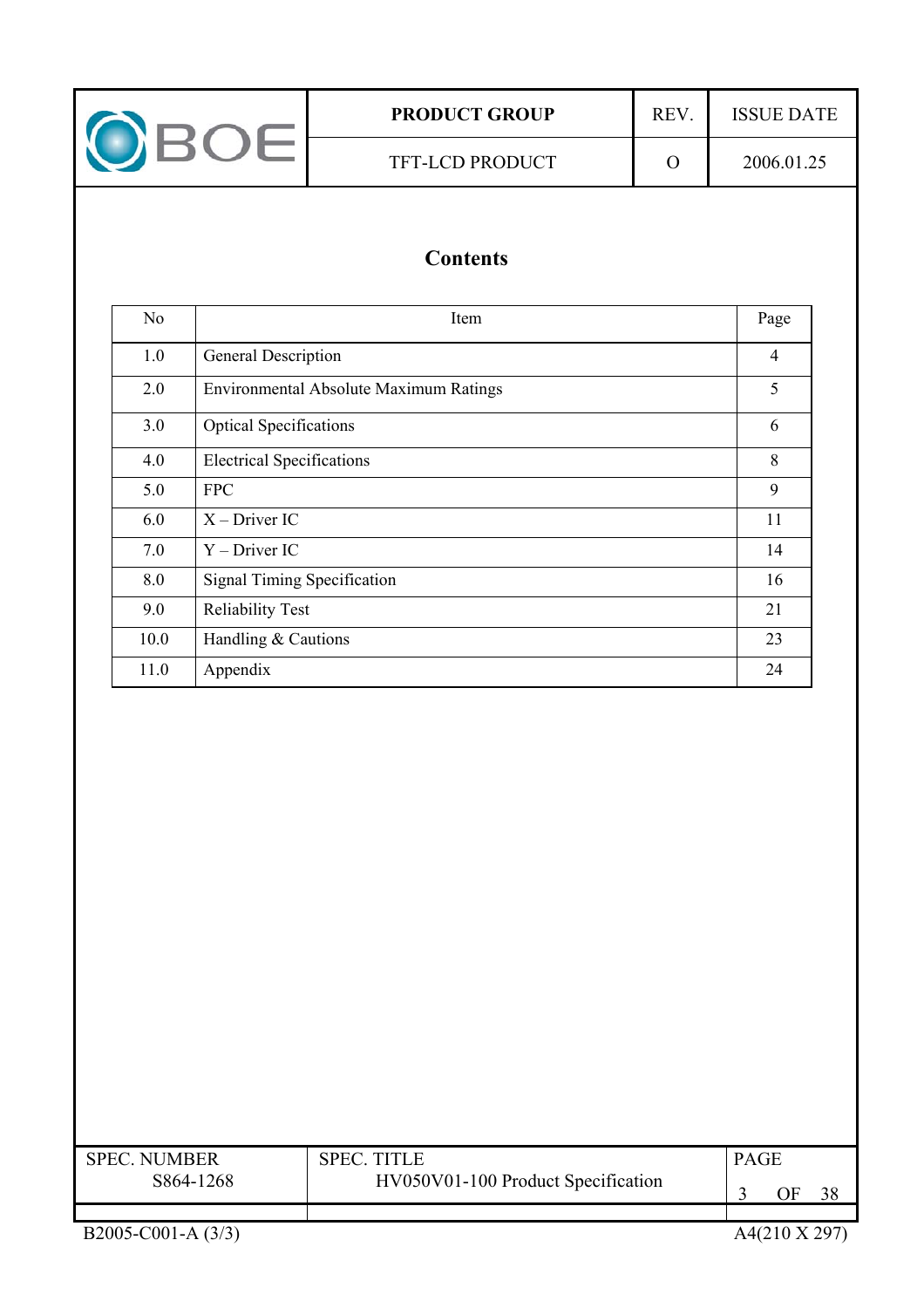

## **Contents**

| N <sub>0</sub> | Item                                   | Page           |
|----------------|----------------------------------------|----------------|
| 1.0            | General Description                    | $\overline{4}$ |
| 2.0            | Environmental Absolute Maximum Ratings | 5              |
| 3.0            | <b>Optical Specifications</b>          | 6              |
| 4.0            | <b>Electrical Specifications</b>       | 8              |
| 5.0            | <b>FPC</b>                             | 9              |
| 6.0            | $X$ – Driver IC                        | 11             |
| 7.0            | $Y$ – Driver IC                        | 14             |
| 8.0            | <b>Signal Timing Specification</b>     | 16             |
| 9.0            | <b>Reliability Test</b>                | 21             |
| 10.0           | Handling & Cautions                    | 23             |
| 11.0           | Appendix                               | 24             |

| <b>SPEC NUMBER</b><br>S864-1268 | <b>SPEC. TITLE</b><br>HV050V01-100 Product Specification | <b>PAGE</b> | ЭF | 38 |
|---------------------------------|----------------------------------------------------------|-------------|----|----|
|                                 |                                                          |             |    |    |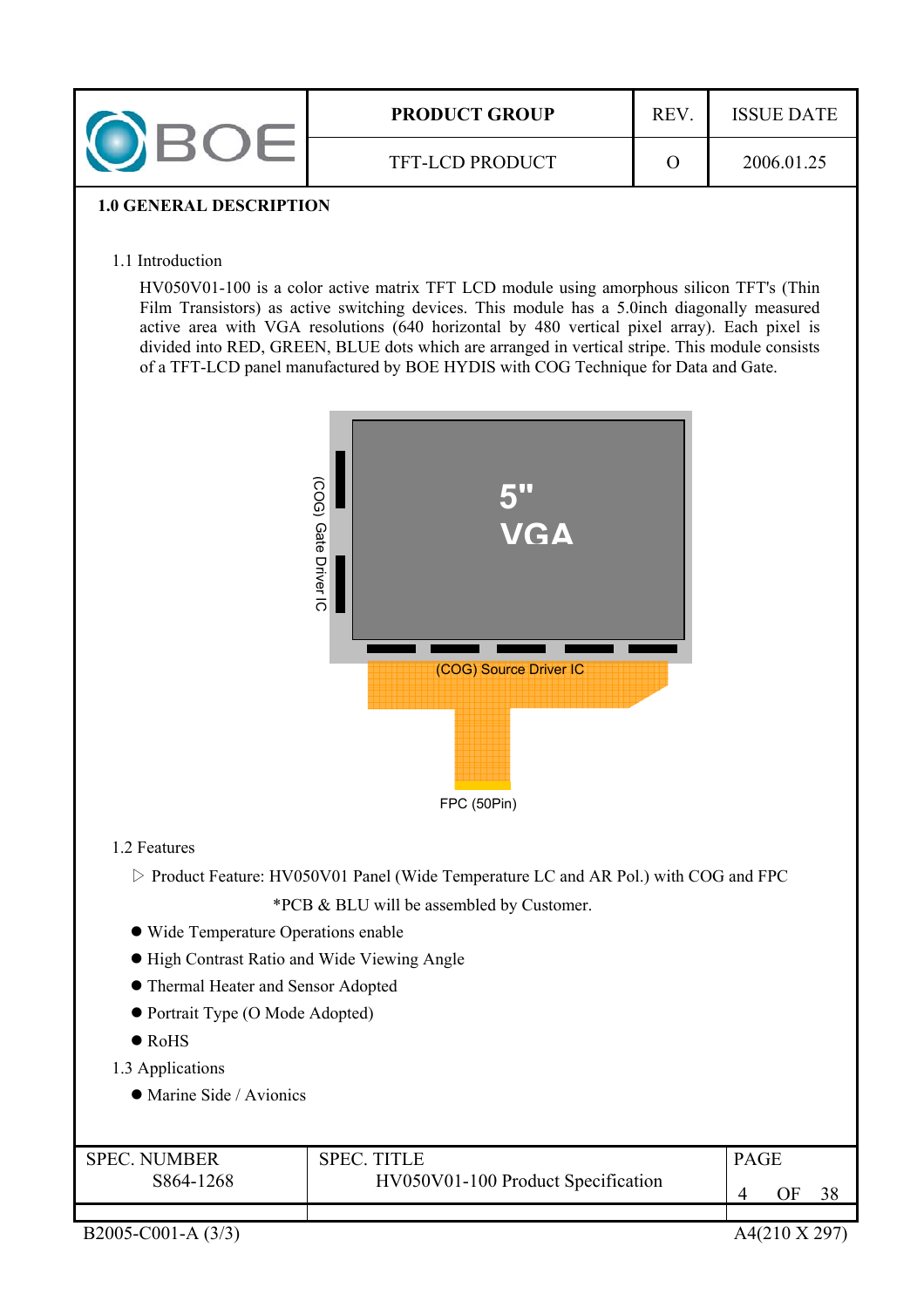| <b>PRODUCT GROUP</b>   | <b>ISSUE DATE</b> |
|------------------------|-------------------|
| <b>TFT-LCD PRODUCT</b> | 2006.01.25        |

### **1.0 GENERAL DESCRIPTION**

#### 1.1 Introduction

HV050V01-100 is a color active matrix TFT LCD module using amorphous silicon TFT's (Thin Film Transistors) as active switching devices. This module has a 5.0inch diagonally measured active area with VGA resolutions (640 horizontal by 480 vertical pixel array). Each pixel is divided into RED, GREEN, BLUE dots which are arranged in vertical stripe. This module consists of a TFT-LCD panel manufactured by BOE HYDIS with COG Technique for Data and Gate.



### 1.2 Features

ሩ Product Feature: HV050V01 Panel (Wide Temperature LC and AR Pol.) with COG and FPC

\*PCB & BLU will be assembled by Customer.

- Wide Temperature Operations enable
- $\bullet$  High Contrast Ratio and Wide Viewing Angle
- $\bullet$  Thermal Heater and Sensor Adopted
- Portrait Type (O Mode Adopted)
- $\bullet$  RoHS
- 1.3 Applications
	- $\bullet$  Marine Side / Avionics

| <b>SPEC NUMBER</b> | SPEC.                              | <b>PAGE</b> |    |  |
|--------------------|------------------------------------|-------------|----|--|
| S864-1268          | HV050V01-100 Product Specification |             | ЭF |  |
|                    |                                    |             |    |  |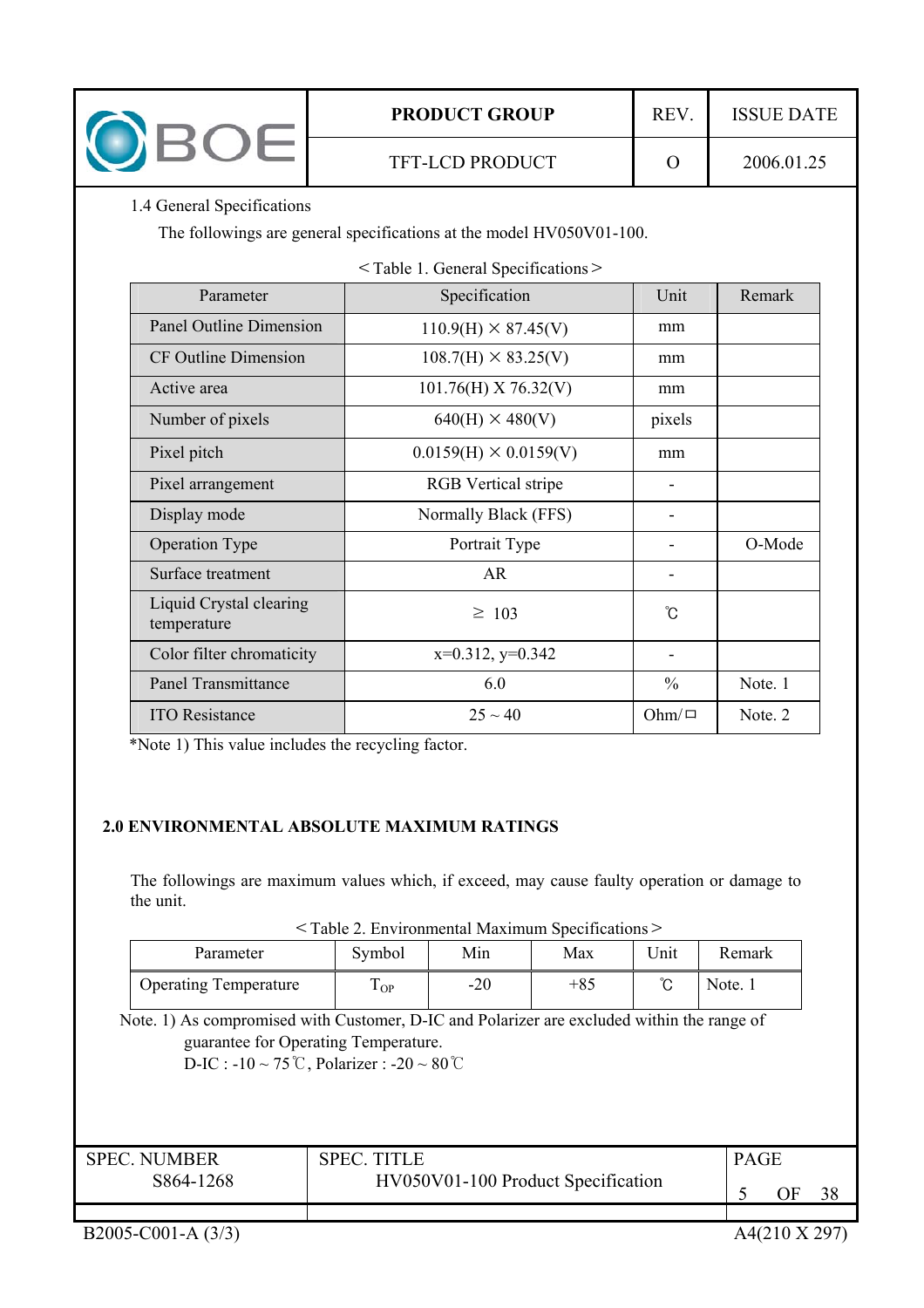

\*Note 1) This value includes the recycling factor.

#### **2.0 ENVIRONMENTAL ABSOLUTE MAXIMUM RATINGS**

The followings are maximum values which, if exceed, may cause faulty operation or damage to the unit.

Panel Transmittance  $\begin{array}{|c|c|c|c|c|c|c|c|} \hline \end{array}$  6.0  $\begin{array}{|c|c|c|c|c|c|c|c|} \hline \end{array}$  Note. 1 ITO Resistance  $25 \sim 40$  Ohm/ $\Box$  Note. 2

Color filter chromaticity  $x=0.312, y=0.342$  -

| <table 2.="" environmental="" maximum="" specifications=""></table> |  |  |
|---------------------------------------------------------------------|--|--|
|---------------------------------------------------------------------|--|--|

| Parameter                    | Symbol      | Min   | Max   | <b>Jnit</b> | Remark  |
|------------------------------|-------------|-------|-------|-------------|---------|
| <b>Operating Temperature</b> | T<br>$1$ OP | $-20$ | $+85$ | ∽           | Note. 1 |

Note. 1) As compromised with Customer, D-IC and Polarizer are excluded within the range of guarantee for Operating Temperature.

 $D-IC$  :  $-10 \sim 75^{\circ}$ C, Polarizer :  $-20 \sim 80^{\circ}$ C

| <b>SPEC. NUMBER</b> | <b>SPEC. TITLE</b>                 | <b>PAGE</b> |    |    |
|---------------------|------------------------------------|-------------|----|----|
| S864-1268           | HV050V01-100 Product Specification |             | ЭF | 38 |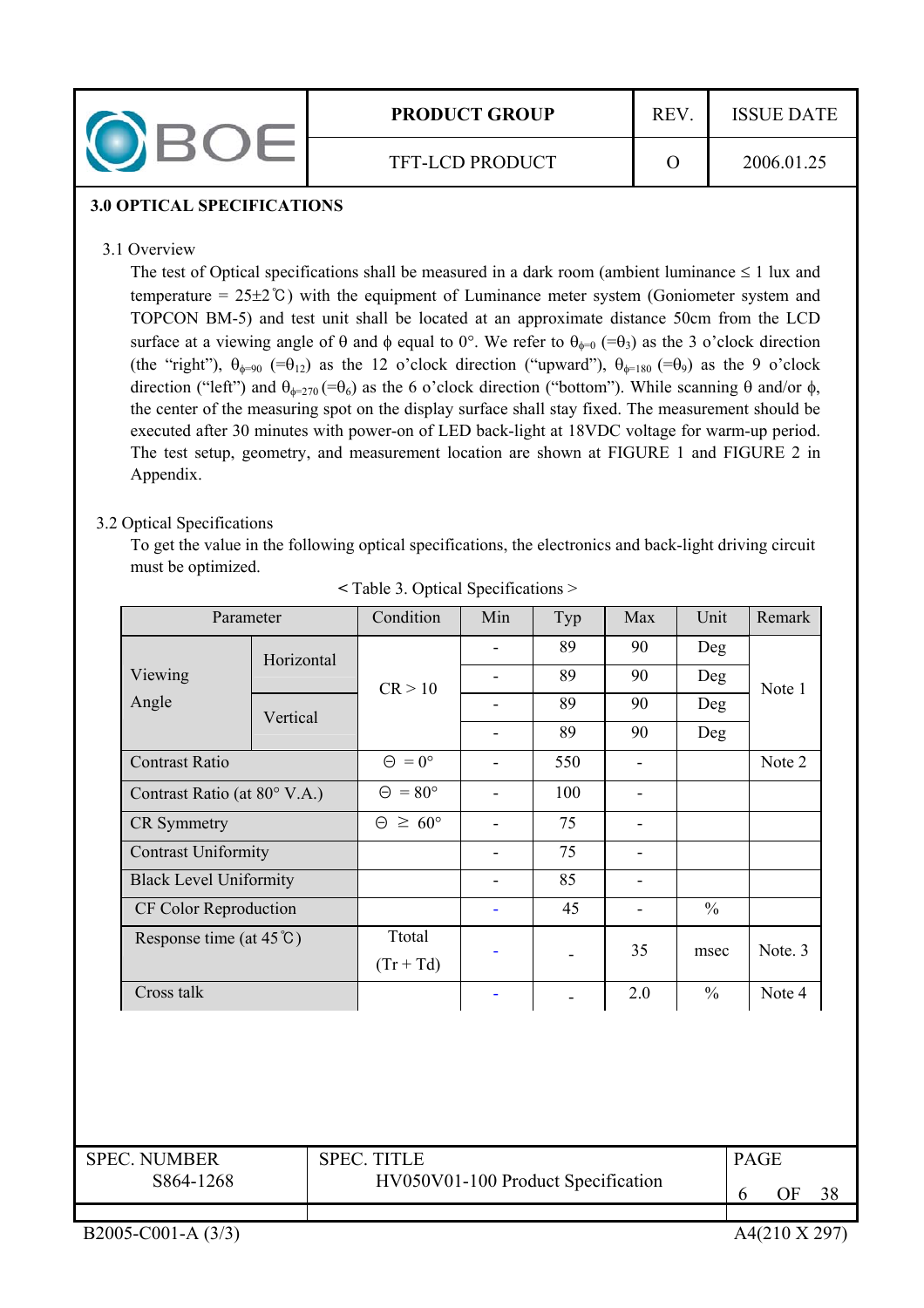

### **3.0 OPTICAL SPECIFICATIONS**

### 3.1 Overview

The test of Optical specifications shall be measured in a dark room (ambient luminance  $\leq 1$  lux and temperature =  $25\pm2\degree$ C) with the equipment of Luminance meter system (Goniometer system and TOPCON BM-5) and test unit shall be located at an approximate distance 50cm from the LCD surface at a viewing angle of  $\theta$  and  $\phi$  equal to 0°. We refer to  $\theta_{\phi=0}$  (= $\theta_3$ ) as the 3 o'clock direction (the "right"),  $\theta_{\phi=90}$  (= $\theta_{12}$ ) as the 12 o'clock direction ("upward"),  $\theta_{\phi=180}$  (= $\theta_{9}$ ) as the 9 o'clock direction ("left") and  $\theta_{\phi=270}$  = $\theta_6$ ) as the 6 o'clock direction ("bottom"). While scanning  $\theta$  and/or  $\phi$ , the center of the measuring spot on the display surface shall stay fixed. The measurement should be executed after 30 minutes with power-on of LED back-light at 18VDC voltage for warm-up period. The test setup, geometry, and measurement location are shown at FIGURE 1 and FIGURE 2 in Appendix.

## 3.2 Optical Specifications

To get the value in the following optical specifications, the electronics and back-light driving circuit must be optimized.

| Parameter                         |            | Condition                 | Min | Typ | Max | Unit          | Remark  |     |  |
|-----------------------------------|------------|---------------------------|-----|-----|-----|---------------|---------|-----|--|
|                                   | Horizontal |                           |     |     |     | 89            | 90      | Deg |  |
| Viewing                           |            | CR > 10                   |     | 89  | 90  | Deg           | Note 1  |     |  |
| Angle                             | Vertical   |                           |     | 89  | 90  | Deg           |         |     |  |
|                                   |            |                           |     | 89  | 90  | Deg           |         |     |  |
| <b>Contrast Ratio</b>             |            | $= 0^{\circ}$<br>$\Theta$ |     | 550 |     |               | Note 2  |     |  |
| Contrast Ratio (at 80° V.A.)      |            | $\Theta = 80^{\circ}$     |     | 100 | -   |               |         |     |  |
| <b>CR</b> Symmetry                |            | $\geq 60^{\circ}$<br>Θ    |     | 75  |     |               |         |     |  |
| <b>Contrast Uniformity</b>        |            |                           |     | 75  | -   |               |         |     |  |
| <b>Black Level Uniformity</b>     |            |                           |     | 85  | ۰   |               |         |     |  |
| CF Color Reproduction             |            |                           |     | 45  |     | $\frac{0}{0}$ |         |     |  |
| Response time (at $45^{\circ}$ C) |            | Ttotal<br>$(Tr + Td)$     |     |     | 35  | msec          | Note. 3 |     |  |
| Cross talk                        |            |                           |     |     | 2.0 | $\frac{0}{0}$ | Note 4  |     |  |

**<** Table 3. Optical Specifications >

| <b>SPEC. NUMBER</b> | <b>SPEC. TITLE</b>                 | <b>PAGE</b> |    |    |
|---------------------|------------------------------------|-------------|----|----|
| S864-1268           | HV050V01-100 Product Specification |             | ЭF | 38 |
|                     |                                    |             |    |    |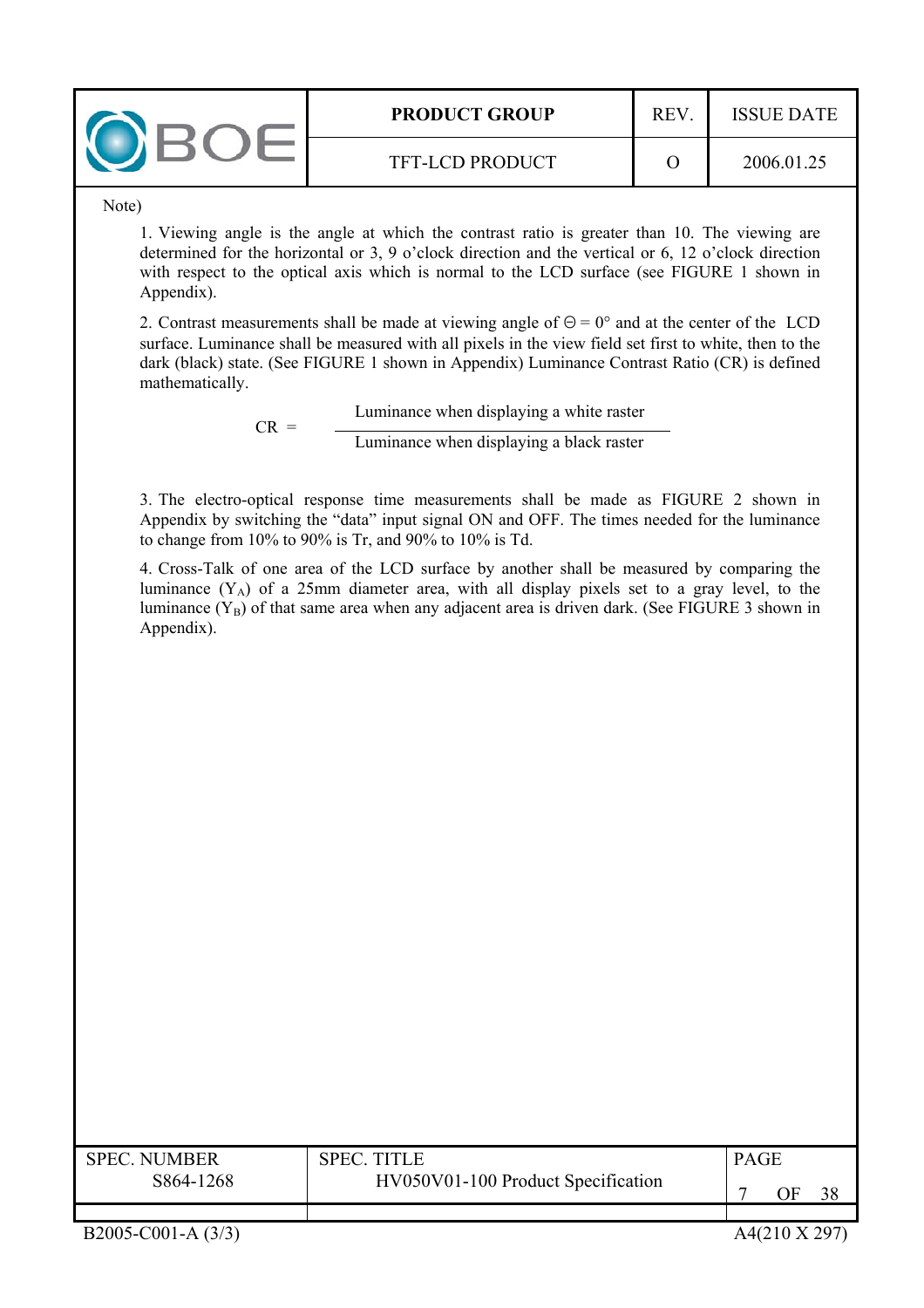| <b>PRODUCT GROUP</b>   | <b>REV</b> | <b>ISSUE DATE</b> |
|------------------------|------------|-------------------|
| <b>TFT-LCD PRODUCT</b> |            | 2006.01.25        |

Note)

1. Viewing angle is the angle at which the contrast ratio is greater than 10. The viewing are determined for the horizontal or 3, 9 o'clock direction and the vertical or 6, 12 o'clock direction with respect to the optical axis which is normal to the LCD surface (see FIGURE 1 shown in Appendix).

2. Contrast measurements shall be made at viewing angle of  $\Theta = 0^{\circ}$  and at the center of the LCD surface. Luminance shall be measured with all pixels in the view field set first to white, then to the dark (black) state. (See FIGURE 1 shown in Appendix) Luminance Contrast Ratio (CR) is defined mathematically.

> $CR =$  Luminance when displaying a white raster Luminance when displaying a black raster

3. The electro-optical response time measurements shall be made as FIGURE 2 shown in Appendix by switching the "data" input signal ON and OFF. The times needed for the luminance to change from 10% to 90% is Tr, and 90% to 10% is Td.

4. Cross-Talk of one area of the LCD surface by another shall be measured by comparing the luminance  $(Y_A)$  of a 25mm diameter area, with all display pixels set to a gray level, to the luminance  $(Y_B)$  of that same area when any adjacent area is driven dark. (See FIGURE 3 shown in Appendix).

| <b>SPEC NUMBER</b><br>S864-1268 | <b>SPEC TITLE</b><br>HV050V01-100 Product Specification | <b>PAGE</b><br>ЭF |
|---------------------------------|---------------------------------------------------------|-------------------|
|                                 |                                                         |                   |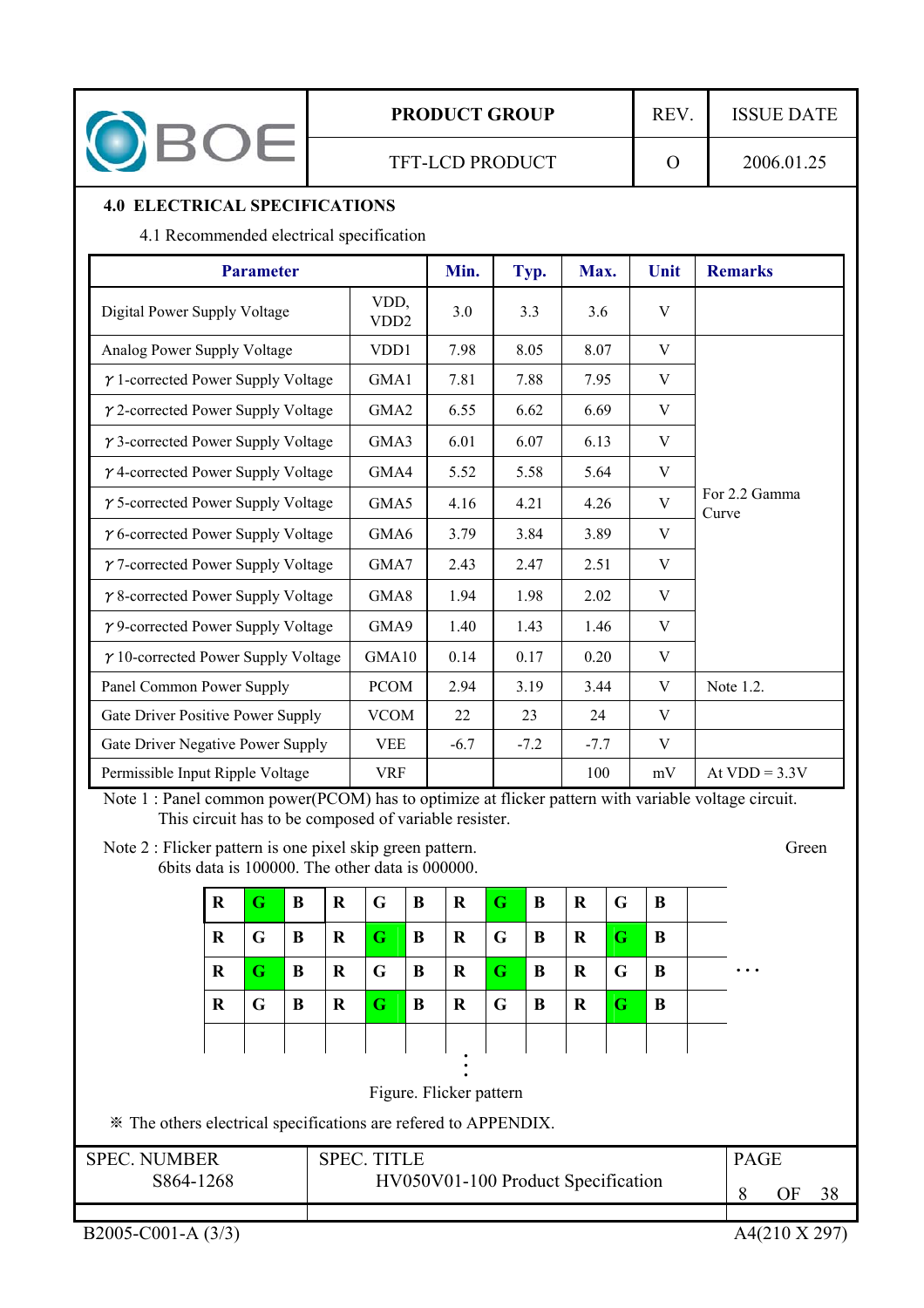

## **PRODUCT GROUP** REV. ISSUE DATE

## **4.0 ELECTRICAL SPECIFICATIONS**

4.1 Recommended electrical specification

| <b>Parameter</b>                           | Min.                      | Typ.   | Max.   | Unit   | <b>Remarks</b> |                        |
|--------------------------------------------|---------------------------|--------|--------|--------|----------------|------------------------|
| Digital Power Supply Voltage               | VDD,<br>VD <sub>D</sub> 2 | 3.0    | 3.3    | 3.6    | V              |                        |
| Analog Power Supply Voltage                | VD <sub>D</sub> 1         | 7.98   | 8.05   | 8.07   | V              |                        |
| $\gamma$ 1-corrected Power Supply Voltage  | GMA1                      | 7.81   | 7.88   | 7.95   | V              |                        |
| $\gamma$ 2-corrected Power Supply Voltage  | GMA <sub>2</sub>          | 6.55   | 6.62   | 6.69   | V              |                        |
| $\gamma$ 3-corrected Power Supply Voltage  | GMA3                      | 6.01   | 6.07   | 6.13   | V              |                        |
| $\gamma$ 4-corrected Power Supply Voltage  | GMA4                      | 5.52   | 5.58   | 5.64   | V              |                        |
| $\gamma$ 5-corrected Power Supply Voltage  | GMA5                      | 4.16   | 4.21   | 4.26   | V              | For 2.2 Gamma<br>Curve |
| $\gamma$ 6-corrected Power Supply Voltage  | GMA6                      | 3.79   | 3.84   | 3.89   | V              |                        |
| $\gamma$ 7-corrected Power Supply Voltage  | GMA7                      | 2.43   | 2.47   | 2.51   | V              |                        |
| $\gamma$ 8-corrected Power Supply Voltage  | GMA8                      | 1.94   | 1.98   | 2.02   | V              |                        |
| $\gamma$ 9-corrected Power Supply Voltage  | GMA9                      | 1.40   | 1.43   | 1.46   | V              |                        |
| $\gamma$ 10-corrected Power Supply Voltage | GMA10                     | 0.14   | 0.17   | 0.20   | V              |                        |
| Panel Common Power Supply                  | <b>PCOM</b>               | 2.94   | 3.19   | 3.44   | V              | Note 1.2.              |
| Gate Driver Positive Power Supply          | <b>VCOM</b>               | 22     | 23     | 24     | V              |                        |
| Gate Driver Negative Power Supply          | <b>VEE</b>                | $-6.7$ | $-7.2$ | $-7.7$ | V              |                        |
| Permissible Input Ripple Voltage           | <b>VRF</b>                |        |        | 100    | mV             | At $VDD = 3.3V$        |

Note 1 : Panel common power(PCOM) has to optimize at flicker pattern with variable voltage circuit. This circuit has to be composed of variable resister.

Note 2 : Flicker pattern is one pixel skip green pattern. Green 6bits data is 100000. The other data is  $000000$ .

| $\bf R$ | G. | $\mathbf B$ | $\overline{\mathbf{R}}$ | $\overline{G}$ | $\mathbf B$ | $\bf{R}$ | $\vert G \vert$ | B | $\bf{R}$ | $\overline{G}$ | $\mathbf B$  |  |
|---------|----|-------------|-------------------------|----------------|-------------|----------|-----------------|---|----------|----------------|--------------|--|
|         |    |             |                         |                |             |          |                 |   |          |                |              |  |
| R       | G  | $\mathbf B$ | $\mathbf{R}$            | $\mathbf G$    | $\bf{B}$    | $\bf R$  | $\overline{G}$  | B | $\bf R$  | G              | $\mathbf B$  |  |
| R       | G  | $\mathbf B$ | $\mathbf R$             | $\overline{G}$ | B           | $\bf R$  | $\mathbf G$     | B | $\bf R$  | $\mathsf{G}$   | B            |  |
| R       | G  | B           | $\bf R$                 | G              | B           | $\bf R$  | $\overline{G}$  | B | R        | G              | $\mathbf{B}$ |  |
|         |    |             |                         |                |             |          |                 |   |          |                |              |  |

Figure. Flicker pattern

ఐ The others electrical specifications are refered to APPENDIX.

| <b>SPEC. NUMBER</b> | <b>SPEC. TITLE</b>                 | <b>PAGE</b> |    |    |
|---------------------|------------------------------------|-------------|----|----|
| S864-1268           | HV050V01-100 Product Specification |             | ЭF | 38 |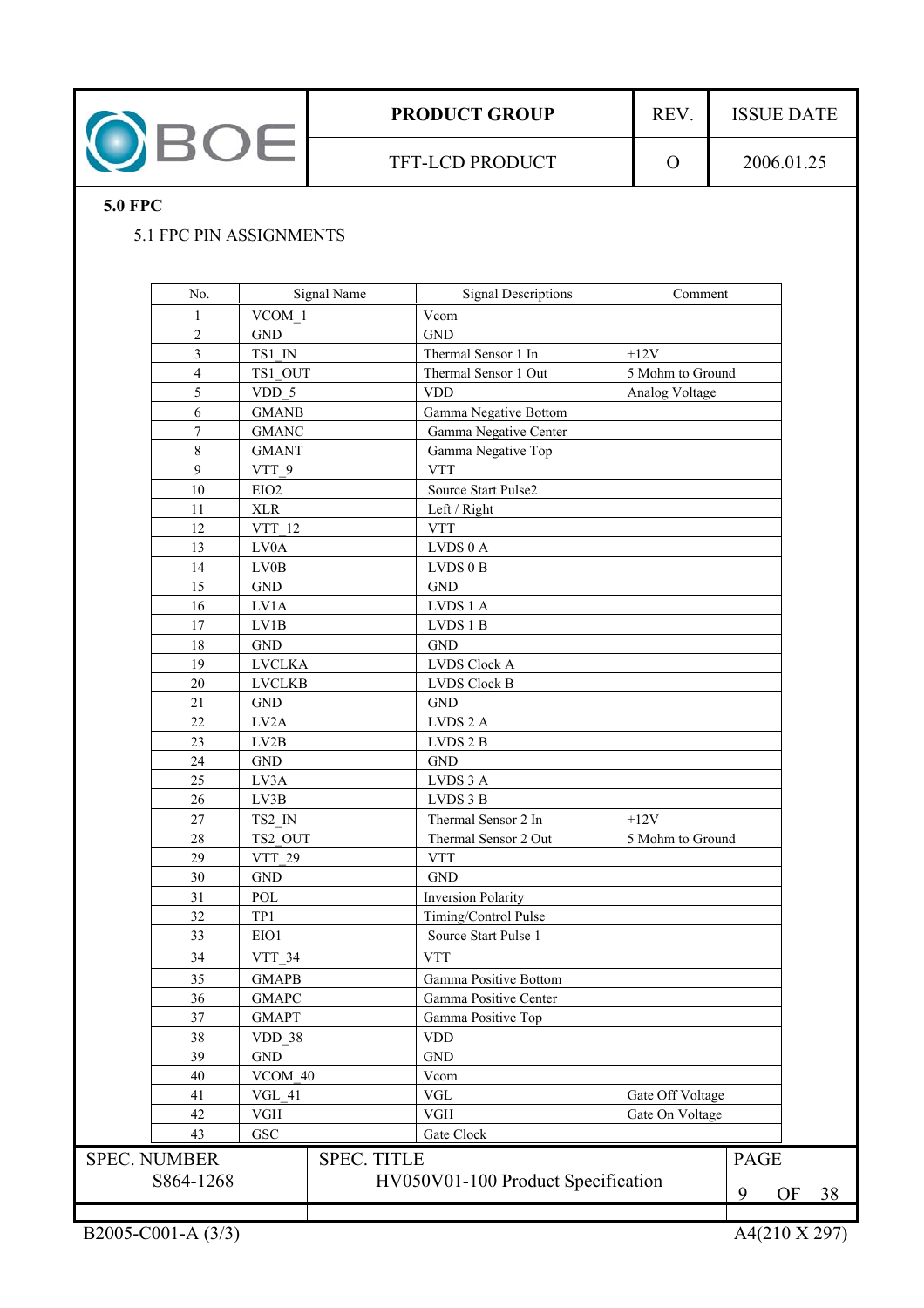

## **5.0 FPC**

## 5.1 FPC PIN ASSIGNMENTS

| No.                      |                  | Signal Name        | <b>Signal Descriptions</b>         | Comment          |             |    |    |
|--------------------------|------------------|--------------------|------------------------------------|------------------|-------------|----|----|
| 1                        | VCOM 1           |                    | Vcom                               |                  |             |    |    |
| $\overline{c}$           | <b>GND</b>       |                    | <b>GND</b>                         |                  |             |    |    |
| 3                        | TS1 IN           |                    | Thermal Sensor 1 In                | $+12V$           |             |    |    |
| $\overline{\mathcal{L}}$ | TS1 OUT          |                    | Thermal Sensor 1 Out               | 5 Mohm to Ground |             |    |    |
| 5                        | VDD 5            |                    | <b>VDD</b>                         | Analog Voltage   |             |    |    |
| 6                        | <b>GMANB</b>     |                    | Gamma Negative Bottom              |                  |             |    |    |
| $\boldsymbol{7}$         | <b>GMANC</b>     |                    | Gamma Negative Center              |                  |             |    |    |
| $\,8\,$                  | <b>GMANT</b>     |                    | Gamma Negative Top                 |                  |             |    |    |
| 9                        | VTT 9            |                    | <b>VTT</b>                         |                  |             |    |    |
| 10                       | EIO <sub>2</sub> |                    | Source Start Pulse2                |                  |             |    |    |
| 11                       | XLR              |                    | Left / Right                       |                  |             |    |    |
| 12                       | VTT 12           |                    | <b>VTT</b>                         |                  |             |    |    |
| 13                       | LV0A             |                    | LVDS 0 A                           |                  |             |    |    |
| 14                       | LV0B             |                    | LVDS 0 B                           |                  |             |    |    |
| 15                       | <b>GND</b>       |                    | <b>GND</b>                         |                  |             |    |    |
| 16                       | LV1A             |                    | LVDS 1 A                           |                  |             |    |    |
| 17                       | LV1B             |                    | LVDS 1 B                           |                  |             |    |    |
| 18                       | <b>GND</b>       |                    | <b>GND</b>                         |                  |             |    |    |
| 19                       | <b>LVCLKA</b>    |                    | <b>LVDS Clock A</b>                |                  |             |    |    |
| 20                       | <b>LVCLKB</b>    |                    | <b>LVDS Clock B</b>                |                  |             |    |    |
| 21                       | <b>GND</b>       |                    | <b>GND</b>                         |                  |             |    |    |
| 22                       | LV2A             |                    | LVDS <sub>2</sub> A                |                  |             |    |    |
| 23                       | LV2B             |                    | LVDS 2 B                           |                  |             |    |    |
| 24                       | GND              |                    | <b>GND</b>                         |                  |             |    |    |
| 25                       | LV3A             |                    | LVDS 3 A                           |                  |             |    |    |
| 26                       | LV3B             |                    | LVDS 3 B                           |                  |             |    |    |
| 27                       | TS2 IN           |                    | Thermal Sensor 2 In                | $+12V$           |             |    |    |
| $28\,$                   | TS2 OUT          |                    | Thermal Sensor 2 Out               | 5 Mohm to Ground |             |    |    |
| 29                       | VTT 29           |                    | <b>VTT</b>                         |                  |             |    |    |
| 30                       | <b>GND</b>       |                    | <b>GND</b>                         |                  |             |    |    |
| 31                       | POL              |                    | <b>Inversion Polarity</b>          |                  |             |    |    |
| 32                       | TP1              |                    | Timing/Control Pulse               |                  |             |    |    |
| 33                       | EIO1             |                    | Source Start Pulse 1               |                  |             |    |    |
| 34                       | VTT_34           |                    | <b>VTT</b>                         |                  |             |    |    |
| 35                       | <b>GMAPB</b>     |                    | Gamma Positive Bottom              |                  |             |    |    |
| 36                       | <b>GMAPC</b>     |                    | Gamma Positive Center              |                  |             |    |    |
| 37                       | <b>GMAPT</b>     |                    | Gamma Positive Top                 |                  |             |    |    |
| 38                       | <b>VDD 38</b>    |                    | <b>VDD</b>                         |                  |             |    |    |
| 39                       | <b>GND</b>       |                    | $\operatorname{GND}$               |                  |             |    |    |
| 40                       | VCOM 40          |                    | Vcom                               |                  |             |    |    |
| 41                       | VGL 41           |                    | <b>VGL</b>                         | Gate Off Voltage |             |    |    |
| 42                       | <b>VGH</b>       |                    | <b>VGH</b>                         | Gate On Voltage  |             |    |    |
| 43                       | <b>GSC</b>       |                    | Gate Clock                         |                  |             |    |    |
| <b>SPEC. NUMBER</b>      |                  | <b>SPEC. TITLE</b> |                                    |                  | <b>PAGE</b> |    |    |
|                          |                  |                    |                                    |                  |             |    |    |
| S864-1268                |                  |                    | HV050V01-100 Product Specification |                  | 9           | OF | 38 |
|                          |                  |                    |                                    |                  |             |    |    |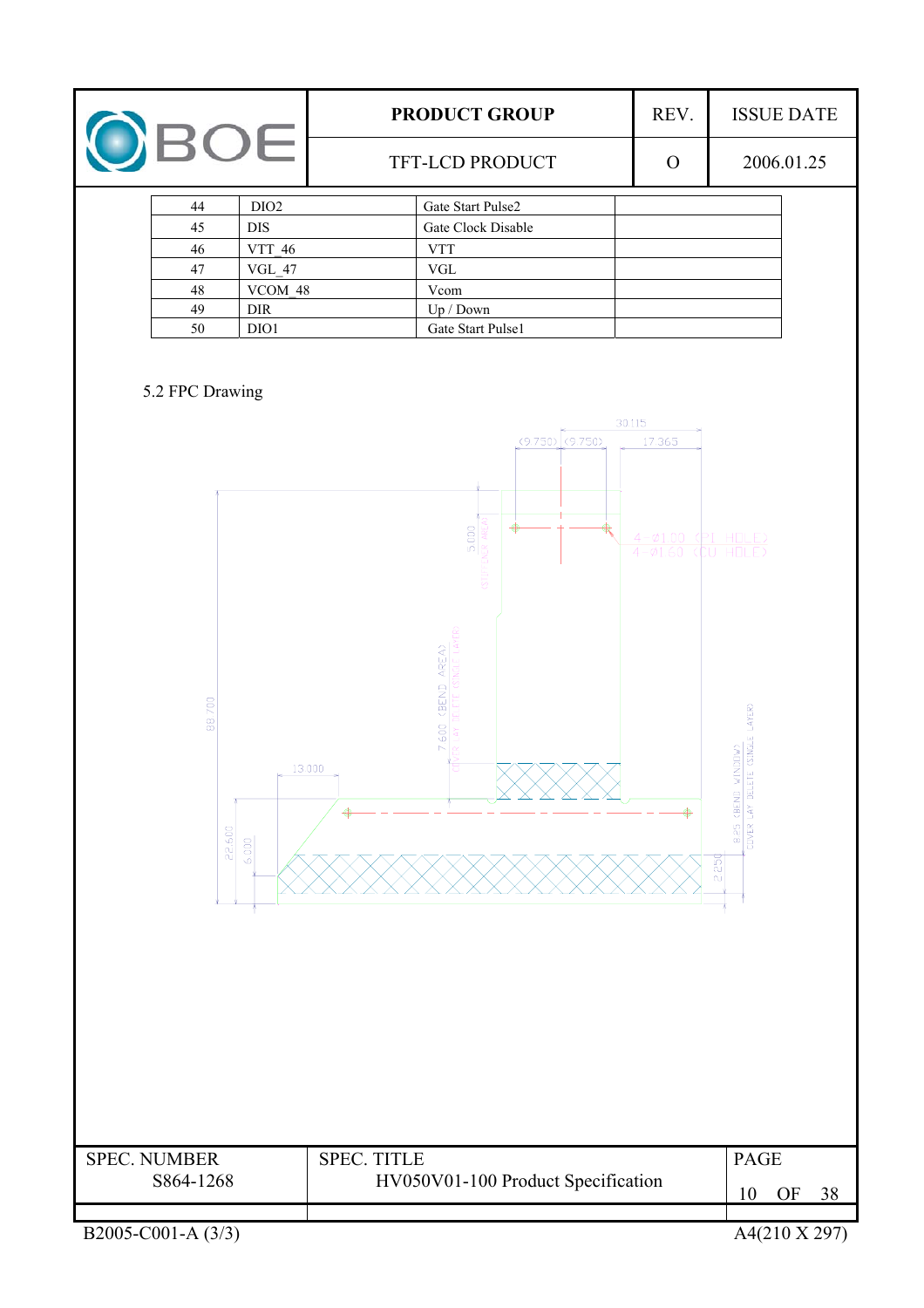|                                                                                                                                               | PRODUCT GROUP                                                                                          | REV.                                                     | <b>ISSUE DATE</b>                                                      |
|-----------------------------------------------------------------------------------------------------------------------------------------------|--------------------------------------------------------------------------------------------------------|----------------------------------------------------------|------------------------------------------------------------------------|
| OBOE                                                                                                                                          | TFT-LCD PRODUCT                                                                                        | $\mathbf{O}$                                             | 2006.01.25                                                             |
| DIO <sub>2</sub><br>44<br><b>DIS</b><br>45<br>VTT_46<br>$46\,$<br>$47\,$<br>$VGL_47$<br>$VCOM_48$<br>$48\,$<br>49<br>$\rm{DIR}$<br>50<br>DIO1 | Gate Start Pulse2<br>Gate Clock Disable<br><b>VTT</b><br>VGL<br>Vcom<br>Up / Down<br>Gate Start Pulse1 |                                                          |                                                                        |
| 5.2 FPC Drawing                                                                                                                               | (9.750)<br>(9.750)<br>5.000<br>⊕<br><b>HELS:</b>                                                       | 30.115<br>17.365<br>$4 - \phi_{1.00}$<br>$4 - \phi$ 1.60 | PI HOLE)<br>U                                                          |
| 88.700<br>22.600<br>6.000                                                                                                                     | AREA)<br><b>GEND</b><br>7.600<br>13.000                                                                |                                                          | ETE (SINGLE LAYER)<br>WINDIW<br>CBEND<br>8.25<br><b>COVER</b><br>2.250 |
| <b>SPEC. NUMBER</b><br>S864-1268                                                                                                              | <b>SPEC. TITLE</b><br>HV050V01-100 Product Specification                                               |                                                          | <b>PAGE</b><br><b>OF</b><br>10<br><u>38</u>                            |
| B <sub>2005</sub> -C001-A (3/3)                                                                                                               |                                                                                                        |                                                          | A4(210 X 297)                                                          |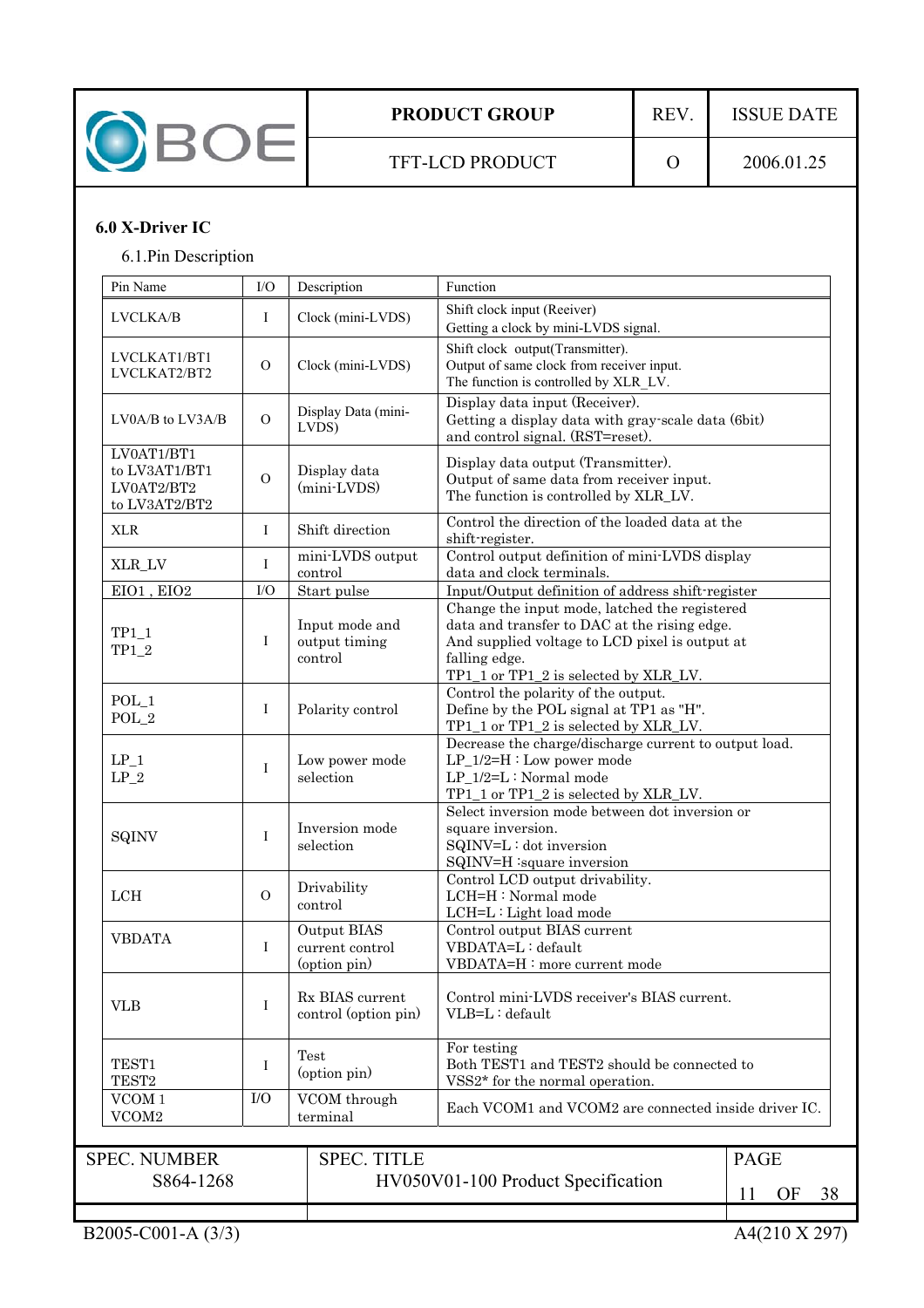

TFT-LCD PRODUCT 0 2006.01.25

## **6.0 X-Driver IC**

6.1.Pin Description

| Pin Name                                                                             | I/O            | Description                                    | Function                                                                                                                                                                                                  |                                    |  |  |  |
|--------------------------------------------------------------------------------------|----------------|------------------------------------------------|-----------------------------------------------------------------------------------------------------------------------------------------------------------------------------------------------------------|------------------------------------|--|--|--|
| LVCLKA/B                                                                             | I              | Clock (mini-LVDS)                              | Shift clock input (Reeiver)<br>Getting a clock by mini-LVDS signal.                                                                                                                                       |                                    |  |  |  |
| LVCLKAT1/BT1<br>LVCLKAT2/BT2                                                         | $\Omega$       | Clock (mini-LVDS)                              | Shift clock output(Transmitter).<br>Output of same clock from receiver input.<br>The function is controlled by XLR_LV.                                                                                    |                                    |  |  |  |
| $LV0A/B$ to $LV3A/B$                                                                 | $\mathcal{O}$  | Display Data (mini-<br>LVDS)                   | Display data input (Receiver).<br>Getting a display data with gray-scale data (6bit)<br>and control signal. (RST=reset).                                                                                  |                                    |  |  |  |
| LV0AT1/BT1<br>to LV3AT1/BT1<br>LV0AT2/BT2<br>to ${\rm L}{\rm V}3{\rm AT}2/{\rm BT}2$ | $\overline{O}$ | Display data<br>(mini-LVDS)                    | Display data output (Transmitter).<br>Output of same data from receiver input.<br>The function is controlled by XLR_LV.                                                                                   |                                    |  |  |  |
| <b>XLR</b>                                                                           | Ι              | Shift direction                                | Control the direction of the loaded data at the<br>shift-register.                                                                                                                                        |                                    |  |  |  |
| XLR_LV                                                                               | Ι              | mini-LVDS output<br>control                    | Control output definition of mini-LVDS display<br>data and clock terminals.                                                                                                                               |                                    |  |  |  |
| EIO1, EIO2                                                                           | I/O            | Start pulse                                    | Input/Output definition of address shift-register                                                                                                                                                         |                                    |  |  |  |
| $TP1_1$<br>$TP1_2$                                                                   | Ι              | Input mode and<br>output timing<br>control     | Change the input mode, latched the registered<br>data and transfer to DAC at the rising edge.<br>And supplied voltage to LCD pixel is output at<br>falling edge.<br>TP1_1 or TP1_2 is selected by XLR_LV. |                                    |  |  |  |
| $POL_1$<br>$POL_2$                                                                   | Ι              | Polarity control                               | Control the polarity of the output.<br>Define by the POL signal at TP1 as "H".<br>TP1 1 or TP1 2 is selected by XLR LV.                                                                                   |                                    |  |  |  |
| $LP_1$<br>$\mathrm{LP}_-2$                                                           | Ι              | Low power mode<br>selection                    | Decrease the charge/discharge current to output load.<br>$LP_1/2=H:$ Low power mode<br>LP_1/2=L: Normal mode<br>TP1_1 or TP1_2 is selected by XLR_LV.                                                     |                                    |  |  |  |
| SQINV                                                                                | Ι              | Inversion mode<br>selection                    | Select inversion mode between dot inversion or<br>square inversion.<br>SQINV=L: dot inversion<br>SQINV=H :square inversion                                                                                |                                    |  |  |  |
| LCH                                                                                  | $\overline{O}$ | Drivability<br>control                         | Control LCD output drivability.<br>LCH=H: Normal mode<br>LCH=L: Light load mode                                                                                                                           |                                    |  |  |  |
| <b>VBDATA</b>                                                                        | I              | Output BIAS<br>current control<br>(option pin) | Control output BIAS current<br>VBDATA=L: default<br>VBDATA=H: more current mode                                                                                                                           |                                    |  |  |  |
| <b>VLB</b>                                                                           | I              | Rx BIAS current<br>control (option pin)        | Control mini-LVDS receiver's BIAS current.<br>VLB=L: default                                                                                                                                              |                                    |  |  |  |
| TEST1<br>TEST <sub>2</sub>                                                           | Ι              | Test<br>(option pin)                           | For testing<br>Both TEST1 and TEST2 should be connected to<br>VSS2* for the normal operation.                                                                                                             |                                    |  |  |  |
| VCOM <sub>1</sub><br>VCOM2                                                           | I/O            | VCOM through<br>terminal                       | Each VCOM1 and VCOM2 are connected inside driver IC.                                                                                                                                                      |                                    |  |  |  |
| <b>SPEC. NUMBER</b><br>S864-1268                                                     |                | <b>SPEC. TITLE</b>                             | HV050V01-100 Product Specification                                                                                                                                                                        | <b>PAGE</b><br>OF<br>38<br>$\perp$ |  |  |  |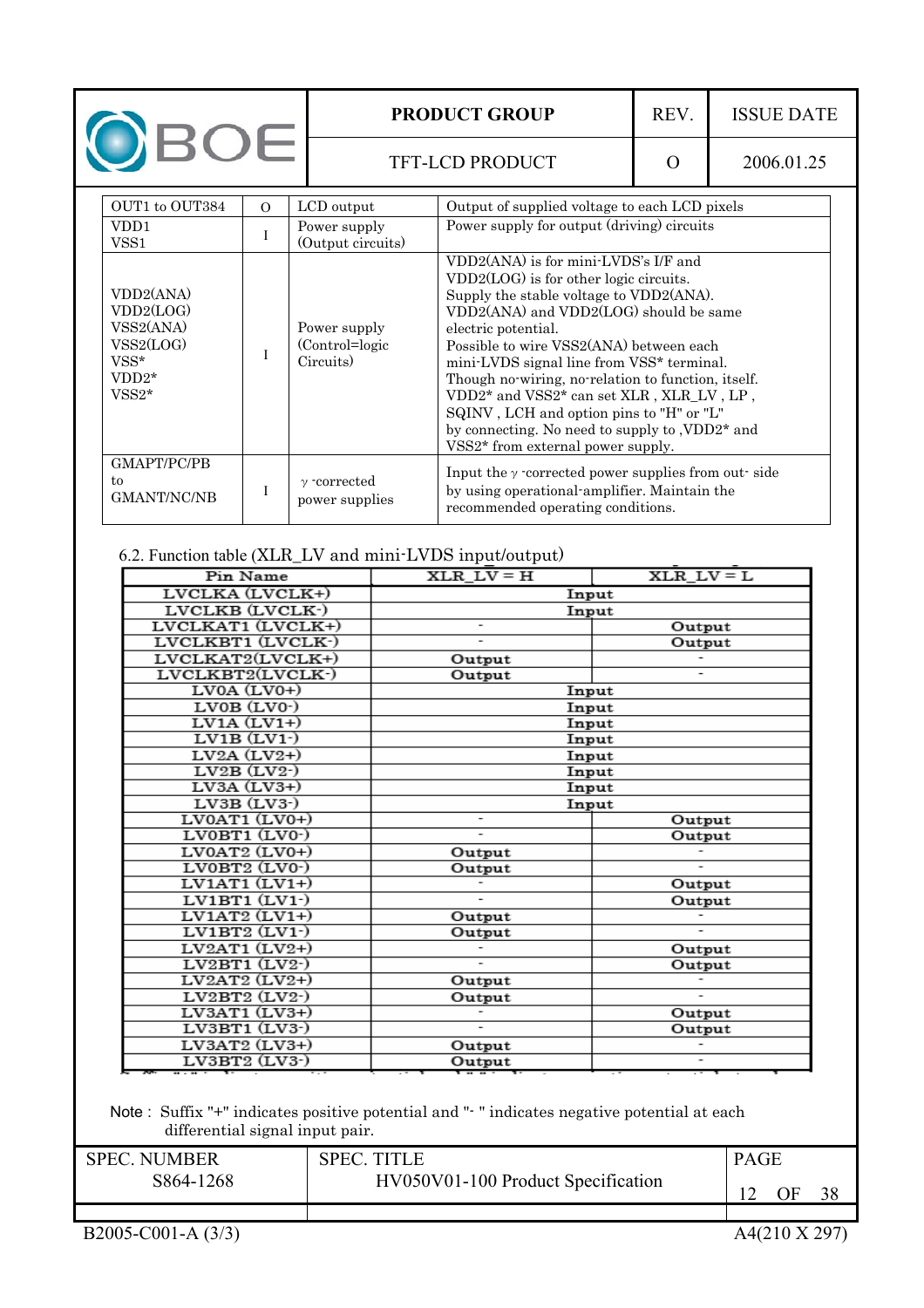|                                                                                |               |                                                 | <b>PRODUCT GROUP</b>                                                                                                                                                                                                                                                                                                                                                                                                                                                                                                                  | REV. | <b>ISSUE DATE</b> |
|--------------------------------------------------------------------------------|---------------|-------------------------------------------------|---------------------------------------------------------------------------------------------------------------------------------------------------------------------------------------------------------------------------------------------------------------------------------------------------------------------------------------------------------------------------------------------------------------------------------------------------------------------------------------------------------------------------------------|------|-------------------|
| OBOE                                                                           |               |                                                 | TFT-LCD PRODUCT                                                                                                                                                                                                                                                                                                                                                                                                                                                                                                                       | O    | 2006.01.25        |
| OUT1 to OUT384<br>VD <sub>D</sub> 1<br>VSS <sub>1</sub>                        | $\Omega$<br>I | LCD output<br>Power supply<br>(Output circuits) | Output of supplied voltage to each LCD pixels<br>Power supply for output (driving) circuits                                                                                                                                                                                                                                                                                                                                                                                                                                           |      |                   |
| VDD2(ANA)<br>VDD2(LOG)<br>VSS2(ANA)<br>VSS2(LOG)<br>VSS*<br>$VDD2*$<br>$VSS2*$ |               | Power supply<br>(Control=logic)<br>Circuits)    | VDD2(ANA) is for mini-LVDS's I/F and<br>VDD2(LOG) is for other logic circuits.<br>Supply the stable voltage to VDD2(ANA).<br>VDD2(ANA) and VDD2(LOG) should be same<br>electric potential.<br>Possible to wire VSS2(ANA) between each<br>mini-LVDS signal line from VSS* terminal.<br>Though no wiring, no relation to function, itself.<br>VDD2* and VSS2* can set XLR , XLR_LV, LP,<br>SQINV, LCH and option pins to "H" or "L"<br>by connecting. No need to supply to , VDD2 <sup>*</sup> and<br>VSS2* from external power supply. |      |                   |
| GMAPT/PC/PB<br>to<br><b>GMANT/NC/NB</b>                                        |               | $\gamma$ -corrected<br>power supplies           | Input the $\gamma$ -corrected power supplies from out-side<br>by using operational amplifier. Maintain the<br>recommended operating conditions.                                                                                                                                                                                                                                                                                                                                                                                       |      |                   |

## 6.2. Function table (XLR\_LV and mini-LVDS input/output)

| Pin Name                 | $XLR_LV = H$                 | $XLR_LV = L$ |
|--------------------------|------------------------------|--------------|
| LVCLKA (LVCLK+)          | Input                        |              |
| LVCLKB (LVCLK-)          | Input                        |              |
| LVCLKAT1 (LVCLK+)        |                              | Output       |
| LVCLKBT1 (LVCLK-)        |                              | Output       |
| LVCLKAT2(LVCLK+)         | Output                       |              |
| LVCLKBT2(LVCLK-)         | Output                       |              |
| $LVOA (LV0+)$            | Input                        |              |
| LVOB (LVO <sub>2</sub> ) | Input                        |              |
| $LV1A (LV1+)$            | Input                        |              |
| $LV1B (LV1-)$            | Input                        |              |
| $LV2A (LV2+)$            | Input                        |              |
| $LV2B (LV2-)$            | Input                        |              |
| $LV3A (LV3+)$            | Input                        |              |
| LV3B (LV3-)              | Input                        |              |
| $LV0AT1$ $(LV0+)$        | $\qquad \qquad \blacksquare$ | Output       |
| LV0BT1 (LV0-)            | $\overline{a}$               | Output       |
| LV0AT2 (LV0+)            | Output                       |              |
| LV0BT2 (LV0-)            | Output                       | ۰            |
| $LVIAT1$ $(LVI+)$        |                              | Output       |
| LV1BT1 (LV1-)            |                              | Output       |
| $LV1AT2(LVI+)$           | Output                       |              |
| $LV1BT2$ $(LV1-)$        | Output                       |              |
| $LV2AT1(LV2+)$           |                              | Output       |
| $LV2BT1$ $(LV2-)$        | $\overline{\phantom{0}}$     | Output       |
| $LV2AT2(LV2+)$           | Output                       |              |
| $LV2BT2$ $(LV2-)$        | Output                       |              |
| LV3AT1 (LV3+)            |                              | Output       |
| $LV3BT1$ $(LV3-)$        |                              | Output       |
| $LV3AT2$ $(LV3+)$        | Output                       |              |
| $LV3BT2$ $(LV3-)$        | Output                       |              |

### Note : Suffix "+" indicates positive potential and "- " indicates negative potential at each differential signal input pair.

| <b>SPEC NUMBER</b> | <b>SPEC TITLE</b>                  | <b>PAGE</b> |    |    |
|--------------------|------------------------------------|-------------|----|----|
| S864-1268          | HV050V01-100 Product Specification |             | )F | 38 |
|                    |                                    |             |    |    |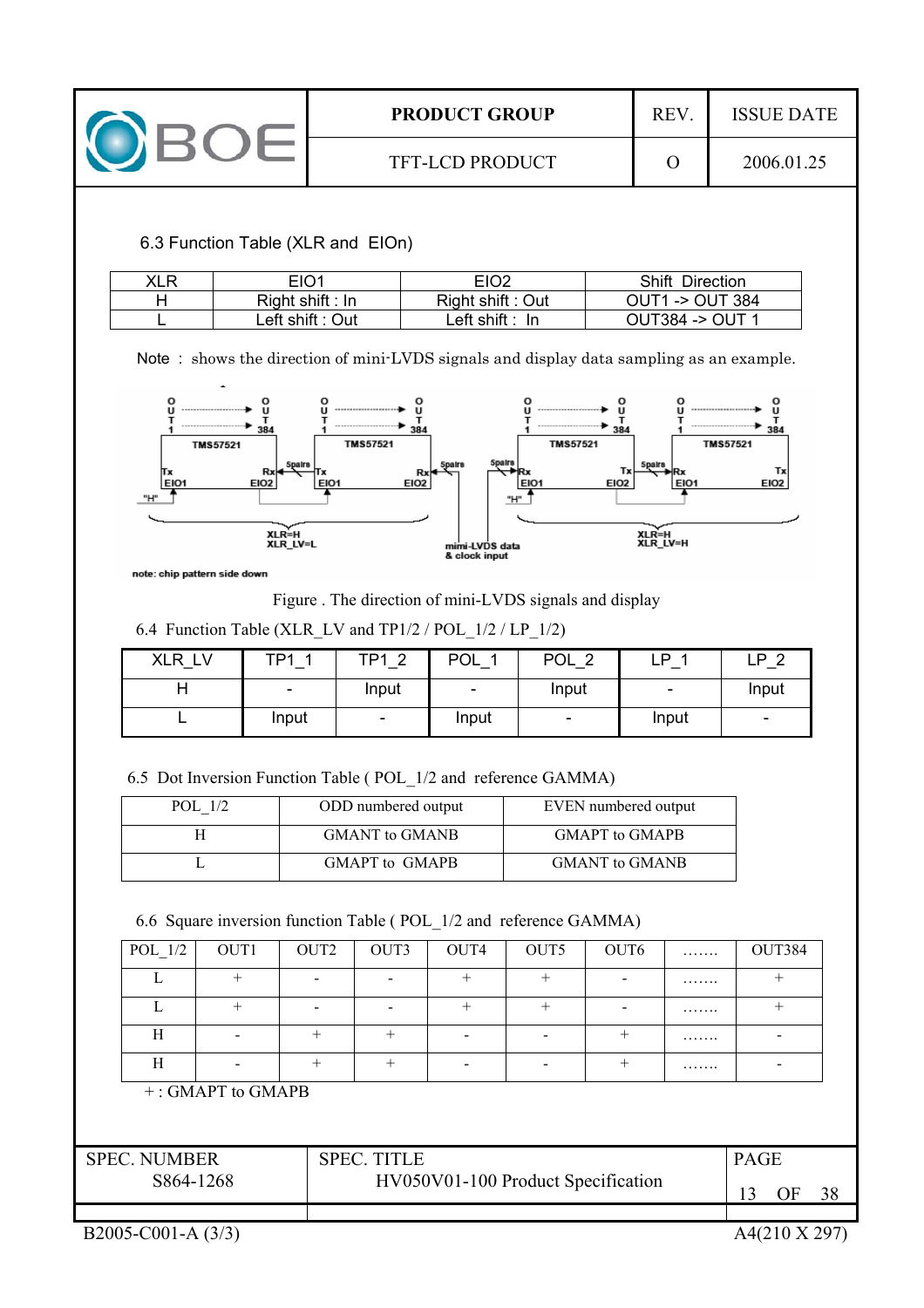

6.3 Function Table (XLR and EIOn)

| XLR | EIO1               | EIO <sub>2</sub>           | <b>Shift Direction</b> |
|-----|--------------------|----------------------------|------------------------|
|     | $Right$ shift : In | Right shift: Out           | $OUT1 - 2$ OUT 384     |
|     | Left shift : Out   | Left shift $: \mathsf{In}$ | OUT384 -> OUT 1        |

Note : shows the direction of mini-LVDS signals and display data sampling as an example.



note: chip pattern side down

Figure . The direction of mini-LVDS signals and display

6.4 Function Table (XLR\_LV and TP1/2 / POL\_1/2 / LP\_1/2)

| <b>XLR</b><br><b>LV</b> | TD1                      | TD1<br>$\sim$            | POL            | <b>POL</b><br>ົ          | D     | P<br>⌒                   |
|-------------------------|--------------------------|--------------------------|----------------|--------------------------|-------|--------------------------|
|                         | $\overline{\phantom{0}}$ | Input                    | $\blacksquare$ | Input                    | $\,$  | Input                    |
|                         | Input                    | $\overline{\phantom{a}}$ | Input          | $\overline{\phantom{a}}$ | Input | $\overline{\phantom{a}}$ |

6.5 Dot Inversion Function Table ( POL\_1/2 and reference GAMMA)

| POL 1/2 | ODD numbered output   | EVEN numbered output  |
|---------|-----------------------|-----------------------|
|         | <b>GMANT</b> to GMANB | <b>GMAPT</b> to GMAPB |
|         | GMAPT to GMAPB        | <b>GMANT</b> to GMANB |

## 6.6 Square inversion function Table ( POL\_1/2 and reference GAMMA)

| POL 1/2 | OUT1 | OUT <sub>2</sub> | OUT3 | OUT4 | OUT5 | OUT6 | . | OUT384 |
|---------|------|------------------|------|------|------|------|---|--------|
|         |      |                  |      |      |      |      | . |        |
|         |      |                  |      |      |      |      | . |        |
| H       |      |                  |      |      |      |      | . |        |
| Н       |      |                  |      |      |      |      | . |        |

+ : GMAPT to GMAPB

| <b>SPEC. NUMBER</b> | <b>SPEC. TITLE</b>                 | <b>PAGE</b> |
|---------------------|------------------------------------|-------------|
| S864-1268           | HV050V01-100 Product Specification | 38          |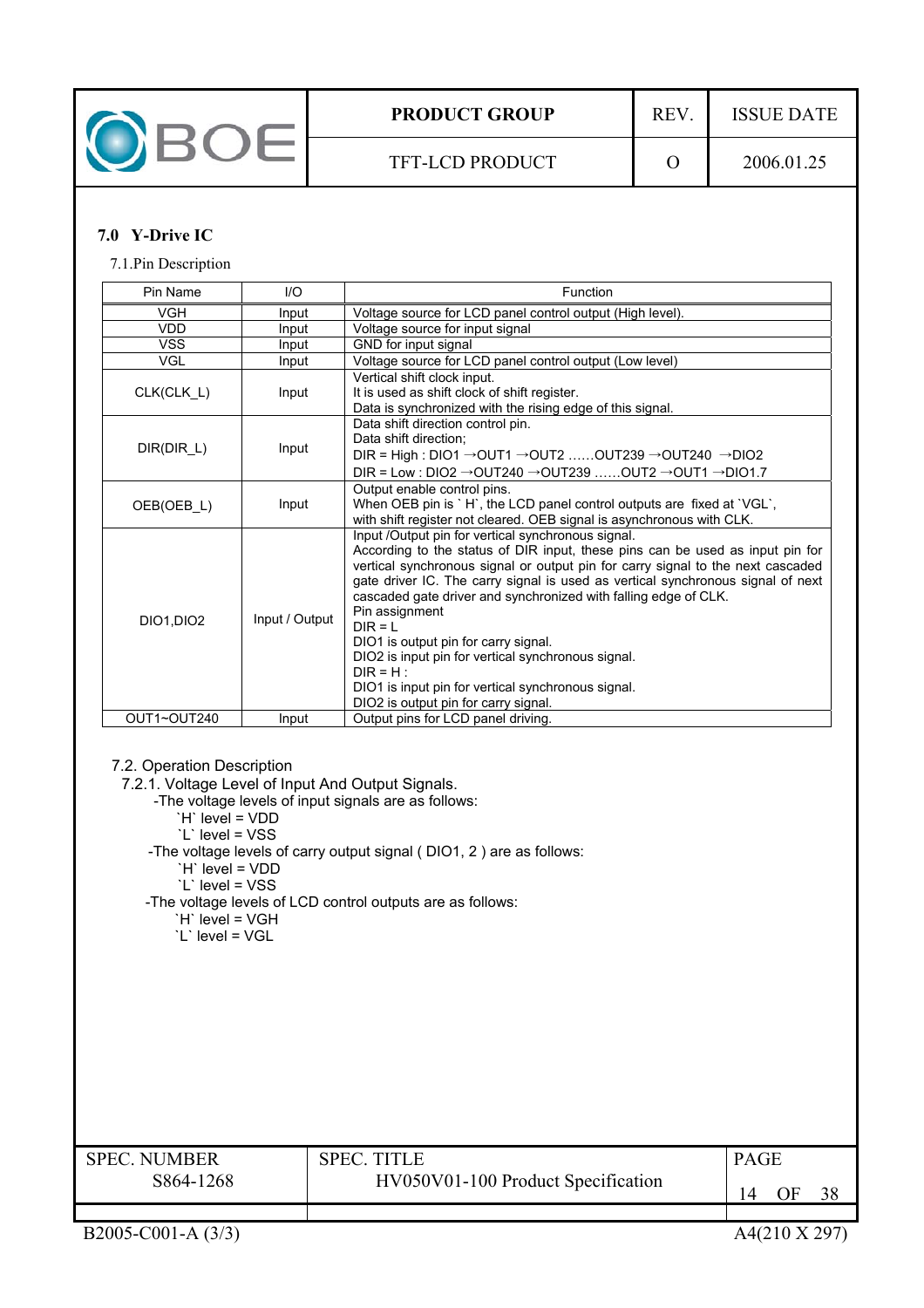

## **7.0 Y-Drive IC**

7.1.Pin Description

| Pin Name    | I/O            | Function                                                                                                                                                                                                                                                                                                                                                                                                                                                                                                                                                                                                               |
|-------------|----------------|------------------------------------------------------------------------------------------------------------------------------------------------------------------------------------------------------------------------------------------------------------------------------------------------------------------------------------------------------------------------------------------------------------------------------------------------------------------------------------------------------------------------------------------------------------------------------------------------------------------------|
| <b>VGH</b>  | Input          | Voltage source for LCD panel control output (High level).                                                                                                                                                                                                                                                                                                                                                                                                                                                                                                                                                              |
| <b>VDD</b>  | Input          | Voltage source for input signal                                                                                                                                                                                                                                                                                                                                                                                                                                                                                                                                                                                        |
| <b>VSS</b>  | Input          | GND for input signal                                                                                                                                                                                                                                                                                                                                                                                                                                                                                                                                                                                                   |
| <b>VGL</b>  | Input          | Voltage source for LCD panel control output (Low level)                                                                                                                                                                                                                                                                                                                                                                                                                                                                                                                                                                |
| CLK(CLK_L)  | Input          | Vertical shift clock input.<br>It is used as shift clock of shift register.<br>Data is synchronized with the rising edge of this signal.                                                                                                                                                                                                                                                                                                                                                                                                                                                                               |
| DIR(DIR_L)  | Input          | Data shift direction control pin.<br>Data shift direction;<br>DIR = High : DIO1 $\rightarrow$ OUT1 $\rightarrow$ OUT2  OUT239 $\rightarrow$ OUT240 $\rightarrow$ DIO2<br>DIR = Low : DIO2 $\rightarrow$ OUT240 $\rightarrow$ OUT239  OUT2 $\rightarrow$ OUT1 $\rightarrow$ DIO1.7                                                                                                                                                                                                                                                                                                                                      |
| OEB(OEB L)  | Input          | Output enable control pins.<br>When OEB pin is `H`, the LCD panel control outputs are fixed at `VGL`,<br>with shift register not cleared. OEB signal is asynchronous with CLK.                                                                                                                                                                                                                                                                                                                                                                                                                                         |
| DIO1, DIO2  | Input / Output | Input /Output pin for vertical synchronous signal.<br>According to the status of DIR input, these pins can be used as input pin for<br>vertical synchronous signal or output pin for carry signal to the next cascaded<br>gate driver IC. The carry signal is used as vertical synchronous signal of next<br>cascaded gate driver and synchronized with falling edge of CLK.<br>Pin assignment<br>$DIR = L$<br>DIO1 is output pin for carry signal.<br>DIO2 is input pin for vertical synchronous signal.<br>$DIR = H$ :<br>DIO1 is input pin for vertical synchronous signal.<br>DIO2 is output pin for carry signal. |
| OUT1~OUT240 | Input          | Output pins for LCD panel driving.                                                                                                                                                                                                                                                                                                                                                                                                                                                                                                                                                                                     |

#### 7.2. Operation Description

7.2.1. Voltage Level of Input And Output Signals.

- -The voltage levels of input signals are as follows:
	- `H` level = VDD
	- `L` level = VSS
- -The voltage levels of carry output signal ( DIO1, 2 ) are as follows:
	- `H` level = VDD
	- `L` level = VSS
- -The voltage levels of LCD control outputs are as follows:
	- `H` level = VGH `L` level = VGL

| <b>SPEC. NUMBER</b> | SPEC TITLE                         |    |
|---------------------|------------------------------------|----|
| S864-1268           | HV050V01-100 Product Specification | 38 |
|                     |                                    |    |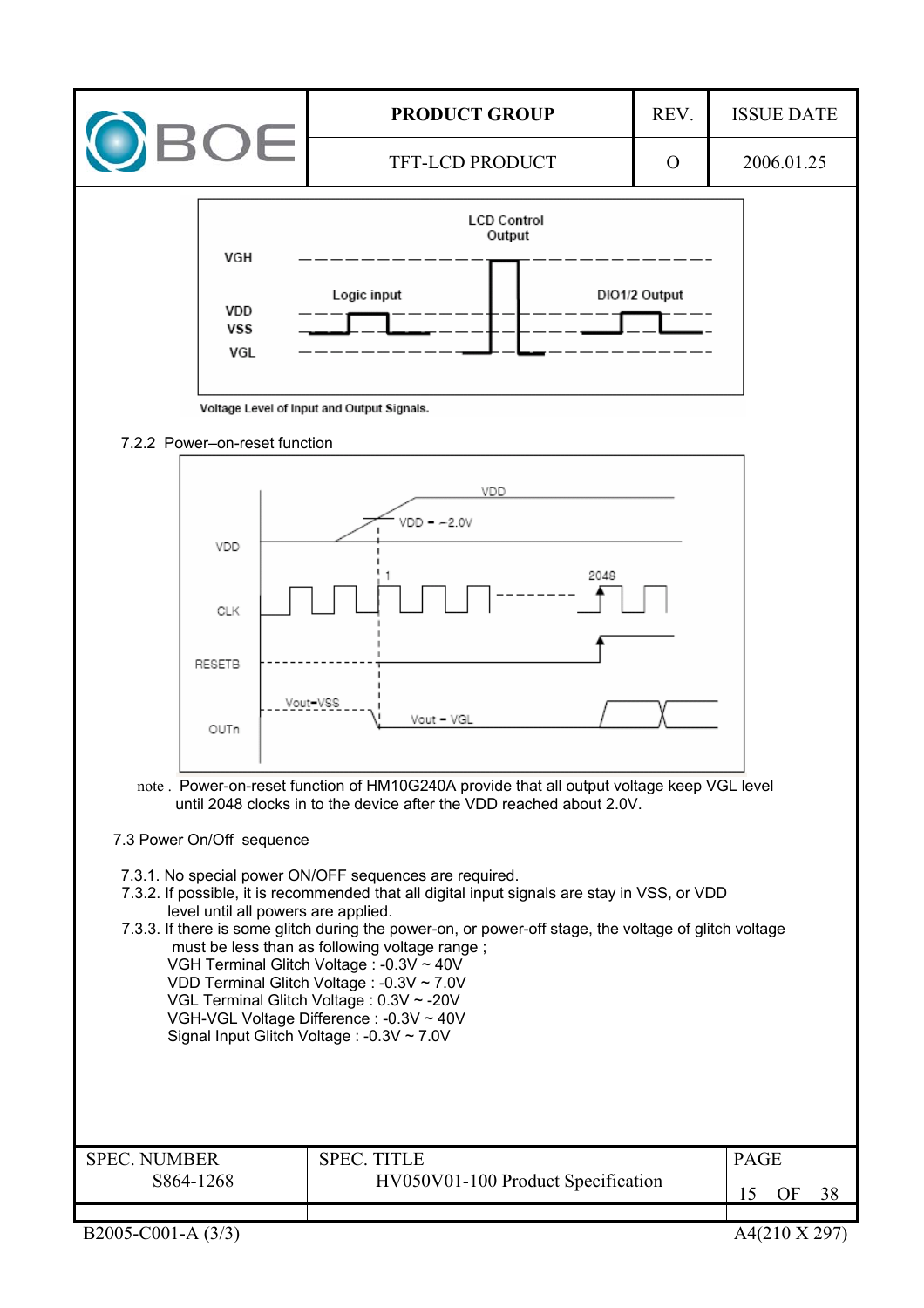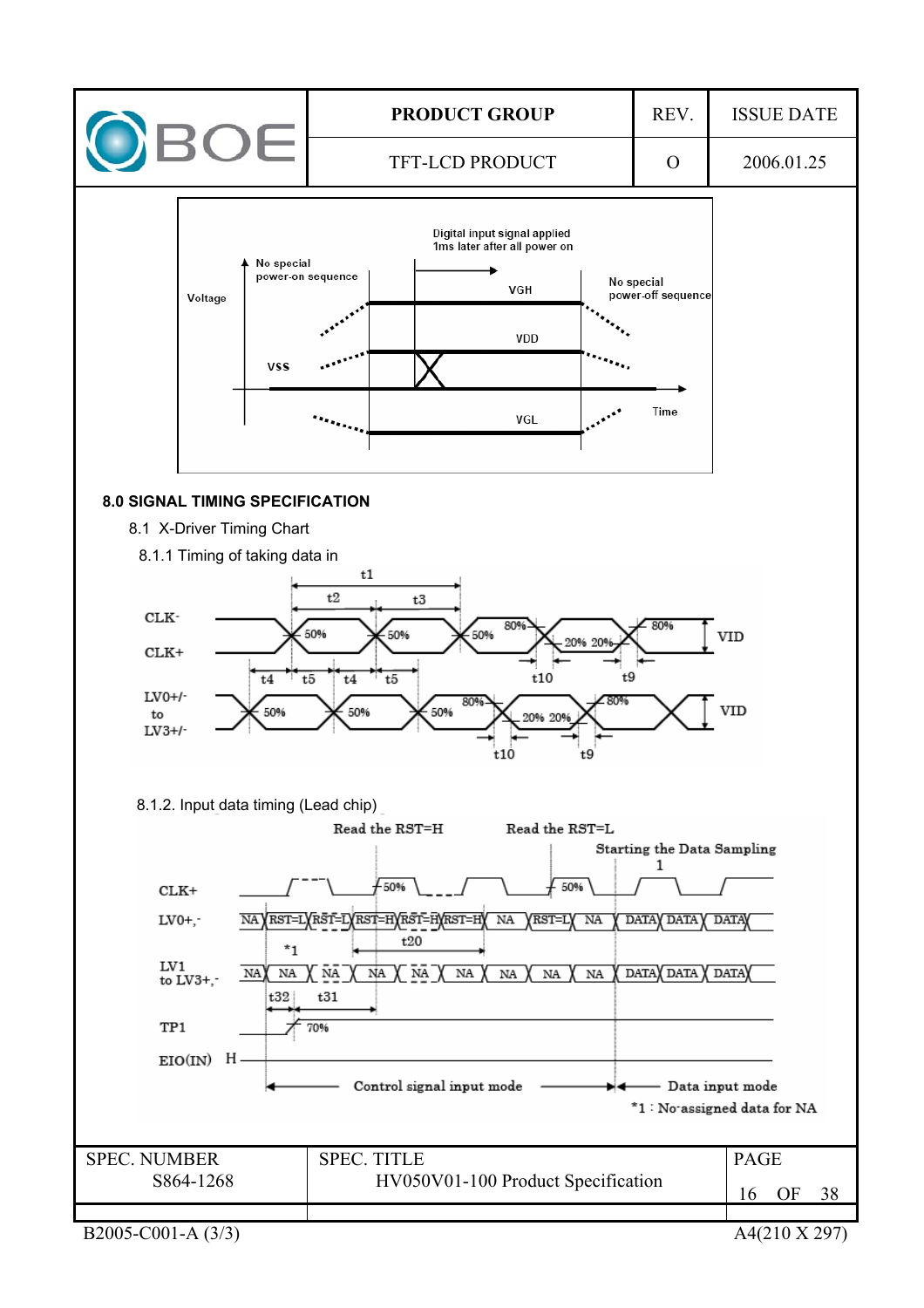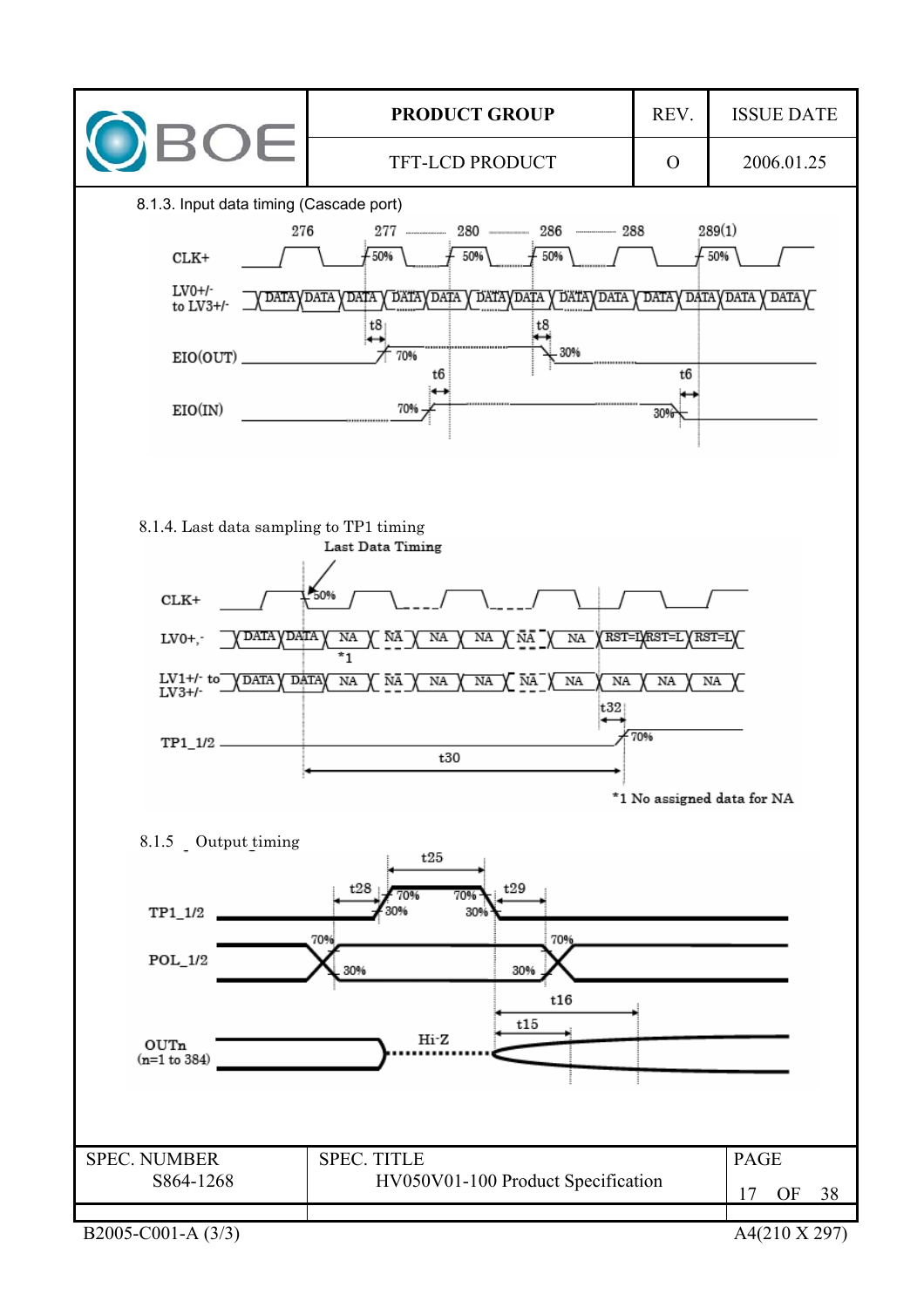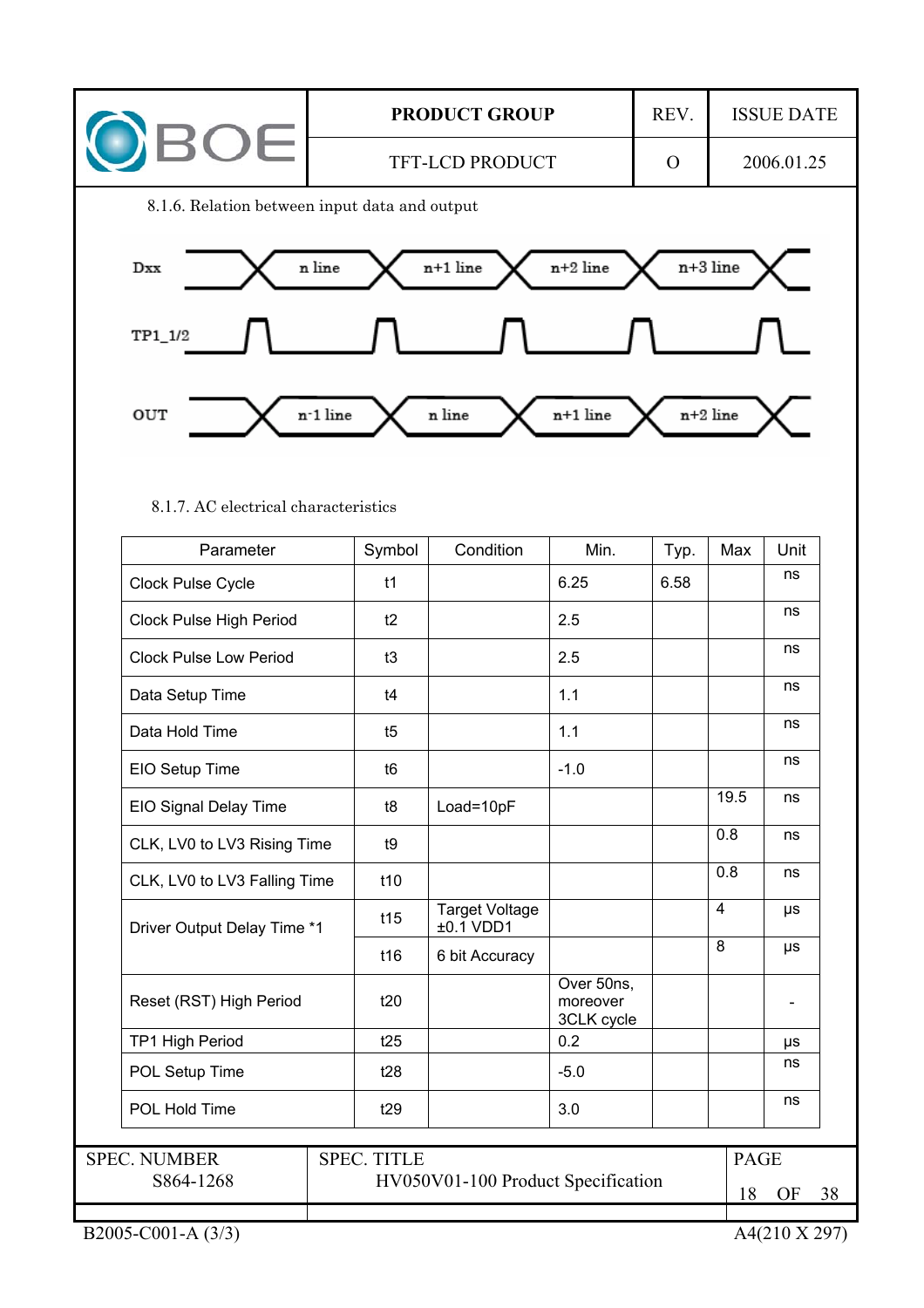

8.1.7. AC electrical characteristics

| Parameter                     | Symbol             | Condition                          | Min.                                 | Typ. | Max            | Unit    |
|-------------------------------|--------------------|------------------------------------|--------------------------------------|------|----------------|---------|
| Clock Pulse Cycle             | t1                 |                                    | 6.25                                 | 6.58 |                | ns      |
| Clock Pulse High Period       | t2                 |                                    | 2.5                                  |      |                | ns      |
| <b>Clock Pulse Low Period</b> | t3                 |                                    | 2.5                                  |      |                | ns      |
| Data Setup Time               | t4                 |                                    | 1.1                                  |      |                | ns      |
| Data Hold Time                | t5                 |                                    | 1.1                                  |      |                | ns      |
| EIO Setup Time                | t <sub>6</sub>     |                                    | $-1.0$                               |      |                | ns      |
| EIO Signal Delay Time         | t8                 | Load=10pF                          |                                      |      | 19.5           | ns      |
| CLK, LV0 to LV3 Rising Time   | t9                 |                                    |                                      |      | 0.8            | ns      |
| CLK, LV0 to LV3 Falling Time  | t10                |                                    |                                      |      | 0.8            | ns      |
| Driver Output Delay Time *1   | t15                | <b>Target Voltage</b><br>±0.1 VDD1 |                                      |      | $\overline{4}$ | μs      |
|                               | t16                | 6 bit Accuracy                     |                                      |      | 8              | $\mu s$ |
| Reset (RST) High Period       | t20                |                                    | Over 50ns,<br>moreover<br>3CLK cycle |      |                |         |
| <b>TP1 High Period</b>        | t25                |                                    | 0.2                                  |      |                | μs      |
| POL Setup Time                | t28                |                                    | $-5.0$                               |      |                | ns      |
| POL Hold Time                 | t29                |                                    | 3.0                                  |      |                | ns      |
| <b>SPEC. NUMBER</b>           | <b>SPEC. TITLE</b> |                                    |                                      |      | <b>PAGE</b>    |         |
| S864-1268                     |                    | HV050V01-100 Product Specification |                                      |      | 18             | OF      |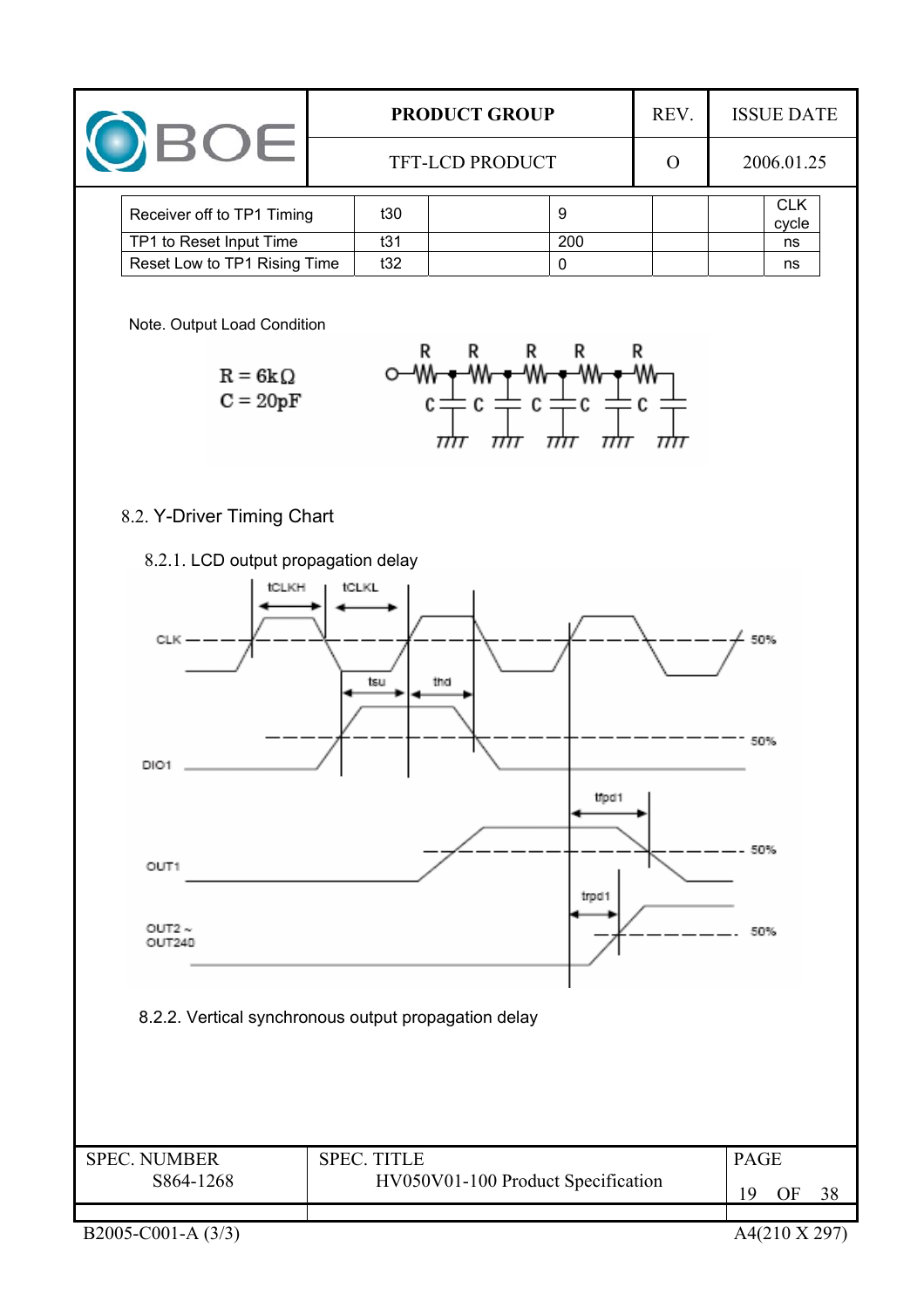|  |                              |                        | <b>PRODUCT GROUP</b> |  |     |  | <b>ISSUE DATE</b>   |  |
|--|------------------------------|------------------------|----------------------|--|-----|--|---------------------|--|
|  |                              | <b>TFT-LCD PRODUCT</b> |                      |  |     |  | 2006.01.25          |  |
|  | Receiver off to TP1 Timing   |                        | t30                  |  | 9   |  | <b>CLK</b><br>cycle |  |
|  | TP1 to Reset Input Time      |                        | t31                  |  | 200 |  | ns                  |  |
|  | Reset Low to TP1 Rising Time |                        | t32                  |  |     |  | ns                  |  |

Note. Output Load Condition



## 8.2. Y-Driver Timing Chart





B2005-C001-A (3/3) A4(210 X 297)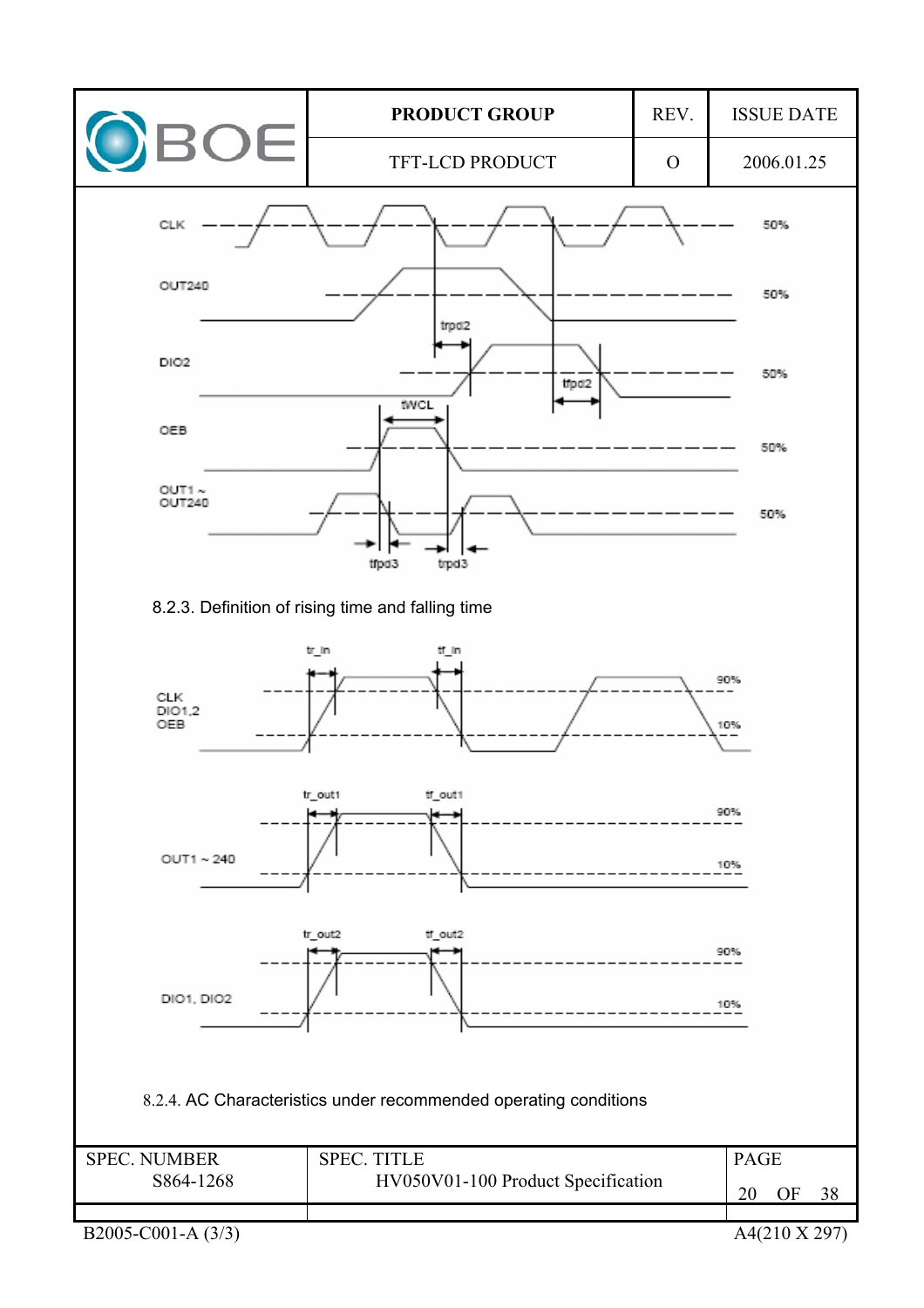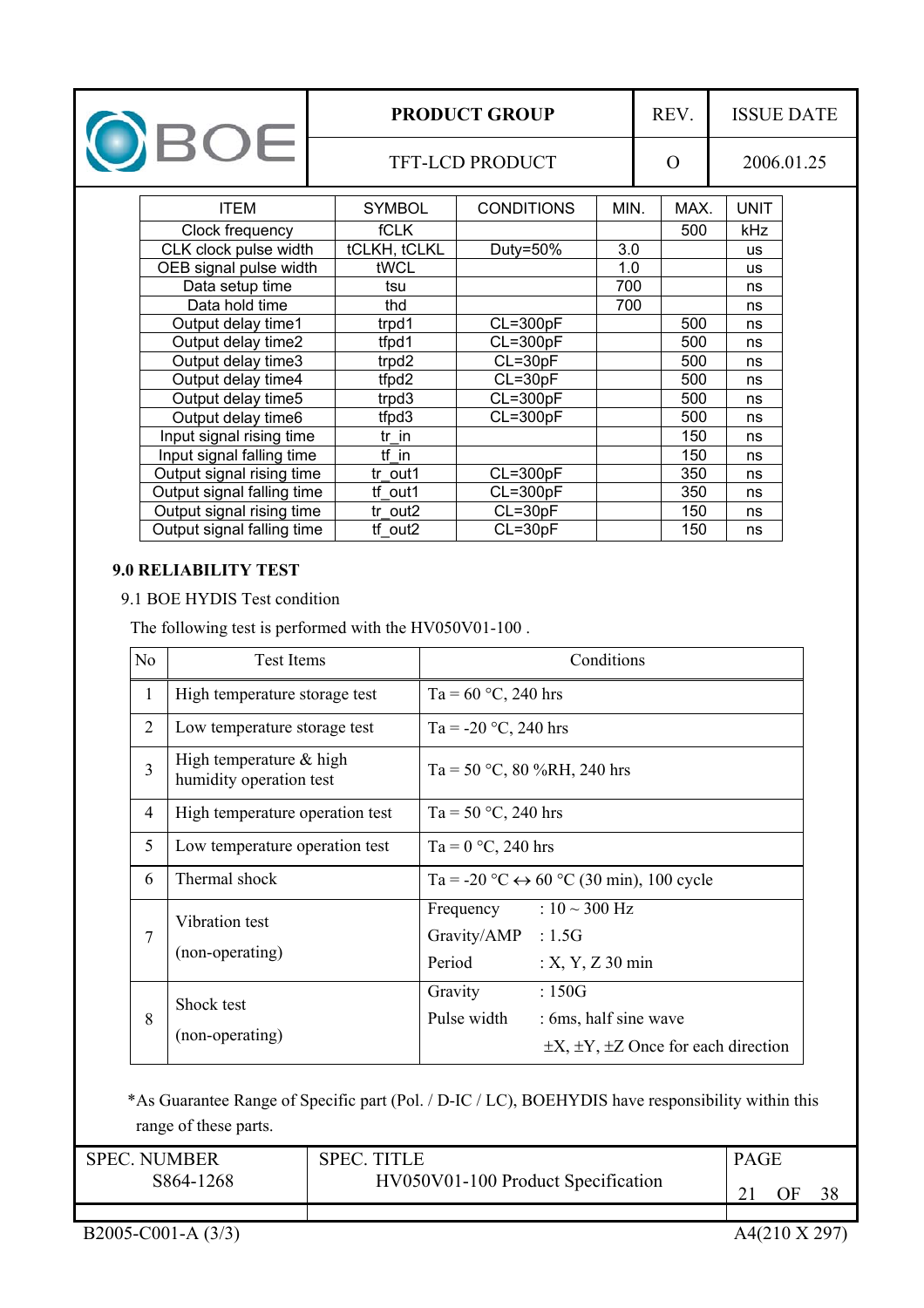| OBOE |                            | <b>PRODUCT GROUP</b> |                        |      | REV. |          | <b>ISSUE DATE</b> |            |  |
|------|----------------------------|----------------------|------------------------|------|------|----------|-------------------|------------|--|
|      |                            |                      | <b>TFT-LCD PRODUCT</b> |      |      | $\Omega$ |                   | 2006.01.25 |  |
|      | <b>ITEM</b>                | <b>SYMBOL</b>        | <b>CONDITIONS</b>      | MIN. |      | MAX.     | <b>UNIT</b>       |            |  |
|      | Clock frequency            | <b>fCLK</b>          |                        |      |      | 500      | kHz               |            |  |
|      | CLK clock pulse width      | tCLKH, tCLKL         | Duty=50%               | 3.0  |      |          | <b>US</b>         |            |  |
|      | OEB signal pulse width     | tWCL                 |                        | 1.0  |      |          | <b>US</b>         |            |  |
|      | Data setup time            | tsu                  |                        | 700  |      |          | ns                |            |  |
|      | Data hold time             | thd                  |                        | 700  |      |          | ns                |            |  |
|      | Output delay time1         | trpd1                | $CL=300pF$             |      |      | 500      | ns                |            |  |
|      | Output delay time2         | tfpd1                | $CL = 300pF$           |      |      | 500      | ns                |            |  |
|      | Output delay time3         | trpd2                | $CL = 30pF$            |      |      | 500      | ns                |            |  |
|      | Output delay time4         | tfpd2                | $CL = 30pF$            |      |      | 500      | ns                |            |  |
|      | Output delay time5         | trpd3                | $CL = 300pF$           |      |      | 500      | ns                |            |  |
|      | Output delay time6         | tfpd3                | $CL = 300pF$           |      |      | 500      | ns                |            |  |
|      | Input signal rising time   | tr in                |                        |      |      | 150      | ns                |            |  |
|      | Input signal falling time  | tf in                |                        |      |      | 150      | ns                |            |  |
|      | Output signal rising time  | tr out1              | $CL = 300pF$           |      |      | 350      | ns                |            |  |
|      | Output signal falling time | tf out1              | $CL = 300pF$           |      |      | 350      | ns                |            |  |
|      | Output signal rising time  | tr_out2              | $CL = 30pF$            |      |      | 150      | ns                |            |  |
|      | Output signal falling time | tf out2              | $CL = 30pF$            |      |      | 150      | ns                |            |  |

## **9.0 RELIABILITY TEST**

9.1 BOE HYDIS Test condition

The following test is performed with the HV050V01-100 .

| N <sub>o</sub> | <b>Test Items</b>                                    | Conditions                                                                                                      |
|----------------|------------------------------------------------------|-----------------------------------------------------------------------------------------------------------------|
| 1              | High temperature storage test                        | Ta = $60$ °C, 240 hrs                                                                                           |
| $\overline{2}$ | Low temperature storage test                         | Ta = -20 $\degree$ C, 240 hrs                                                                                   |
| $\overline{3}$ | High temperature $&$ high<br>humidity operation test | Ta = 50 °C, 80 %RH, 240 hrs                                                                                     |
| 4              | High temperature operation test                      | Ta = 50 °C, 240 hrs                                                                                             |
| 5              | Low temperature operation test                       | Ta = $0 °C$ , 240 hrs                                                                                           |
| 6              | Thermal shock                                        | Ta = -20 °C $\leftrightarrow$ 60 °C (30 min), 100 cycle                                                         |
| 7              | Vibration test<br>(non-operating)                    | : $10 \sim 300 \text{ Hz}$<br>Frequency<br>Gravity/AMP : 1.5G<br>Period<br>$: X, Y, Z$ 30 min                   |
| 8              | Shock test<br>(non-operating)                        | Gravity<br>:150G<br>Pulse width<br>: 6ms, half sine wave<br>$\pm X$ , $\pm Y$ , $\pm Z$ Once for each direction |

 \*As Guarantee Range of Specific part (Pol. / D-IC / LC), BOEHYDIS have responsibility within this range of these parts.

| <b>SPEC NUMBER</b> | SPEC. TITLE                        | <b>PAGE</b> |    |    |
|--------------------|------------------------------------|-------------|----|----|
| S864-1268          | HV050V01-100 Product Specification |             | )F | 38 |
|                    |                                    |             |    |    |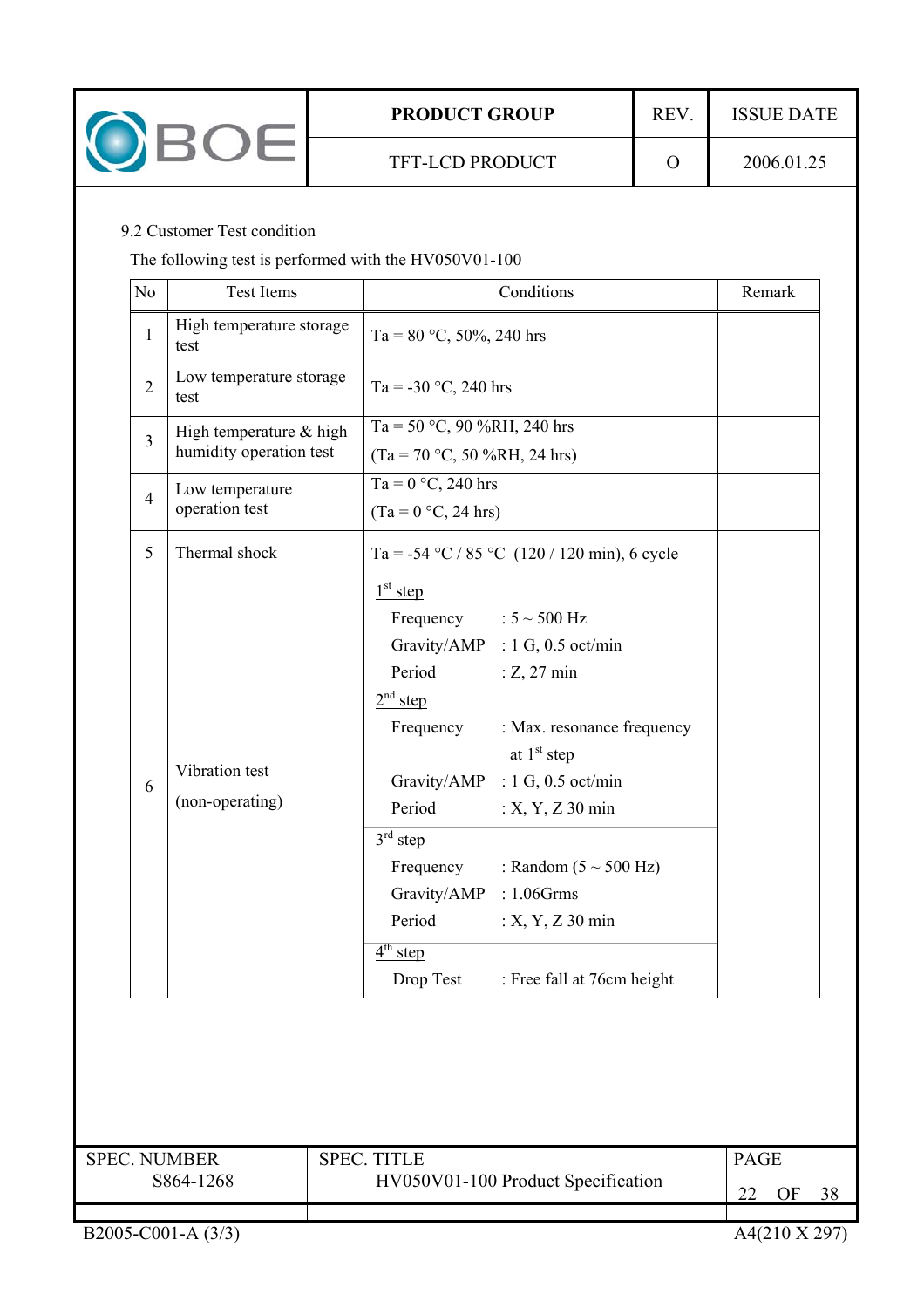

## 9.2 Customer Test condition

The following test is performed with the HV050V01-100

| N <sub>o</sub> | <b>Test Items</b>                                  | Conditions                                                                                                                                                                                                                                                                                                                                                                                                            | Remark |
|----------------|----------------------------------------------------|-----------------------------------------------------------------------------------------------------------------------------------------------------------------------------------------------------------------------------------------------------------------------------------------------------------------------------------------------------------------------------------------------------------------------|--------|
| $\mathbf{1}$   | High temperature storage<br>test                   | Ta = $80 °C$ , $50\%$ , 240 hrs                                                                                                                                                                                                                                                                                                                                                                                       |        |
| $\overline{2}$ | Low temperature storage<br>test                    | Ta = $-30$ °C, 240 hrs                                                                                                                                                                                                                                                                                                                                                                                                |        |
| $\overline{3}$ | High temperature & high<br>humidity operation test | Ta = 50 °C, 90 %RH, 240 hrs<br>$(Ta = 70 °C, 50 %RH, 24 hrs)$                                                                                                                                                                                                                                                                                                                                                         |        |
| $\overline{4}$ | Low temperature<br>operation test                  | Ta = $0 °C$ , 240 hrs<br>$(Ta = 0 °C, 24 hrs)$                                                                                                                                                                                                                                                                                                                                                                        |        |
| 5              | Thermal shock                                      | Ta = -54 °C / 85 °C (120 / 120 min), 6 cycle                                                                                                                                                                                                                                                                                                                                                                          |        |
| 6              | Vibration test<br>(non-operating)                  | $1st$ step<br>Frequency<br>: $5 \sim 500$ Hz<br>Gravity/AMP<br>: $1 G$ , $0.5$ oct/min<br>Period<br>$: Z$ , 27 min<br>$2nd$ step<br>Frequency<br>: Max. resonance frequency<br>at $1st$ step<br>Gravity/AMP<br>: $1 G$ , $0.5$ oct/min<br>Period<br>$: X, Y, Z$ 30 min<br>$3rd$ step<br>Frequency<br>: Random $(5 \sim 500 \text{ Hz})$<br>Gravity/AMP<br>$: 1.06$ Grms<br>Period<br>$: X, Y, Z$ 30 min<br>$4th$ step |        |
|                |                                                    | : Free fall at 76cm height<br>Drop Test                                                                                                                                                                                                                                                                                                                                                                               |        |

| <b>SPEC NUMBER</b> | <b>SPEC TITLE</b>                  | <b>PAGE</b> |  |
|--------------------|------------------------------------|-------------|--|
| S864-1268          | HV050V01-100 Product Specification |             |  |
|                    |                                    |             |  |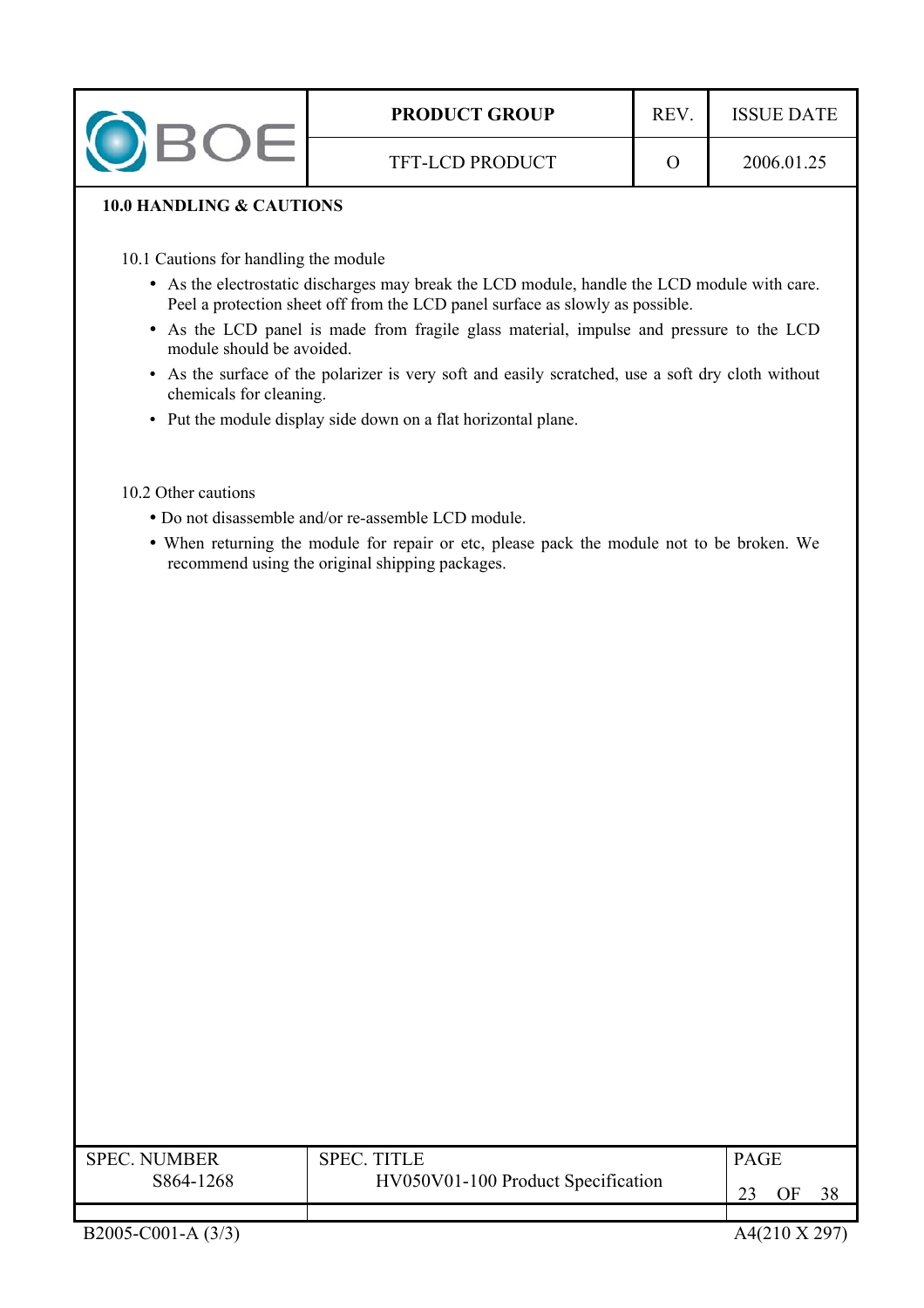| <b>PRODUCT GROUP</b>   | <b>REV</b> | <b>ISSUE DATE</b> |
|------------------------|------------|-------------------|
| <b>TFT-LCD PRODUCT</b> |            | 2006.01.25        |

## **10.0 HANDLING & CAUTIONS**

- 10.1 Cautions for handling the module
	- As the electrostatic discharges may break the LCD module, handle the LCD module with care. Peel a protection sheet off from the LCD panel surface as slowly as possible.
	- As the LCD panel is made from fragile glass material, impulse and pressure to the LCD module should be avoided.
	- As the surface of the polarizer is very soft and easily scratched, use a soft dry cloth without chemicals for cleaning.
	- Put the module display side down on a flat horizontal plane.

#### 10.2 Other cautions

- y Do not disassemble and/or re-assemble LCD module.
- When returning the module for repair or etc, please pack the module not to be broken. We recommend using the original shipping packages.

| <b>SPEC NUMBER</b>                              | <b>SPEC TITLE</b> | <b>PAGE</b> |
|-------------------------------------------------|-------------------|-------------|
| HV050V01-100 Product Specification<br>S864-1268 |                   | ЭF          |
|                                                 |                   |             |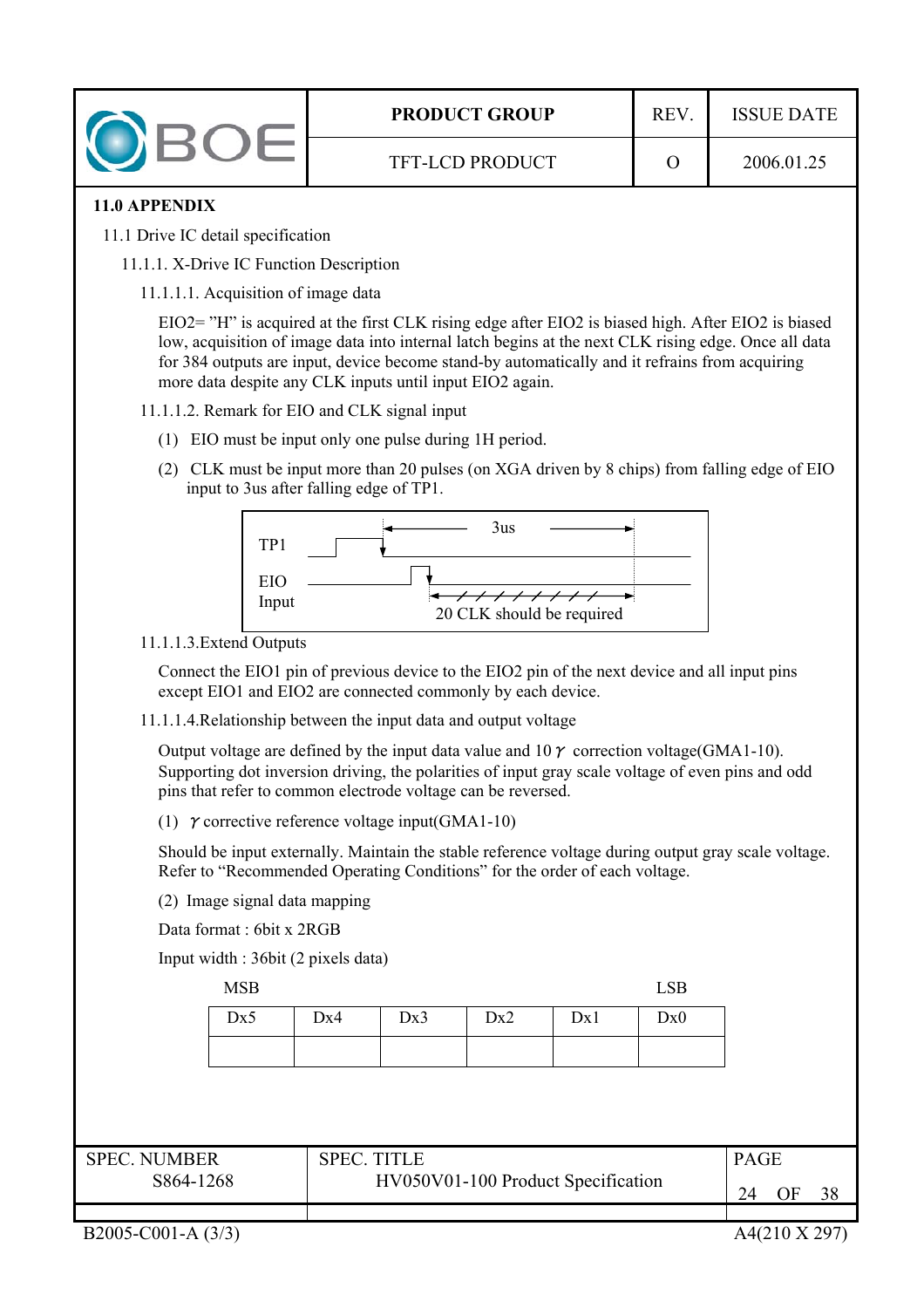| <b>PRODUCT GROUP</b>   | R F V | <b>ISSUE DATE</b> |
|------------------------|-------|-------------------|
| <b>TFT-LCD PRODUCT</b> |       | 2006.01.25        |

## **11.0 APPENDIX**

- 11.1 Drive IC detail specification
	- 11.1.1. X-Drive IC Function Description
		- 11.1.1.1. Acquisition of image data

EIO2= "H" is acquired at the first CLK rising edge after EIO2 is biased high. After EIO2 is biased low, acquisition of image data into internal latch begins at the next CLK rising edge. Once all data for 384 outputs are input, device become stand-by automatically and it refrains from acquiring more data despite any CLK inputs until input EIO2 again.

- 11.1.1.2. Remark for EIO and CLK signal input
	- (1) EIO must be input only one pulse during 1H period.
	- (2) CLK must be input more than 20 pulses (on XGA driven by 8 chips) from falling edge of EIO input to 3us after falling edge of TP1.



11.1.1.3.Extend Outputs

Connect the EIO1 pin of previous device to the EIO2 pin of the next device and all input pins except EIO1 and EIO2 are connected commonly by each device.

11.1.1.4.Relationship between the input data and output voltage

Output voltage are defined by the input data value and  $10\gamma$  correction voltage(GMA1-10). Supporting dot inversion driving, the polarities of input gray scale voltage of even pins and odd pins that refer to common electrode voltage can be reversed.

(1)  $\gamma$  corrective reference voltage input(GMA1-10)

Should be input externally. Maintain the stable reference voltage during output gray scale voltage. Refer to "Recommended Operating Conditions" for the order of each voltage.

(2) Image signal data mapping

Data format : 6bit x 2RGB

Input width : 36bit (2 pixels data)

MSB LSB

| Dx5 | $\vert$ Dx4 | $\vert$ Dx3 $\vert$ Dx2 $\vert$ Dx1 | Dx0 |
|-----|-------------|-------------------------------------|-----|
|     |             |                                     |     |

| <b>SPEC. NUMBER</b> | $\mathsf{S}\mathsf{P}\mathsf{E}\mathsf{C}$ . | <b>PAGE</b> |
|---------------------|----------------------------------------------|-------------|
| S864-1268           | HV050V01-100 Product Specification           | ЭF          |
|                     |                                              |             |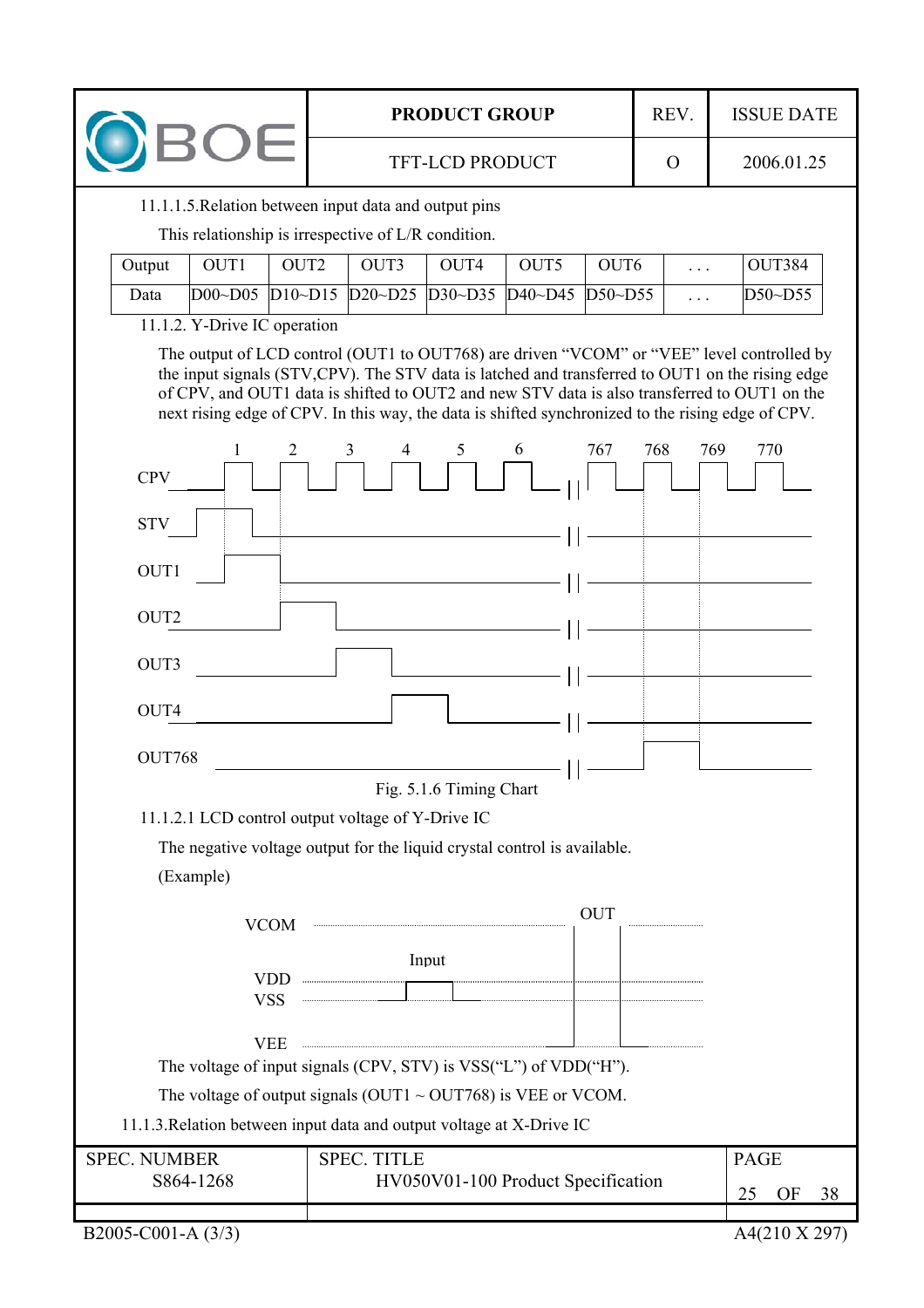| <b>PRODUCT GROUP</b>                                                                                                                                                                                                                         |                                                                                                                                                                                                                                                                                                                                                                                                   | REV.     | <b>ISSUE DATE</b> |  |  |  |
|----------------------------------------------------------------------------------------------------------------------------------------------------------------------------------------------------------------------------------------------|---------------------------------------------------------------------------------------------------------------------------------------------------------------------------------------------------------------------------------------------------------------------------------------------------------------------------------------------------------------------------------------------------|----------|-------------------|--|--|--|
| <b>BOE</b>                                                                                                                                                                                                                                   | <b>TFT-LCD PRODUCT</b>                                                                                                                                                                                                                                                                                                                                                                            | $\Omega$ | 2006.01.25        |  |  |  |
|                                                                                                                                                                                                                                              | 11.1.1.5. Relation between input data and output pins                                                                                                                                                                                                                                                                                                                                             |          |                   |  |  |  |
|                                                                                                                                                                                                                                              | This relationship is irrespective of L/R condition.                                                                                                                                                                                                                                                                                                                                               |          |                   |  |  |  |
| OUT1<br>OUT <sub>2</sub><br>Output                                                                                                                                                                                                           | OUT3<br>OUT5<br>OUT6<br>OUT4                                                                                                                                                                                                                                                                                                                                                                      | $\cdots$ | OUT384            |  |  |  |
| DO0~D05<br>$D10 \sim D15$<br>Data                                                                                                                                                                                                            | D20~D25 D30~D35<br>$D40 \sim D45$<br>$D50\neg D55$                                                                                                                                                                                                                                                                                                                                                | $\cdots$ | D50~D55           |  |  |  |
| 11.1.2. Y-Drive IC operation                                                                                                                                                                                                                 |                                                                                                                                                                                                                                                                                                                                                                                                   |          |                   |  |  |  |
|                                                                                                                                                                                                                                              | The output of LCD control (OUT1 to OUT768) are driven "VCOM" or "VEE" level controlled by<br>the input signals (STV,CPV). The STV data is latched and transferred to OUT1 on the rising edge<br>of CPV, and OUT1 data is shifted to OUT2 and new STV data is also transferred to OUT1 on the<br>next rising edge of CPV. In this way, the data is shifted synchronized to the rising edge of CPV. |          |                   |  |  |  |
|                                                                                                                                                                                                                                              | 5<br>6<br>767<br>3<br>4                                                                                                                                                                                                                                                                                                                                                                           | 768      | 769<br>770        |  |  |  |
| <b>CPV</b>                                                                                                                                                                                                                                   |                                                                                                                                                                                                                                                                                                                                                                                                   |          |                   |  |  |  |
| <b>STV</b>                                                                                                                                                                                                                                   |                                                                                                                                                                                                                                                                                                                                                                                                   |          |                   |  |  |  |
| OUT1                                                                                                                                                                                                                                         |                                                                                                                                                                                                                                                                                                                                                                                                   |          |                   |  |  |  |
| OUT <sub>2</sub>                                                                                                                                                                                                                             |                                                                                                                                                                                                                                                                                                                                                                                                   |          |                   |  |  |  |
| OUT3                                                                                                                                                                                                                                         |                                                                                                                                                                                                                                                                                                                                                                                                   |          |                   |  |  |  |
|                                                                                                                                                                                                                                              |                                                                                                                                                                                                                                                                                                                                                                                                   |          |                   |  |  |  |
| OUT4                                                                                                                                                                                                                                         |                                                                                                                                                                                                                                                                                                                                                                                                   |          |                   |  |  |  |
| OUT768                                                                                                                                                                                                                                       | <u> 1989 - Johann Barn, mars ann an t-Amhain an t-Amhain an t-Amhain an t-Amhain an t-Amhain an t-Amhain an t-Amh</u><br>—    ———                                                                                                                                                                                                                                                                 |          |                   |  |  |  |
|                                                                                                                                                                                                                                              | Fig. 5.1.6 Timing Chart                                                                                                                                                                                                                                                                                                                                                                           |          |                   |  |  |  |
|                                                                                                                                                                                                                                              | 11.1.2.1 LCD control output voltage of Y-Drive IC                                                                                                                                                                                                                                                                                                                                                 |          |                   |  |  |  |
|                                                                                                                                                                                                                                              | The negative voltage output for the liquid crystal control is available.                                                                                                                                                                                                                                                                                                                          |          |                   |  |  |  |
| (Example)                                                                                                                                                                                                                                    |                                                                                                                                                                                                                                                                                                                                                                                                   |          |                   |  |  |  |
|                                                                                                                                                                                                                                              | <b>OUT</b>                                                                                                                                                                                                                                                                                                                                                                                        |          |                   |  |  |  |
| <b>VCOM</b>                                                                                                                                                                                                                                  |                                                                                                                                                                                                                                                                                                                                                                                                   |          |                   |  |  |  |
|                                                                                                                                                                                                                                              | Input                                                                                                                                                                                                                                                                                                                                                                                             |          |                   |  |  |  |
| VDD WSS WELL THE CONTRACT OF THE CONTRACT OF THE CONTRACT OF THE CONTRACT OF THE CONTRACT OF THE CONTRACT OF THE CONTRACT OF THE CONTRACT OF THE CONTRACT OF THE CONTRACT OF THE CONTRACT OF THE CONTRACT OF THE CONTRACT OF T<br><b>VSS</b> |                                                                                                                                                                                                                                                                                                                                                                                                   |          |                   |  |  |  |
| <b>VEE</b>                                                                                                                                                                                                                                   |                                                                                                                                                                                                                                                                                                                                                                                                   |          |                   |  |  |  |
| The voltage of input signals (CPV, STV) is VSS("L") of VDD("H").                                                                                                                                                                             |                                                                                                                                                                                                                                                                                                                                                                                                   |          |                   |  |  |  |
| The voltage of output signals (OUT1 $\sim$ OUT768) is VEE or VCOM.                                                                                                                                                                           |                                                                                                                                                                                                                                                                                                                                                                                                   |          |                   |  |  |  |
| 11.1.3. Relation between input data and output voltage at X-Drive IC                                                                                                                                                                         |                                                                                                                                                                                                                                                                                                                                                                                                   |          |                   |  |  |  |
| <b>SPEC. NUMBER</b>                                                                                                                                                                                                                          | <b>SPEC. TITLE</b>                                                                                                                                                                                                                                                                                                                                                                                |          |                   |  |  |  |
| S864-1268                                                                                                                                                                                                                                    | HV050V01-100 Product Specification                                                                                                                                                                                                                                                                                                                                                                |          | 25<br>OF<br>38    |  |  |  |
| B2005-C001-A (3/3)                                                                                                                                                                                                                           |                                                                                                                                                                                                                                                                                                                                                                                                   |          | A4(210 X 297)     |  |  |  |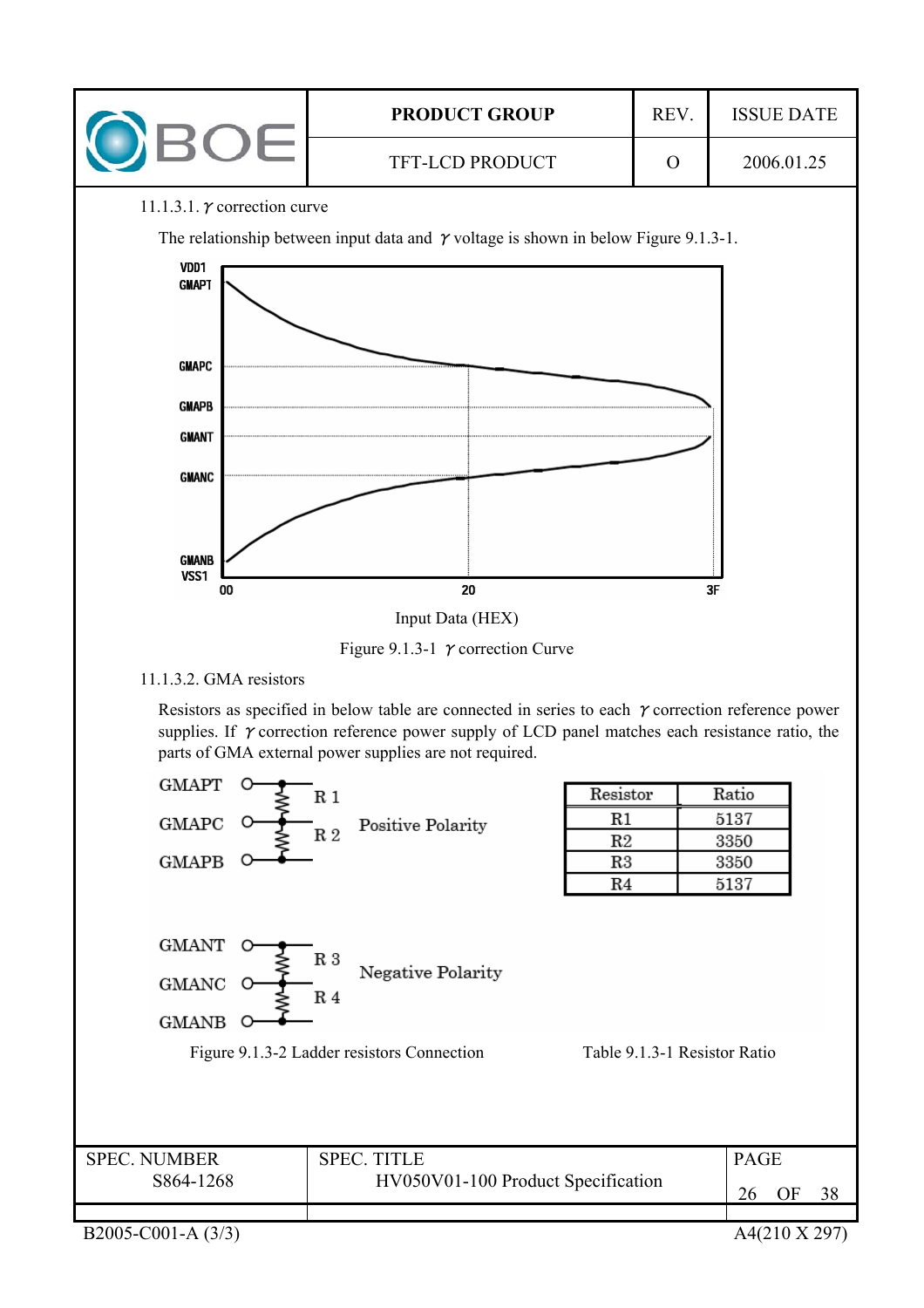

#### 11.1.3.1.  $\gamma$  correction curve

The relationship between input data and  $\gamma$  voltage is shown in below Figure 9.1.3-1.



Figure 9.1.3-1  $\gamma$  correction Curve

## 11.1.3.2. GMA resistors

Resistors as specified in below table are connected in series to each  $\gamma$  correction reference power supplies. If  $\gamma$  correction reference power supply of LCD panel matches each resistance ratio, the parts of GMA external power supplies are not required.

| <b>GMAPT</b>                               | R <sub>1</sub>                                                                                      | Resistor                     | Ratio          |
|--------------------------------------------|-----------------------------------------------------------------------------------------------------|------------------------------|----------------|
| GMAPC                                      | Positive Polarity                                                                                   | R1                           | 5137           |
|                                            | R <sub>2</sub>                                                                                      | R2                           | 3350           |
| <b>GMAPB</b>                               |                                                                                                     | $_{\rm R3}$                  | 3350           |
|                                            |                                                                                                     | R <sub>4</sub>               | 5137           |
| <b>GMANT</b><br>GMANC<br>O<br><b>GMANB</b> | R <sub>3</sub><br>Negative Polarity<br>R <sub>4</sub><br>Figure 9.1.3-2 Ladder resistors Connection | Table 9.1.3-1 Resistor Ratio |                |
| <b>SPEC. NUMBER</b>                        | <b>SPEC. TITLE</b>                                                                                  |                              | <b>PAGE</b>    |
| S864-1268                                  | HV050V01-100 Product Specification                                                                  |                              | OF<br>38<br>26 |
|                                            |                                                                                                     |                              |                |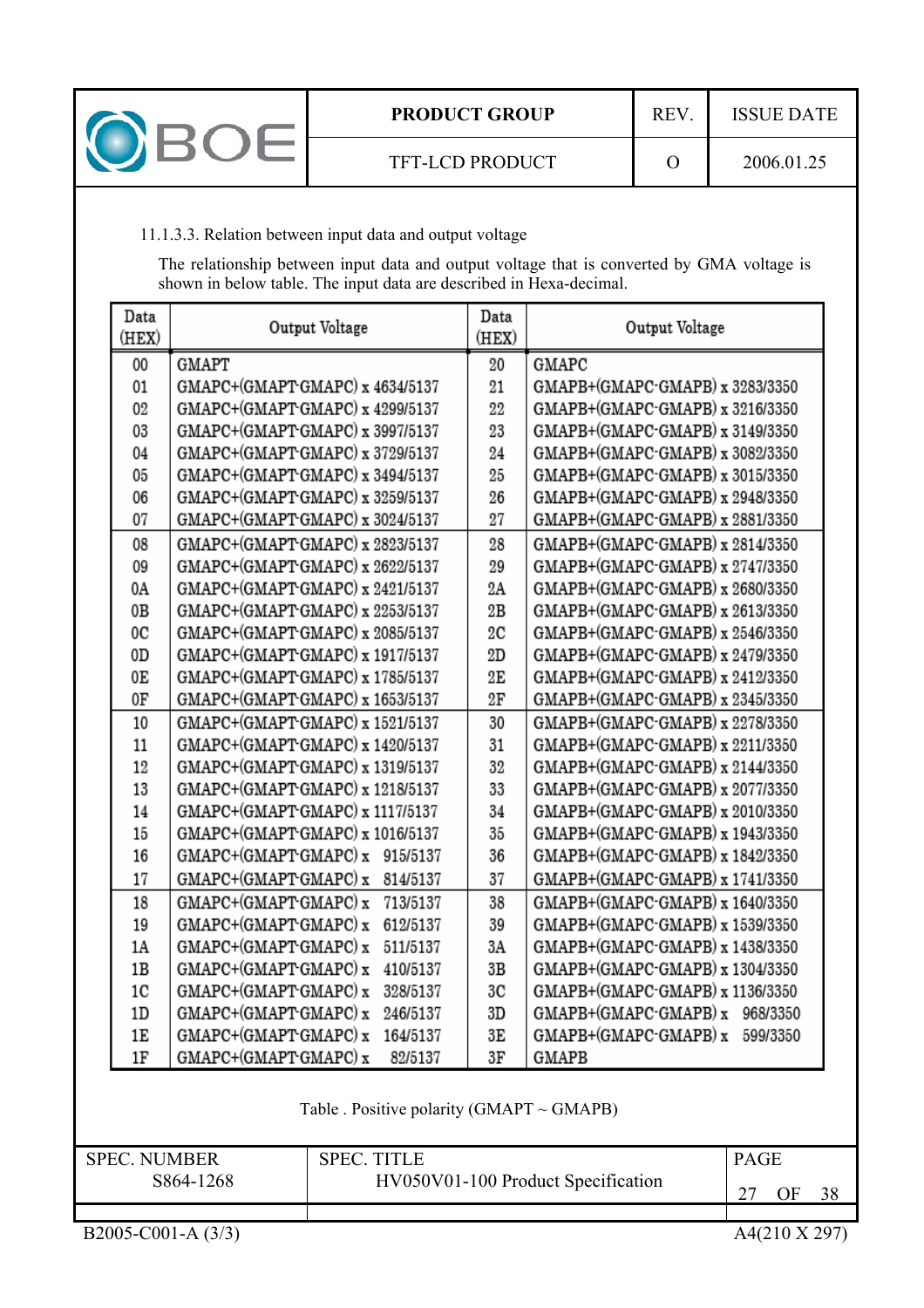

## 11.1.3.3. Relation between input data and output voltage

The relationship between input data and output voltage that is converted by GMA voltage is shown in below table. The input data are described in Hexa-decimal.

| Data<br>(HEX)  | Output Voltage                    | Data<br>(HEX) | Output Voltage                    |
|----------------|-----------------------------------|---------------|-----------------------------------|
| 00             | GMAPT                             | 20            | GMAPC                             |
| 01             | GMAPC+(GMAPT-GMAPC) x 4634/5137   | 21            | GMAPB+(GMAPC-GMAPB) x 3283/3350   |
| 02             | GMAPC+(GMAPT GMAPC) x 4299/5137   | 22            | GMAPB+(GMAPC-GMAPB) x 3216/3350   |
| 03             | GMAPC+(GMAPT-GMAPC) x 3997/5137   | 23            | GMAPB+(GMAPC-GMAPB) x 3149/3350   |
| 04             | GMAPC+(GMAPT-GMAPC) x 3729/5137   | 24            | GMAPB+(GMAPC-GMAPB) x 3082/3350   |
| 05             | GMAPC+(GMAPT-GMAPC) x 3494/5137   | 25            | GMAPB+(GMAPC-GMAPB) x 3015/3350   |
| 06             | GMAPC+(GMAPT-GMAPC) x 3259/5137   | 26            | GMAPB+(GMAPC-GMAPB) x 2948/3350   |
| 07             | GMAPC+(GMAPT-GMAPC) x 3024/5137   | 27            | GMAPB+(GMAPC-GMAPB) x 2881/3350   |
| 08             | GMAPC+(GMAPT-GMAPC) x 2823/5137   | 28            | GMAPB+(GMAPC-GMAPB) x 2814/3350   |
| 09             | GMAPC+(GMAPT-GMAPC) x 2622/5137   | 29            | GMAPB+(GMAPC-GMAPB) x 2747/3350   |
| 0A             | GMAPC+(GMAPT-GMAPC) x 2421/5137   | 2Α            | GMAPB+(GMAPC-GMAPB) x 2680/3350   |
| 0В             | GMAPC+(GMAPT-GMAPC) x 2253/5137   | 2В            | GMAPB+(GMAPC-GMAPB) x 2613/3350   |
| 0C             | GMAPC+(GMAPT-GMAPC) x 2085/5137   | 2C            | GMAPB+(GMAPC-GMAPB) x 2546/3350   |
| 0D             | GMAPC+(GMAPT-GMAPC) x 1917/5137   | 2D            | GMAPB+(GMAPC-GMAPB) x 2479/3350   |
| 0Е             | GMAPC+(GMAPT-GMAPC) x 1785/5137   | 2E            | GMAPB+(GMAPC-GMAPB) x 2412/3350   |
| 0F             | GMAPC+(GMAPT-GMAPC) x 1653/5137   | 2F            | GMAPB+(GMAPC-GMAPB) x 2345/3350   |
| 10             | GMAPC+(GMAPT-GMAPC) x 1521/5137   | 30            | GMAPB+(GMAPC-GMAPB) x 2278/3350   |
| 11             | GMAPC+(GMAPT-GMAPC) x 1420/5137   | 31            | GMAPB+(GMAPC-GMAPB) x 2211/3350   |
| 12             | GMAPC+(GMAPT-GMAPC) x 1319/5137   | 32            | GMAPB+(GMAPC-GMAPB) x 2144/3350   |
| 13             | GMAPC+(GMAPT-GMAPC) x 1218/5137   | 33            | GMAPB+(GMAPC-GMAPB) x 2077/3350   |
| 14             | GMAPC+(GMAPT-GMAPC) x 1117/5137   | 34            | GMAPB+(GMAPC-GMAPB) x 2010/3350   |
| 15             | GMAPC+(GMAPT-GMAPC) x 1016/5137   | 35            | GMAPB+(GMAPC-GMAPB) x 1943/3350   |
| 16             | GMAPC+(GMAPT-GMAPC) x<br>915/5137 | 36            | GMAPB+(GMAPC-GMAPB) x 1842/3350   |
| 17             | GMAPC+(GMAPT-GMAPC) x<br>814/5137 | 37            | GMAPB+(GMAPC-GMAPB) x 1741/3350   |
| 18             | GMAPC+(GMAPT GMAPC) x<br>713/5137 | 38            | GMAPB+(GMAPC-GMAPB) x 1640/3350   |
| 19             | GMAPC+(GMAPT-GMAPC) x<br>612/5137 | 39            | GMAPB+(GMAPC-GMAPB) x 1539/3350   |
| 1A             | GMAPC+(GMAPT-GMAPC) x<br>511/5137 | 3A            | GMAPB+(GMAPC-GMAPB) x 1438/3350   |
| 1B             | GMAPC+(GMAPT-GMAPC) x<br>410/5137 | 3B            | GMAPB+(GMAPC-GMAPB) x 1304/3350   |
| 1 <sub>C</sub> | GMAPC+(GMAPT-GMAPC) x<br>328/5137 | 3C            | GMAPB+(GMAPC-GMAPB) x 1136/3350   |
| 1D             | GMAPC+(GMAPT-GMAPC) x<br>246/5137 | 3D            | GMAPB+(GMAPC-GMAPB) x<br>968/3350 |
| 1E             | GMAPC+(GMAPT-GMAPC) x<br>164/5137 | 3Ε            | GMAPB+(GMAPC-GMAPB) x<br>599/3350 |
| 1F             | GMAPC+(GMAPT-GMAPC) x<br>82/5137  | 3F            | GMAPB                             |

| <b>SPEC. NUMBER</b> | SPEC.<br><b>TITLE</b>              | <b>PAGE</b> |
|---------------------|------------------------------------|-------------|
| S864-1268           | HV050V01-100 Product Specification | 38<br>ЭF    |
|                     |                                    |             |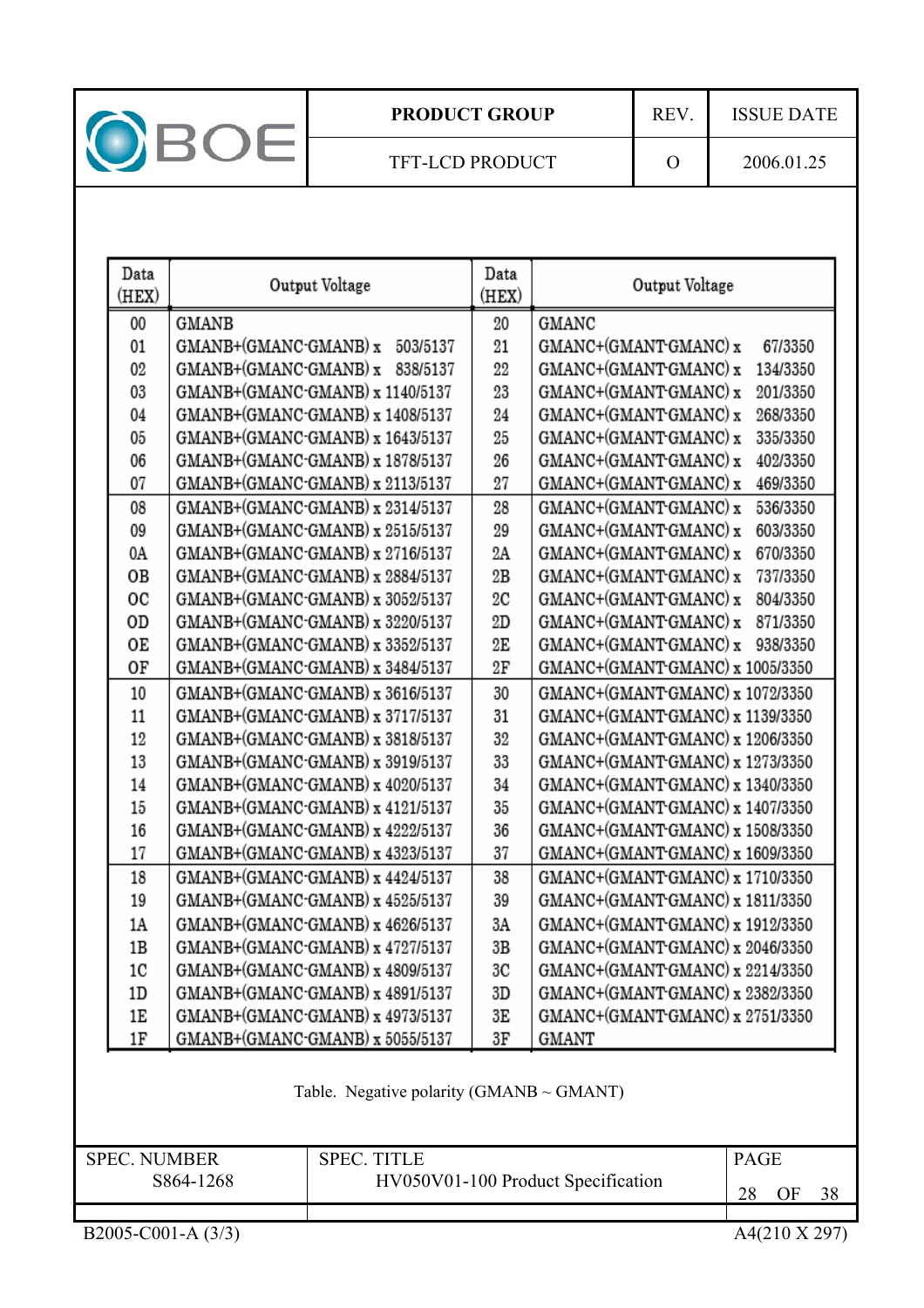

| Data<br>(HEX)       | Output Voltage                                | Data<br>(HEX)                         | Output Voltage                     |  |  |
|---------------------|-----------------------------------------------|---------------------------------------|------------------------------------|--|--|
| 00                  | GMANB                                         | 20                                    | GMANC                              |  |  |
| 01                  | GMANB+(GMANC-GMANB) x 503/5137                | 21                                    | GMANC+(GMANT-GMANC) x<br>67/3350   |  |  |
| 02                  | GMANB+(GMANC-GMANB) x 838/5137                | 22                                    | GMANC+(GMANT-GMANC) x<br>134/3350  |  |  |
| 03                  | GMANB+(GMANC-GMANB) x 1140/5137               | 23                                    | GMANC+(GMANT-GMANC) x<br>201/3350  |  |  |
| 04                  | GMANB+(GMANC-GMANB) x 1408/5137               | 24                                    | GMANC+(GMANT-GMANC) x<br>268/3350  |  |  |
| 05                  | GMANB+(GMANC-GMANB) x 1643/5137               | 25                                    | GMANC+(GMANT-GMANC) x<br>335/3350  |  |  |
| 06                  | GMANB+(GMANC-GMANB) x 1878/5137               | 26                                    | GMANC+(GMANT GMANC) x<br>402/3350  |  |  |
| 07                  | GMANB+(GMANC-GMANB) x 2113/5137               | 27                                    | GMANC+(GMANT-GMANC) x<br>469/3350  |  |  |
| 08                  | GMANB+(GMANC-GMANB) x 2314/5137               | 28                                    | GMANC+(GMANT GMANC) x<br>536/3350  |  |  |
| 09                  | GMANB+(GMANC-GMANB) x 2515/5137               | 29                                    | GMANC+(GMANT GMANC) x<br>603/3350  |  |  |
| 0A                  | GMANB+(GMANC-GMANB) x 2716/5137               | 2Α                                    | GMANC+(GMANT-GMANC) x<br>670/3350  |  |  |
| OВ                  | GMANB+(GMANC-GMANB) x 2884/5137               | 2B                                    | GMANC+(GMANT GMANC) x<br>737/3350  |  |  |
| oc                  | GMANB+(GMANC-GMANB) x 3052/5137               | 2C                                    | GMANC+(GMANT GMANC) x<br>804/3350  |  |  |
| OD                  | GMANB+(GMANC-GMANB) x 3220/5137               | 2D                                    | GMANC+(GMANT GMANC) x<br>871/3350  |  |  |
| ОE                  | GMANB+(GMANC-GMANB) x 3352/5137               | 2E                                    | GMANC+(GMANT-GMANC) x 938/3350     |  |  |
| OF                  | GMANB+(GMANC-GMANB) x 3484/5137               | 2F                                    | GMANC+(GMANT-GMANC) x 1005/3350    |  |  |
| 10                  | GMANB+(GMANC-GMANB) x 3616/5137               | 30                                    | GMANC+(GMANT-GMANC) x 1072/3350    |  |  |
| 11                  | GMANB+(GMANC-GMANB) x 3717/5137               | 31                                    | GMANC+(GMANT-GMANC) x 1139/3350    |  |  |
| 12                  | GMANB+(GMANC-GMANB) x 3818/5137               | 32                                    | GMANC+(GMANT-GMANC) x 1206/3350    |  |  |
| 13                  | GMANB+(GMANC-GMANB) x 3919/5137               | 33                                    | GMANC+(GMANT-GMANC) x 1273/3350    |  |  |
| 14                  | GMANB+(GMANC-GMANB) x 4020/5137               | 34                                    | GMANC+(GMANT-GMANC) x 1340/3350    |  |  |
| 15                  | GMANB+(GMANC-GMANB) x 4121/5137               | 35                                    | GMANC+(GMANT-GMANC) x 1407/3350    |  |  |
| 16                  | GMANB+(GMANC-GMANB) x 4222/5137               | 36<br>GMANC+(GMANT-GMANC) x 1508/3350 |                                    |  |  |
| 17                  | GMANB+(GMANC-GMANB) x 4323/5137               | 37                                    | GMANC+(GMANT-GMANC) x 1609/3350    |  |  |
| 18                  | GMANB+(GMANC-GMANB) x 4424/5137               | 38                                    | GMANC+(GMANT-GMANC) x 1710/3350    |  |  |
| 19                  | GMANB+(GMANC-GMANB) x 4525/5137               | 39                                    | GMANC+(GMANT-GMANC) x 1811/3350    |  |  |
| 1A                  | GMANB+(GMANC-GMANB) x 4626/5137               | 3A                                    | GMANC+(GMANT-GMANC) x 1912/3350    |  |  |
| 1B                  | GMANB+(GMANC-GMANB) x 4727/5137               | 3B                                    | GMANC+(GMANT-GMANC) x 2046/3350    |  |  |
| 1C                  | GMANB+(GMANC-GMANB) x 4809/5137               | 3C                                    | GMANC+(GMANT-GMANC) x 2214/3350    |  |  |
| 1D                  | GMANB+(GMANC-GMANB) x 4891/5137               | 3D                                    | GMANC+(GMANT-GMANC) x 2382/3350    |  |  |
| 1E                  | GMANB+(GMANC-GMANB) x 4973/5137               | 3E                                    | GMANC+(GMANT-GMANC) x 2751/3350    |  |  |
| 1F                  | GMANB+(GMANC-GMANB) x 5055/5137               | 3Γ                                    | GMANT                              |  |  |
|                     | Table. Negative polarity (GMANB $\sim$ GMANT) |                                       |                                    |  |  |
| <b>SPEC. NUMBER</b> | <b>SPEC. TITLE</b>                            |                                       | <b>PAGE</b>                        |  |  |
|                     | S864-1268                                     |                                       | HV050V01-100 Product Specification |  |  |
|                     |                                               |                                       | 28<br>OF<br>38                     |  |  |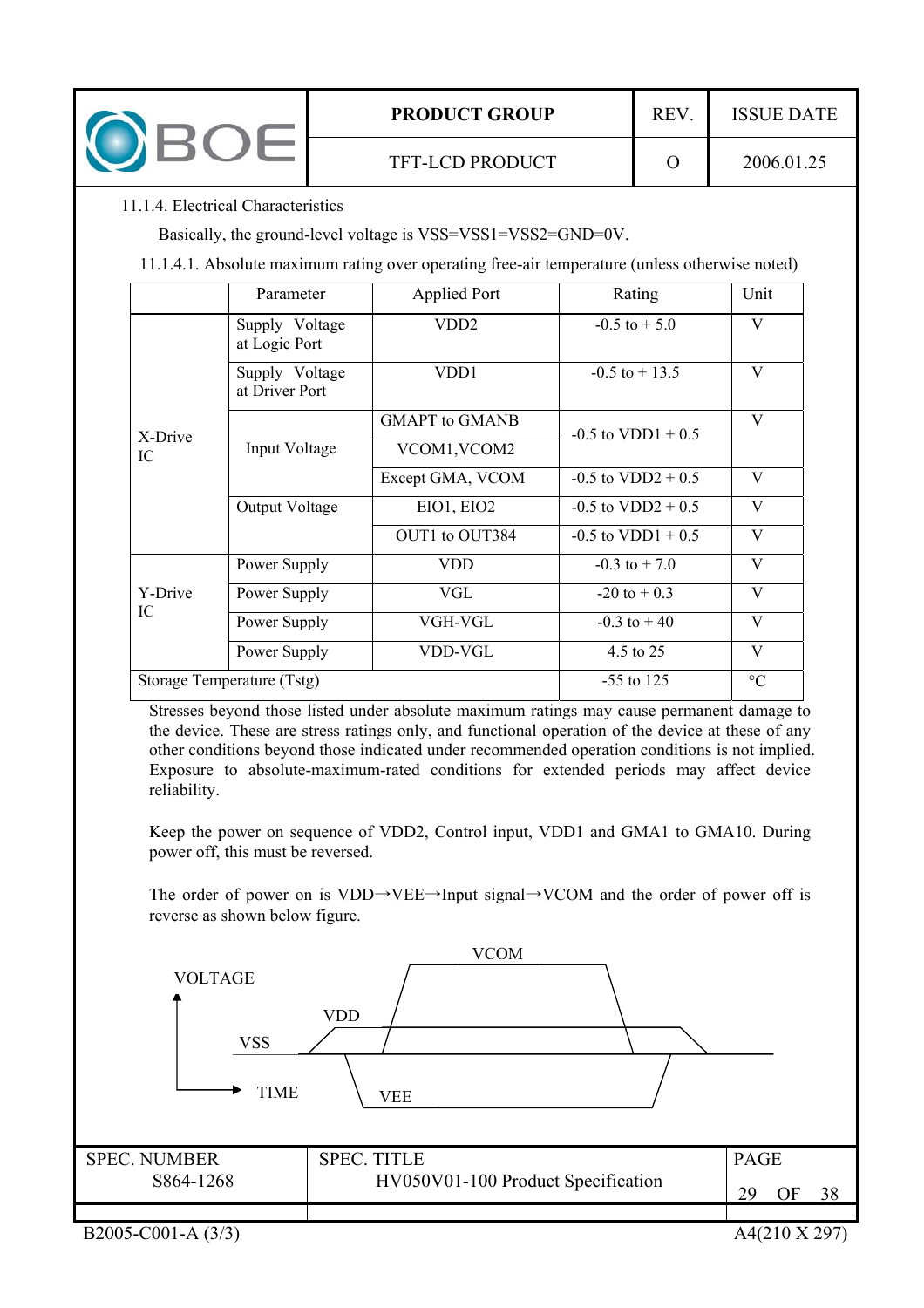

### 11.1.4. Electrical Characteristics

Basically, the ground-level voltage is VSS=VSS1=VSS2=GND=0V.

11.1.4.1. Absolute maximum rating over operating free-air temperature (unless otherwise noted)

|               | Parameter                        | Applied Port          | Rating               | Unit            |
|---------------|----------------------------------|-----------------------|----------------------|-----------------|
|               | Supply Voltage<br>at Logic Port  | VDD <sub>2</sub>      | $-0.5$ to $+5.0$     | V               |
|               | Supply Voltage<br>at Driver Port | VDD1                  | $-0.5$ to $+13.5$    | V               |
|               |                                  | <b>GMAPT</b> to GMANB | $-0.5$ to VDD1 + 0.5 | V               |
| X-Drive<br>IC | Input Voltage                    | VCOM1, VCOM2          |                      |                 |
|               |                                  | Except GMA, VCOM      | $-0.5$ to VDD2 + 0.5 | V               |
|               | Output Voltage                   | EIO1, EIO2            | $-0.5$ to VDD2 + 0.5 | V               |
|               |                                  | OUT1 to OUT384        | $-0.5$ to VDD1 + 0.5 | V               |
|               | Power Supply                     | <b>VDD</b>            | $-0.3$ to $+7.0$     | V               |
| Y-Drive       | Power Supply                     | VGL                   | $-20$ to $+0.3$      | V               |
| IC            | Power Supply                     | VGH-VGL               | $-0.3$ to $+40$      | V               |
|               | Power Supply                     | VDD-VGL               | 4.5 to 25            | V               |
|               | Storage Temperature (Tstg)       |                       | $-55$ to 125         | $\rm ^{\circ}C$ |

Stresses beyond those listed under absolute maximum ratings may cause permanent damage to the device. These are stress ratings only, and functional operation of the device at these of any other conditions beyond those indicated under recommended operation conditions is not implied. Exposure to absolute-maximum-rated conditions for extended periods may affect device reliability.

Keep the power on sequence of VDD2, Control input, VDD1 and GMA1 to GMA10. During power off, this must be reversed.

The order of power on is VDD $\rightarrow$ VEE $\rightarrow$ Input signal $\rightarrow$ VCOM and the order of power off is reverse as shown below figure.

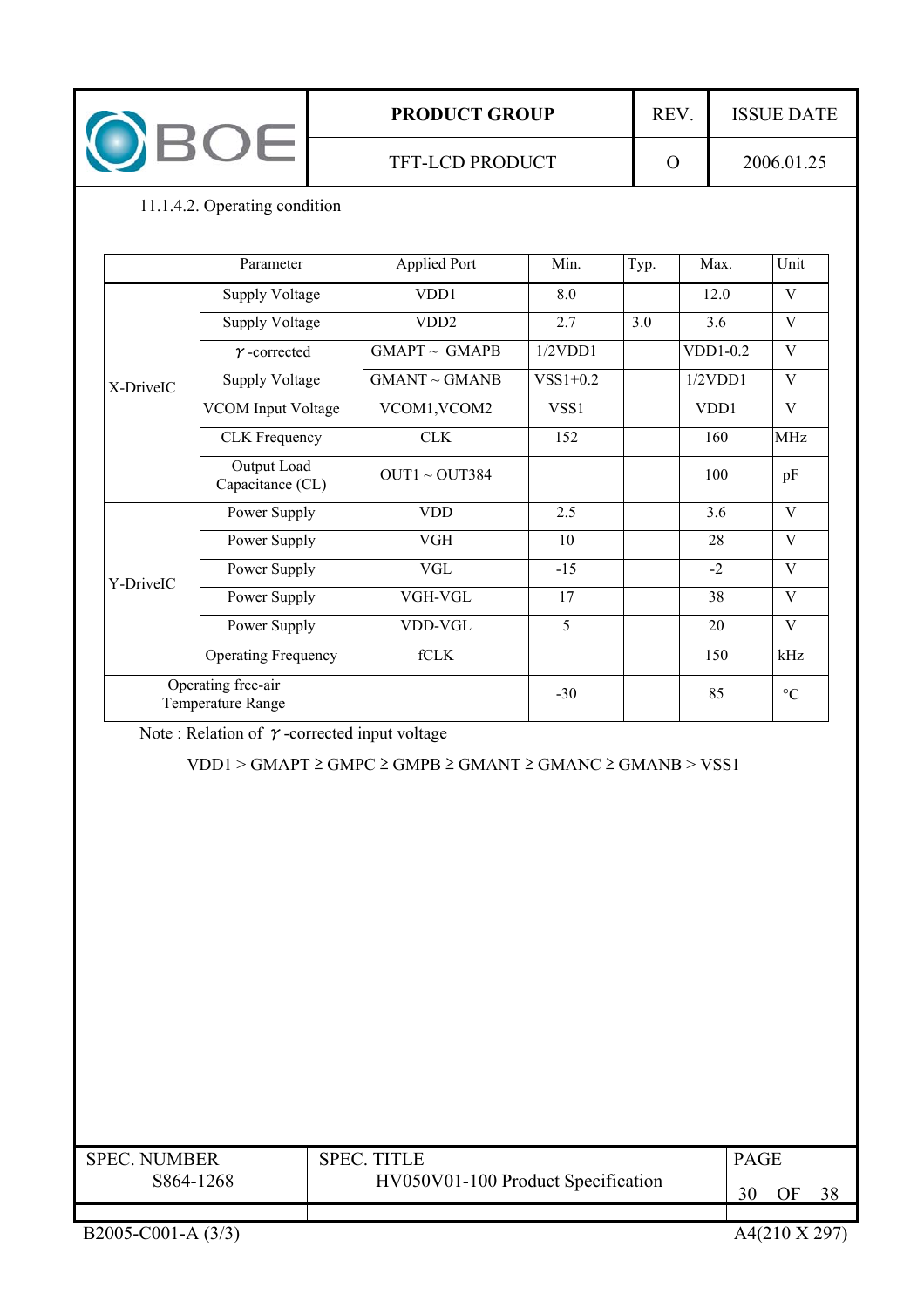| <b>PRODUCT GROUP</b>   | <b>REV</b> | <b>ISSUE DATE</b> |
|------------------------|------------|-------------------|
| <b>TFT-LCD PRODUCT</b> |            | 2006.01.25        |

## 11.1.4.2. Operating condition

|                                         | Parameter                       | Applied Port       | Min.       | Typ. | Max.     | Unit            |
|-----------------------------------------|---------------------------------|--------------------|------------|------|----------|-----------------|
| X-DriveIC                               | Supply Voltage                  | VDD1               | 8.0        |      | 12.0     | V               |
|                                         | <b>Supply Voltage</b>           | VDD <sub>2</sub>   | 2.7        | 3.0  | 3.6      | V               |
|                                         | $\gamma$ -corrected             | $GMAPT \sim GMAPB$ | 1/2VDD1    |      | VDD1-0.2 | V               |
|                                         | <b>Supply Voltage</b>           | $GMANT \sim GMANB$ | $VSS1+0.2$ |      | 1/2VDD1  | V               |
|                                         | <b>VCOM Input Voltage</b>       | VCOM1, VCOM2       | VSS1       |      | VDD1     | V               |
|                                         | <b>CLK</b> Frequency            | <b>CLK</b>         | 152        |      | 160      | <b>MHz</b>      |
|                                         | Output Load<br>Capacitance (CL) | OUT1 ~ OUT384      |            |      | 100      | pF              |
| Y-DriveIC                               | Power Supply                    | <b>VDD</b>         | 2.5        |      | 3.6      | V               |
|                                         | Power Supply                    | <b>VGH</b>         | 10         |      | 28       | V               |
|                                         | Power Supply                    | <b>VGL</b>         | $-15$      |      | $-2$     | V               |
|                                         | Power Supply                    | VGH-VGL            | 17         |      | 38       | V               |
|                                         | Power Supply                    | VDD-VGL            | 5          |      | 20       | V               |
|                                         | <b>Operating Frequency</b>      | fCLK               |            |      | 150      | kHz             |
| Operating free-air<br>Temperature Range |                                 |                    | $-30$      |      | 85       | $\rm ^{\circ}C$ |

Note : Relation of  $\gamma$ -corrected input voltage

 $VDD1 > GMAPT \geq GMPC \geq GMPB \geq GMANT \geq GMANC \geq GMANB > VSS1$ 

| <b>SPEC. NUMBER</b><br>S864-1268 | <b>SPEC. TITLE</b><br>HV050V01-100 Product Specification | <b>PAGE</b> |
|----------------------------------|----------------------------------------------------------|-------------|
|                                  |                                                          | 38<br>30    |
|                                  |                                                          |             |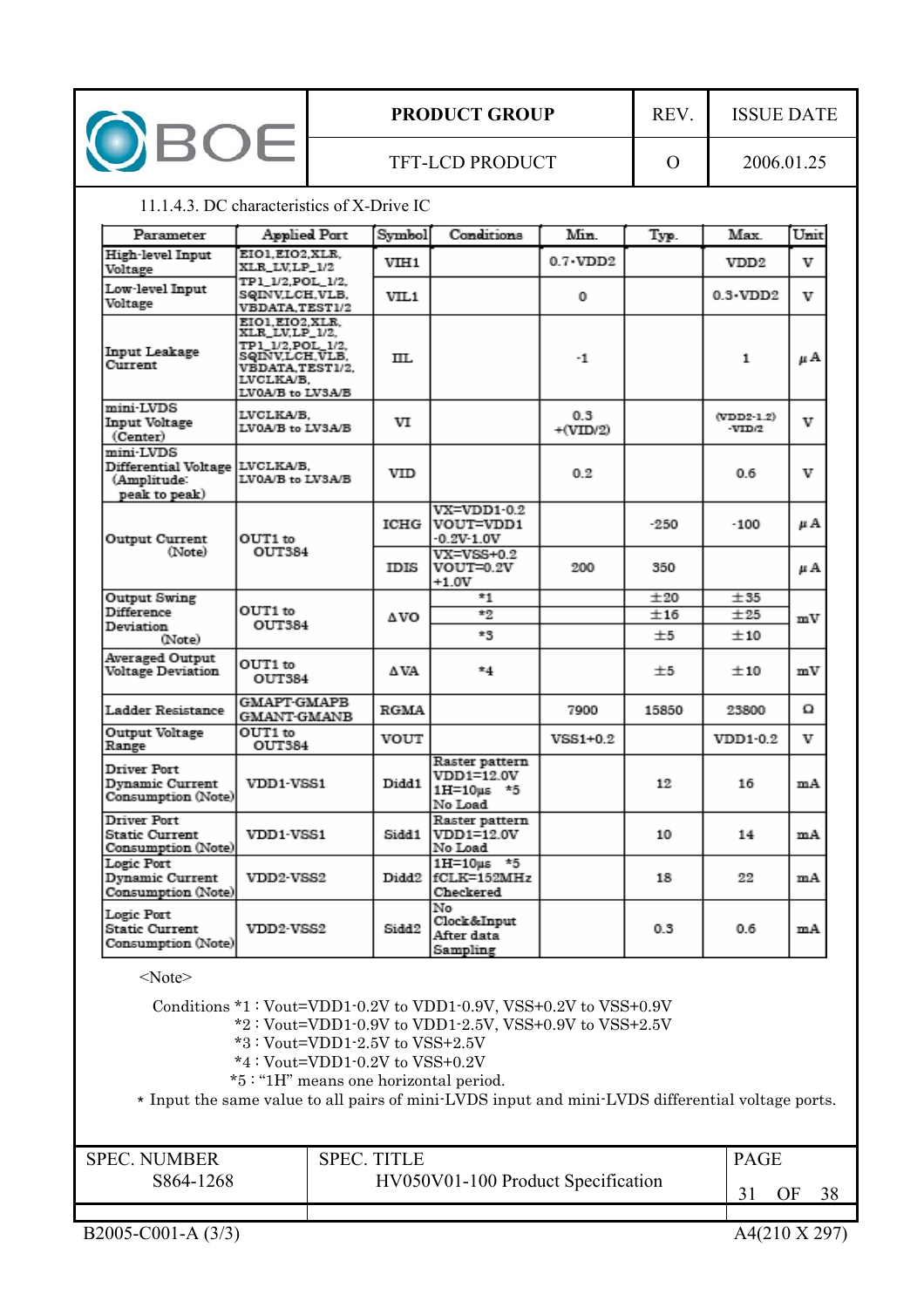| <b>OBOE</b>                                                                                                                                                                                                                                                                                                                                                  |                                                                                                                                     | <b>PRODUCT GROUP</b>   |                                                |                                                       | REV.              |                | <b>ISSUE DATE</b>    |      |
|--------------------------------------------------------------------------------------------------------------------------------------------------------------------------------------------------------------------------------------------------------------------------------------------------------------------------------------------------------------|-------------------------------------------------------------------------------------------------------------------------------------|------------------------|------------------------------------------------|-------------------------------------------------------|-------------------|----------------|----------------------|------|
|                                                                                                                                                                                                                                                                                                                                                              |                                                                                                                                     | <b>TFT-LCD PRODUCT</b> |                                                |                                                       |                   | $\Omega$       | 2006.01.25           |      |
| 11.1.4.3. DC characteristics of X-Drive IC                                                                                                                                                                                                                                                                                                                   |                                                                                                                                     |                        |                                                |                                                       |                   |                |                      |      |
| Parameter                                                                                                                                                                                                                                                                                                                                                    | Applied Part                                                                                                                        |                        | Symbol                                         | Conditions                                            | Min.              | Typ.           | Max.                 | Unit |
| High-level Input<br>Voltage                                                                                                                                                                                                                                                                                                                                  | EIO1.EIO2.XLR.<br>XLR_LV,LP_1/2                                                                                                     |                        | VIH1                                           |                                                       | $0.7 \cdot VDD2$  |                | VDD2                 | v    |
| Low-level Input<br>Voltage                                                                                                                                                                                                                                                                                                                                   | TP1_1/2,POL_1/2,<br>SQINV,LCH,VLB,<br>VBDATA,TEST1/2                                                                                |                        | VIL1                                           |                                                       | 0                 |                | $0.3 \cdot VDD2$     | v    |
| <b>Input Leakage</b><br>Current                                                                                                                                                                                                                                                                                                                              | EIO1, EIO2, XLR.<br>XLR_LV,LP_1/2,<br>TP1 1/2.POL 1/2.<br>SQINV,LCH,VLB,<br><b>VBDATA.TEST1/2.</b><br>LVCLKA/B.<br>LV0A/B to LV3A/B |                        | TIT.                                           |                                                       | -1                |                | 1                    | μA   |
| mini-LVDS<br>Input Voltage<br>(Center)                                                                                                                                                                                                                                                                                                                       | LVCLKA/B.<br>LV0A/B to LV3A/B                                                                                                       |                        | vт                                             |                                                       | 0.3<br>$+(VID/2)$ |                | (VDD2-1.2)<br>-VID/2 | v    |
| mini-LVDS<br>Differential Voltage LVCLKA/B,<br>(Amplitude:<br>peak to peak)                                                                                                                                                                                                                                                                                  | LV0A/B to LV3A/B                                                                                                                    |                        | VID                                            |                                                       | 0.2               |                | 0.6                  | v    |
| <b>Output Current</b>                                                                                                                                                                                                                                                                                                                                        | OUT1 to<br>(Note)<br>OUT384                                                                                                         |                        | ICHG                                           | $VX = VDD1 - 0.2$<br>VOUT=VDD1<br>$-0.2V - 1.0V$      |                   | -250           | $-100$               | μA   |
|                                                                                                                                                                                                                                                                                                                                                              |                                                                                                                                     |                        | IDIS                                           | $VX = VSS + 0.2$<br>VOUT=0.2V<br>$+1.0V$              | 200               | 350            |                      | μA   |
| Output Swing<br>Difference                                                                                                                                                                                                                                                                                                                                   |                                                                                                                                     |                        |                                                | *1                                                    |                   | ±20            | ±35                  |      |
| Devistion<br>(Note)                                                                                                                                                                                                                                                                                                                                          | OUT1 to<br>OUT384                                                                                                                   |                        | ΔVO                                            | $*2$<br>*S                                            |                   | ±16<br>$\pm 5$ | ±25<br>±10           | mV   |
| <b>Averaged Output</b><br><b>Voltage Deviation</b>                                                                                                                                                                                                                                                                                                           | OUT1 to<br>OUT384                                                                                                                   |                        | ΔVA                                            | $*4$                                                  |                   | $\pm 5$        | ±10                  | mV   |
| Ladder Resistance                                                                                                                                                                                                                                                                                                                                            | <b>GMAPT-GMAPB</b><br><b>GMANT-GMANB</b>                                                                                            |                        | <b>RGMA</b>                                    |                                                       | 7900              | 15850          | 23800                | Ω    |
| Output Voltage<br>Range                                                                                                                                                                                                                                                                                                                                      | OUT1 to<br>OUT384                                                                                                                   |                        | VOUT                                           |                                                       | $VSS1+0.2$        |                | VDD1-0.2             | v    |
| <b>Driver Port</b><br>Dynamic Current<br>Consumption (Note)                                                                                                                                                                                                                                                                                                  | VDD1-VSS1                                                                                                                           |                        | Didd1                                          | Raster pattern<br>VDD1=12.0V<br>1H=10us *5<br>No Load |                   | 12             | 16                   | mA   |
| <b>Driver Port</b><br><b>Static Current</b><br>Consumption (Note)                                                                                                                                                                                                                                                                                            | VDD1 VSS1                                                                                                                           |                        | Sidd 1                                         | Raster pattern<br>VDD1=12.0V<br>No Load               |                   | 10             | 14                   | mA   |
| Logic Port<br><b>Dynamic Current</b><br>Consumption (Note)                                                                                                                                                                                                                                                                                                   | VDD2-VSS2                                                                                                                           |                        |                                                | 1H=10us *5<br>Didd2 fCLK=152MHz<br>Checkered          |                   | 18             | 22                   | mA   |
| Logic Port<br><b>Static Current</b><br>Consumption (Note)                                                                                                                                                                                                                                                                                                    | VDD2-VSS2                                                                                                                           |                        | Sidd <sub>2</sub>                              | No<br>Clock&Input<br>After data<br>Sampling           |                   | 0.3            | 0.6                  | mA   |
| $<$ Note $>$<br>Conditions *1: Vout=VDD1-0.2V to VDD1-0.9V, VSS+0.2V to VSS+0.9V<br>*2: Vout=VDD1-0.9V to VDD1-2.5V, VSS+0.9V to VSS+2.5V<br>*3: Vout=VDD1-2.5V to VSS+2.5V<br>$*4: Vout=VDD1-0.2V$ to VSS+0.2V<br>*5: "1H" means one horizontal period.<br>* Input the same value to all pairs of mini-LVDS input and mini-LVDS differential voltage ports. |                                                                                                                                     |                        |                                                |                                                       |                   |                |                      |      |
| <b>SPEC. NUMBER</b>                                                                                                                                                                                                                                                                                                                                          |                                                                                                                                     |                        | <b>SPEC. TITLE</b>                             |                                                       |                   |                | <b>PAGE</b>          |      |
| S864-1268                                                                                                                                                                                                                                                                                                                                                    |                                                                                                                                     |                        | HV050V01-100 Product Specification<br>31<br>OF |                                                       |                   |                | 38                   |      |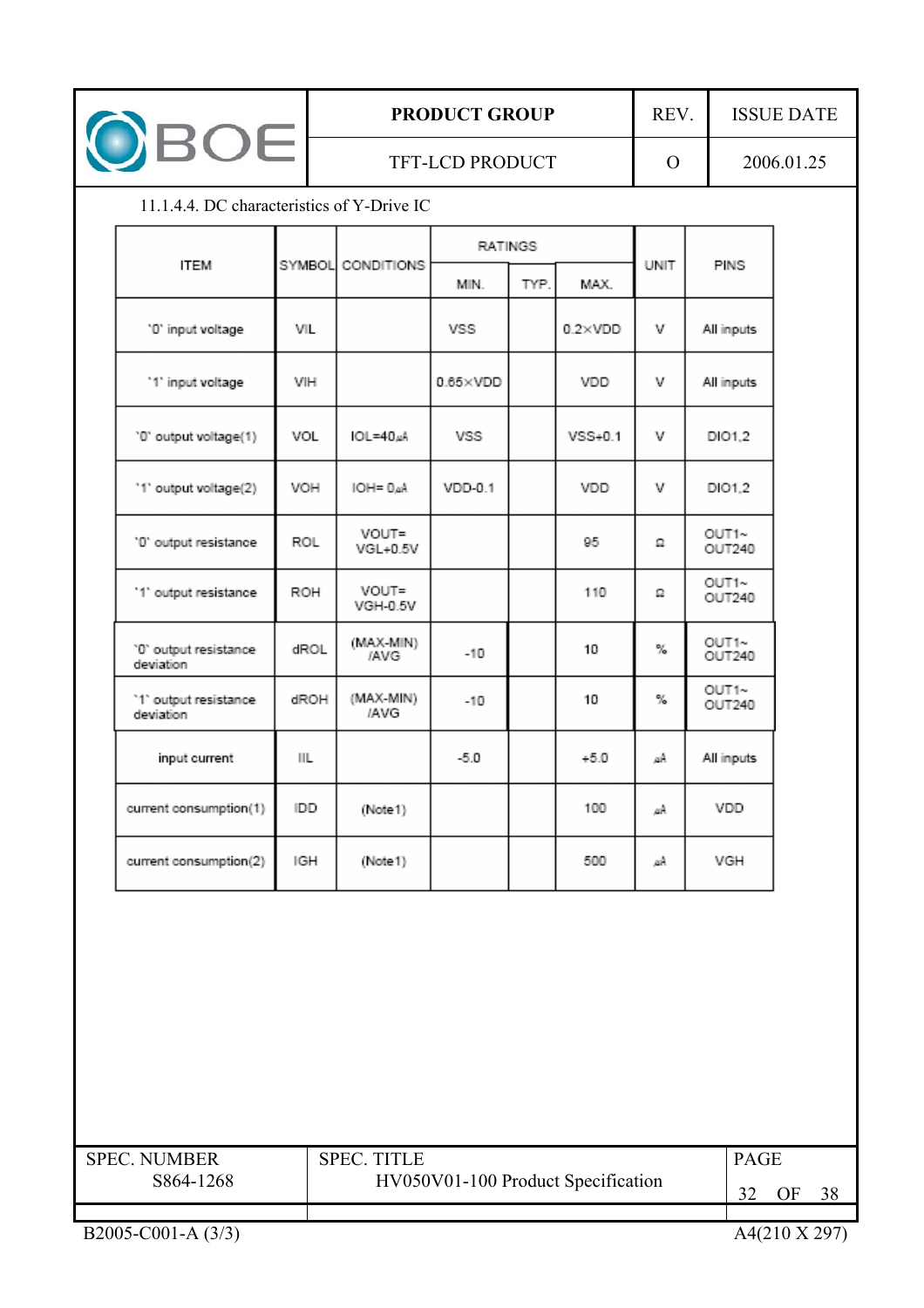

## **PRODUCT GROUP** REV. ISSUE DATE

## 11.1.4.4. DC characteristics of Y-Drive IC

|                                    |            | SYMBOL CONDITIONS        | <b>RATINGS</b>   |      |                 |      |                        |
|------------------------------------|------------|--------------------------|------------------|------|-----------------|------|------------------------|
| <b>ITEM</b>                        |            |                          | MIN.             | TYP. | MAX.            | UNIT | PINS                   |
| '0' input voltage                  | VIL        |                          | VSS              |      | $0.2\times$ VDD | v    | All inputs             |
| '1' input voltage                  | VIH        |                          | $0.65\times$ VDD |      | VDD             | v    | All inputs             |
| '0' output voltage(1)              | VOL        | $OL = 40w$               | <b>VSS</b>       |      | $VSS+0.1$       | v    | DI01.2                 |
| '1' output voltage(2)              | <b>VOH</b> | $IOH = D4A$              | VDD-0.1          |      | VDD             | v    | DI01.2                 |
| '0' output resistance              | ROL        | VOUT=<br>$VGL+0.5V$      |                  |      | 95              | Ω    | OUT1~<br>OUT240        |
| '1' output resistance              | ROH        | VOUT=<br><b>VGH-0.5V</b> |                  |      | 110             | Ω    | OUT1~<br>OUT240        |
| '0' output resistance<br>deviation | dROL       | (MAX-MIN)<br>/AVG        | $-10$            |      | 10              | %    | OUT1~<br><b>OUT240</b> |
| '1' output resistance<br>deviation | dROH       | (MAX-MIN)<br><b>IAVG</b> | $-10$            |      | 10              | %    | OUT1~<br>OUT240        |
| input current                      | IIL        |                          | $-5.0$           |      | $+5.0$          | ΔÅ   | All inputs             |
| current consumption(1)             | IDD        | (Note1)                  |                  |      | 100             | ΔÅ   | VDD                    |
| current consumption(2)             | IGH        | (Note 1)                 |                  |      | 500             | ΔÅ   | VGH                    |

| <b>SPEC NUMBER</b> | <b>SPEC TITLE</b>                  | <b>PAGE</b> |
|--------------------|------------------------------------|-------------|
| S864-1268          | HV050V01-100 Product Specification | 38<br>)F    |
|                    |                                    |             |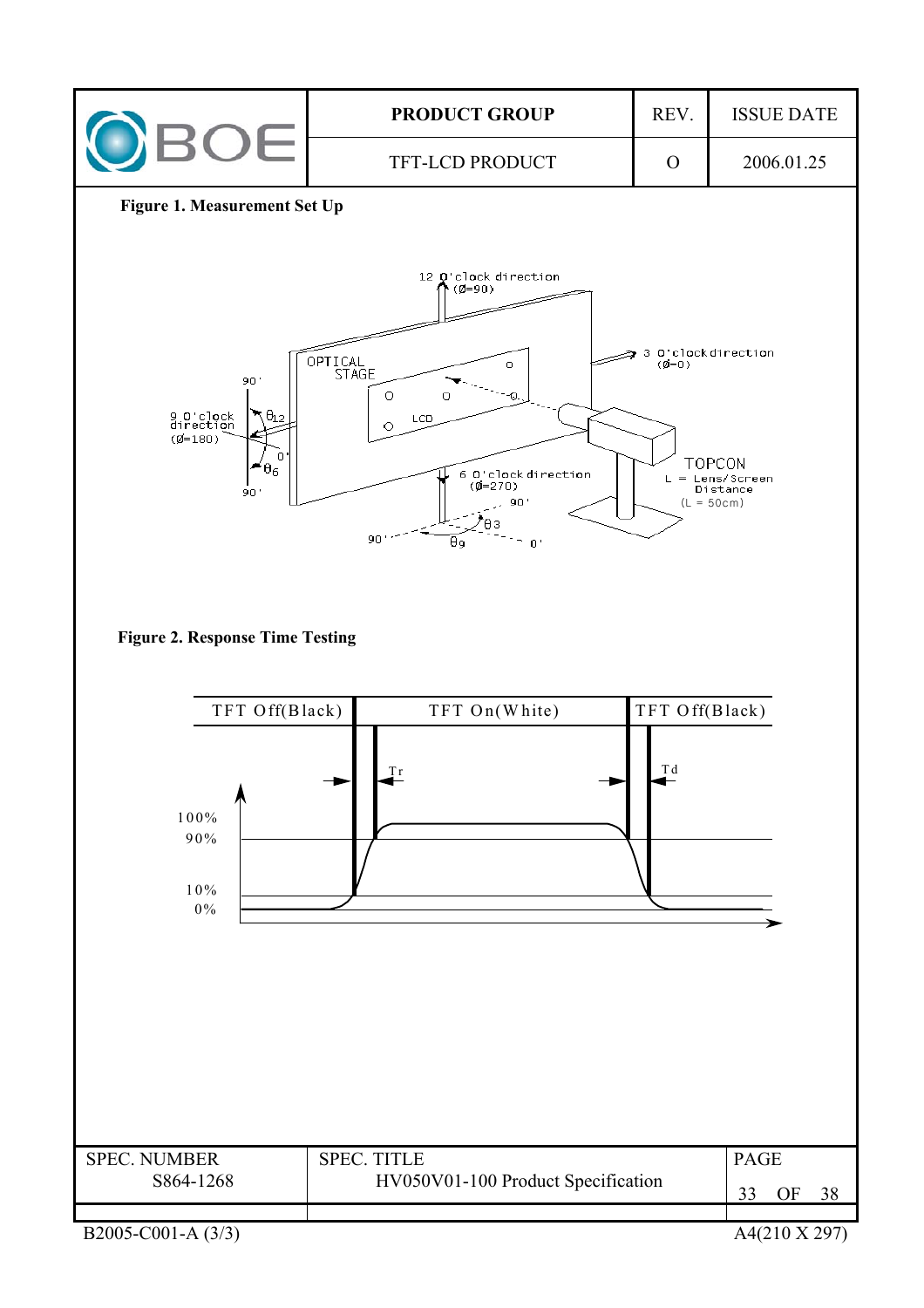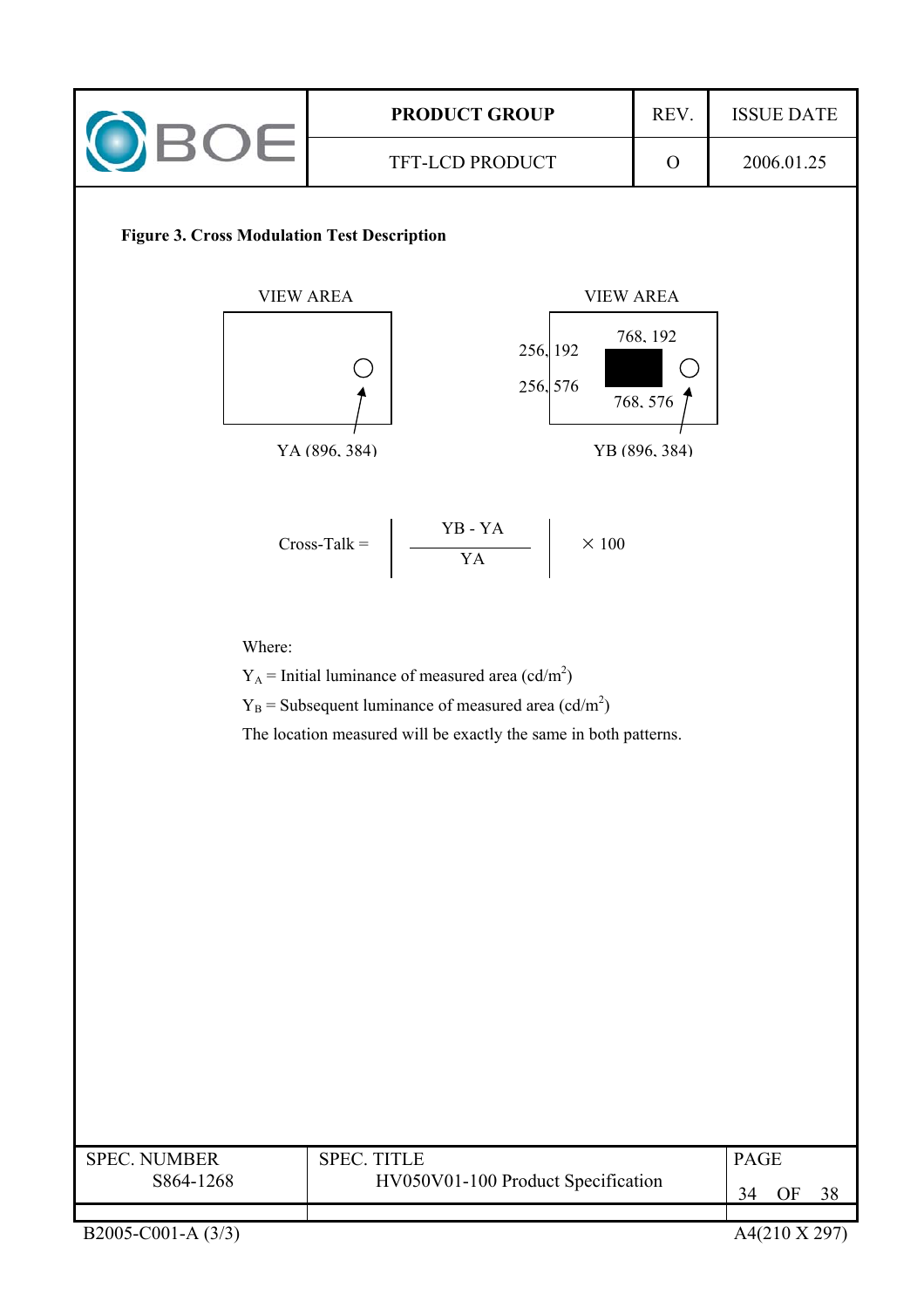

| <b>SPEC. NUMBER</b> | <b>SPEC. TITLE</b>                 | <b>PAGE</b> |  |  |
|---------------------|------------------------------------|-------------|--|--|
| S864-1268           | HV050V01-100 Product Specification | ЭF          |  |  |
|                     |                                    |             |  |  |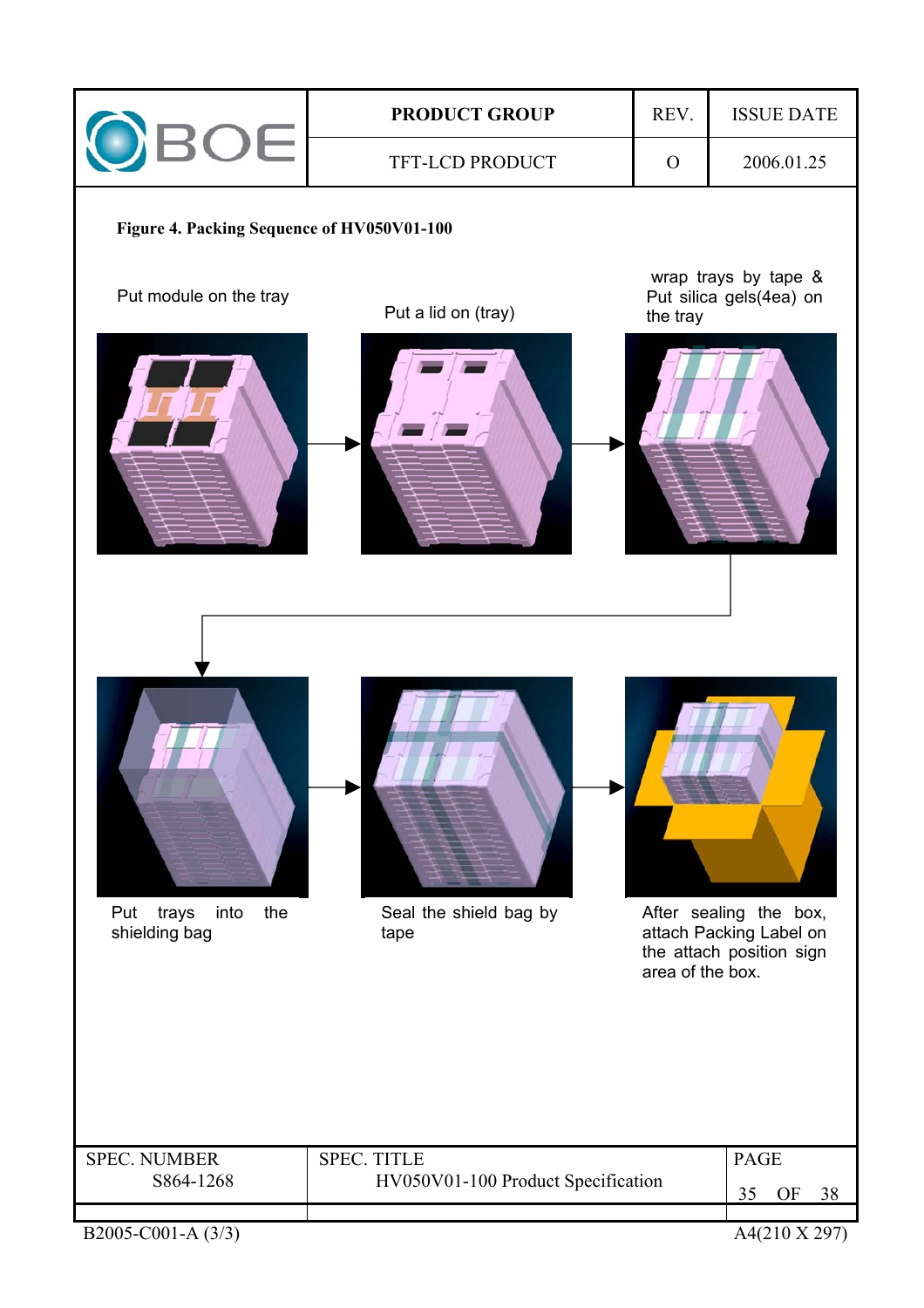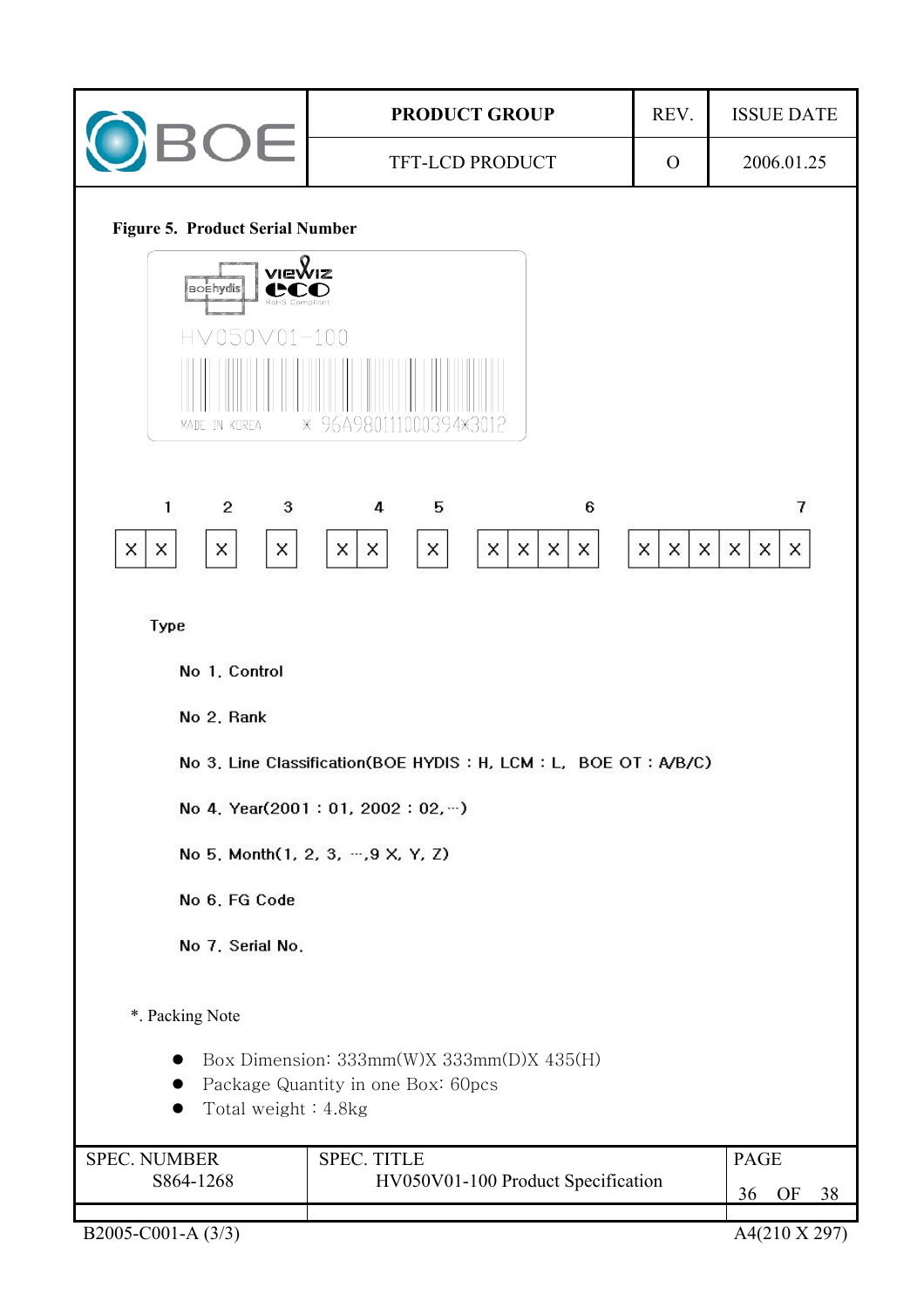|                                                                                                                                                                                 | <b>PRODUCT GROUP</b>                                                     | REV.         | <b>ISSUE DATE</b>                    |  |  |
|---------------------------------------------------------------------------------------------------------------------------------------------------------------------------------|--------------------------------------------------------------------------|--------------|--------------------------------------|--|--|
| <b>BOE</b>                                                                                                                                                                      | TFT-LCD PRODUCT                                                          | $\mathbf{O}$ | 2006.01.25                           |  |  |
| <b>Figure 5. Product Serial Number</b><br>viewiz<br><b>Boehydis</b><br>RoHS Compliant<br>HV050V01-100<br>MADE IN KOREA<br>$\overline{c}$<br>$^{\rm 3}$<br>1<br>X<br>X<br>X<br>x | * 96A980111000394*3012<br>5<br>6<br>4<br>X<br>X<br>X<br>X<br>X<br>X<br>X | X<br>X<br>X  | $\overline{7}$<br>X<br>$\times$<br>X |  |  |
| Type                                                                                                                                                                            |                                                                          |              |                                      |  |  |
| No 1. Control                                                                                                                                                                   |                                                                          |              |                                      |  |  |
| No 2, Rank                                                                                                                                                                      |                                                                          |              |                                      |  |  |
|                                                                                                                                                                                 | No 3, Line Classification(BOE HYDIS: H, LCM: L, BOE OT: A/B/C)           |              |                                      |  |  |
| No 4. Year(2001: 01, 2002: 02, )                                                                                                                                                |                                                                          |              |                                      |  |  |
| No 5, Month(1, 2, 3, , 9 X, Y, Z)                                                                                                                                               |                                                                          |              |                                      |  |  |
| No 6, FG Code                                                                                                                                                                   |                                                                          |              |                                      |  |  |
| No 7, Serial No.                                                                                                                                                                |                                                                          |              |                                      |  |  |
| *. Packing Note<br>Box Dimension: 333mm(W)X 333mm(D)X 435(H)<br>Package Quantity in one Box: 60pcs<br>Total weight: 4.8kg                                                       |                                                                          |              |                                      |  |  |
| <b>SPEC. TITLE</b><br><b>SPEC. NUMBER</b><br>S864-1268<br>HV050V01-100 Product Specification                                                                                    |                                                                          |              | <b>PAGE</b><br>OF<br>38<br>36        |  |  |
| B2005-C001-A (3/3)                                                                                                                                                              | A4(210 X 297)                                                            |              |                                      |  |  |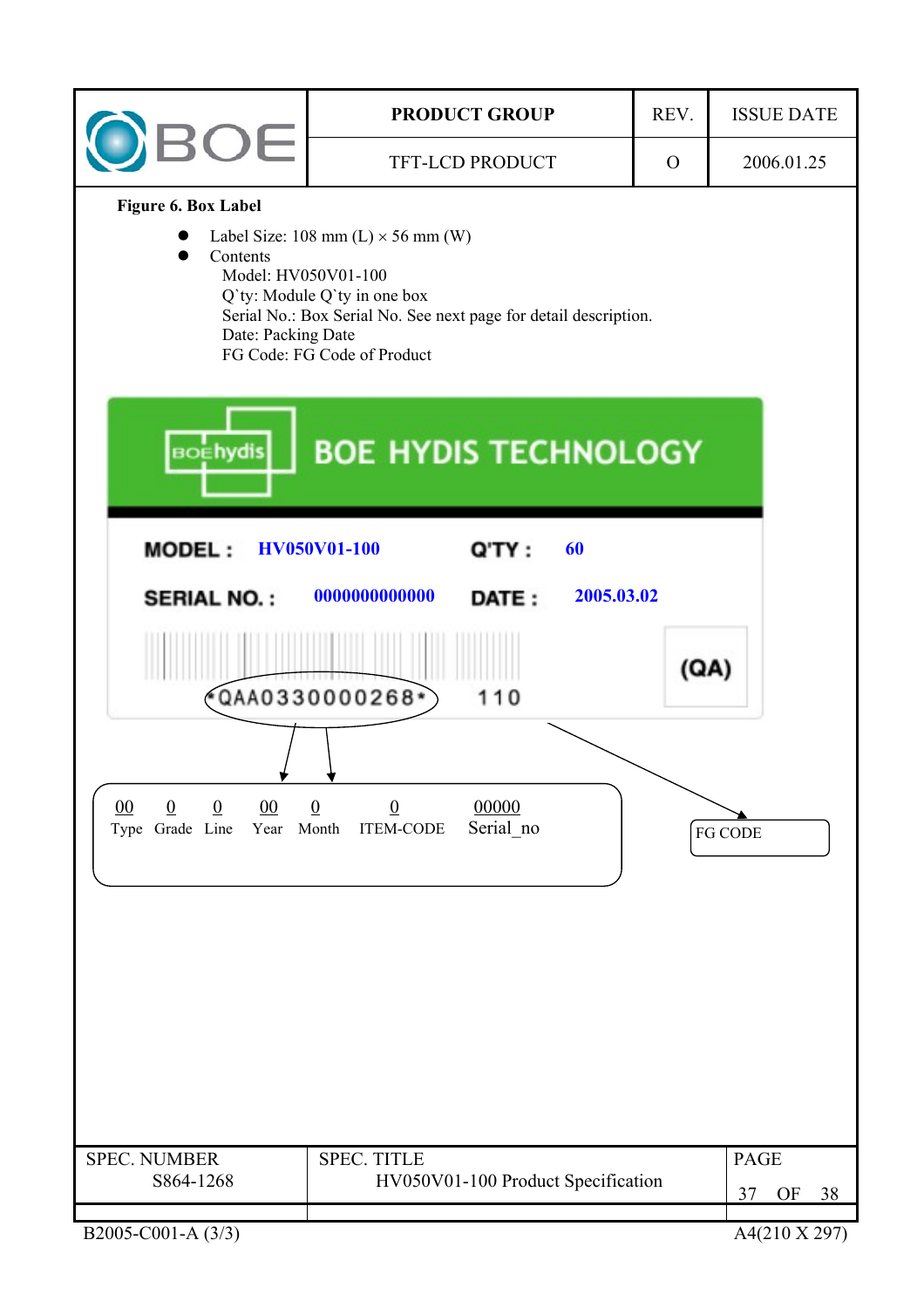